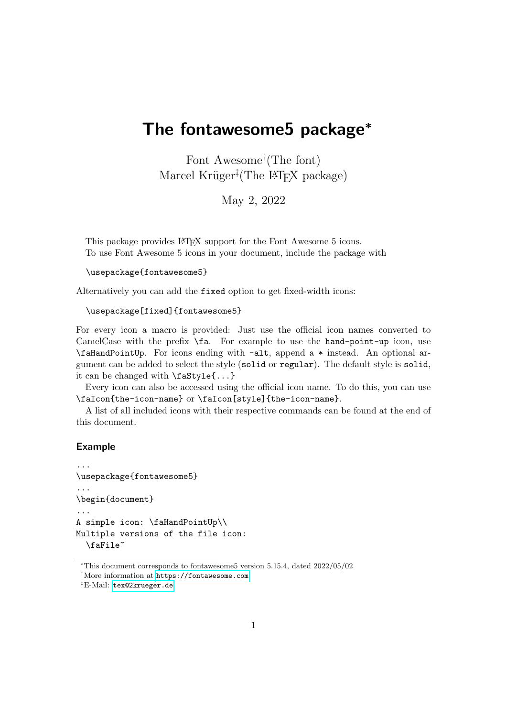# The fontawesome5 package\*

Font Awesome† (The font) Marcel Krüger<sup>‡</sup>(The L<sup>AT</sup>EX package)

May 2, 2022

This package provides LAT<sub>EX</sub> support for the Font Awesome 5 icons. To use Font Awesome 5 icons in your document, include the package with

```
\usepackage{fontawesome5}
```
Alternatively you can add the fixed option to get fixed-width icons:

```
\usepackage[fixed]{fontawesome5}
```
For every icon a macro is provided: Just use the official icon names converted to CamelCase with the prefix \fa. For example to use the hand-point-up icon, use \faHandPointUp. For icons ending with -alt, append a \* instead. An optional argument can be added to select the style (solid or regular). The default style is solid, it can be changed with \faStyle{...}

Every icon can also be accessed using the official icon name. To do this, you can use \faIcon{the-icon-name} or \faIcon[style]{the-icon-name}.

A list of all included icons with their respective commands can be found at the end of this document.

#### Example

```
...
\usepackage{fontawesome5}
...
\begin{document}
...
A simple icon: \faHandPointUp\\
Multiple versions of the file icon:
  \faFile~
```
<sup>∗</sup>This document corresponds to fontawesome5 version 5.15.4, dated 2022/05/02

<sup>†</sup>More information at <https://fontawesome.com>

<sup>‡</sup>E-Mail: [tex@2krueger.de](mailto:tex@2krueger.de)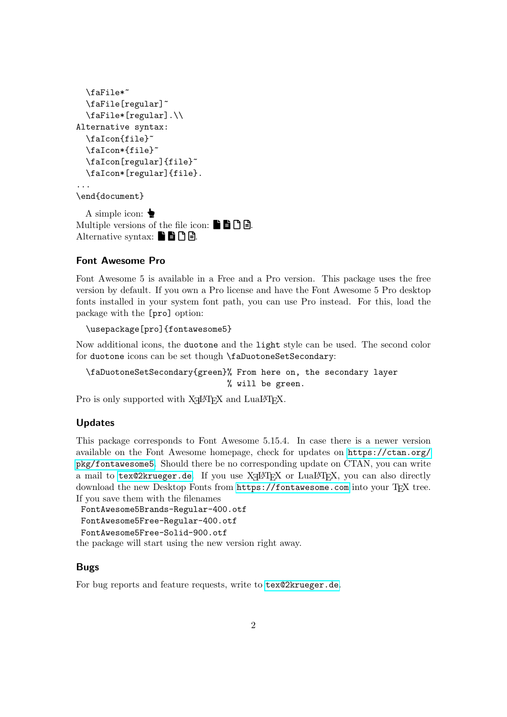```
\faFile*~
  \faFile[regular]~
  \faFile*[regular].\\
Alternative syntax:
  \faIcon{file}~
 \faIcon*{file}~
  \faIcon[regular]{file}~
 \faIcon*[regular]{file}.
...
\end{document}
```
A simple icon:  $\bullet$ Multiple versions of the file icon:  $\blacksquare$   $\blacksquare$   $\blacksquare$ . Alternative syntax:  $\blacksquare$   $\blacksquare$   $\blacksquare$   $\blacksquare$ .

#### Font Awesome Pro

Font Awesome 5 is available in a Free and a Pro version. This package uses the free version by default. If you own a Pro license and have the Font Awesome 5 Pro desktop fonts installed in your system font path, you can use Pro instead. For this, load the package with the [pro] option:

```
\usepackage[pro]{fontawesome5}
```
Now additional icons, the duotone and the light style can be used. The second color for duotone icons can be set though \faDuotoneSetSecondary:

\faDuotoneSetSecondary{green}% From here on, the secondary layer % will be green.

Pro is only supported with  $X \rightarrow Y$  and  $Lua \rightarrow T<sub>E</sub>X$ .

### Updates

This package corresponds to Font Awesome 5.15.4. In case there is a newer version available on the Font Awesome homepage, check for updates on [https://ctan.org/](https://ctan.org/pkg/fontawesome5) [pkg/fontawesome5](https://ctan.org/pkg/fontawesome5). Should there be no corresponding update on CTAN, you can write a mail to  $text{tex}$   $\cdot$  dex  $\cdot$  . If you use  $\overline{X}$   $\exists$   $\exists$   $\exists$   $\forall$   $\exists$   $\exists$   $\exists$   $\forall$   $\exists$   $\exists$   $\forall$   $\exists$   $\forall$   $\exists$   $\exists$   $\forall$   $\exists$   $\forall$   $\exists$   $\forall$   $\exists$   $\forall$   $\exists$   $\exists$   $\forall$   $\exists$   $\forall$   $\exists$   $\forall$   $\exists$   $\forall$   $\exists$   $\forall$   $\exists$ download the new Desktop Fonts from <https://fontawesome.com> into your TFX tree. If you save them with the filenames

```
FontAwesome5Brands-Regular-400.otf
FontAwesome5Free-Regular-400.otf
FontAwesome5Free-Solid-900.otf
```
the package will start using the new version right away.

#### Bugs

For bug reports and feature requests, write to [tex@2krueger.de](mailto:tex@2krueger.de).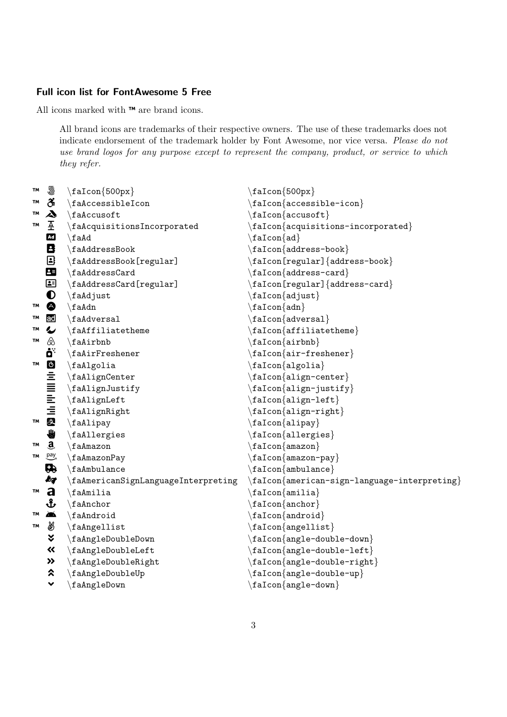## Full icon list for FontAwesome 5 Free

All icons marked with ™ are brand icons.

All brand icons are trademarks of their respective owners. The use of these trademarks does not indicate endorsement of the trademark holder by Font Awesome, nor vice versa. Please do not use brand logos for any purpose except to represent the company, product, or service to which they refer.

| TM        | 5                               | $\frac{500px}{$                     | $\frac{500px}{$                                                  |
|-----------|---------------------------------|-------------------------------------|------------------------------------------------------------------|
| TM        | ඊ                               | \faAccessibleIcon                   | $\setminus$ faIcon{accessible-icon}                              |
| <b>TM</b> | $\boldsymbol{\lambda}$          | \faAccusoft                         | $\set{aIcon}\{\texttt{accusoft}\}$                               |
| TM        | Æ                               | \faAcquisitionsIncorporated         | $\setminus$ faIcon $\{acquistions-incorporated\}$                |
|           | <b>Ad</b>                       | \faAd                               | $\texttt{aIcon}\$                                                |
|           | B                               | $\Lambda$ ddressBook                | $\frac{1}{\text{address-book}}$                                  |
|           | $\textcolor{red}{\blacksquare}$ | \faAddressBook[regular]             | $\frac{[regular]}{address-book}$                                 |
|           | 8                               | \faAddressCard                      | $\setminus$ faIcon{address-card}                                 |
|           | 国                               | \faAddressCard[regular]             | $\frac{[regular]}{address-card}$                                 |
|           | $\bullet$                       | $\hat{}$ fa $\hat{}$ djust          | $\texttt{aIcon}\texttt{adjust}$                                  |
| <b>TM</b> | ♦                               | $\setminus$ faAdn                   | $\setminus$ faIcon $\{adn\}$                                     |
| TM        | $rac{1}{2}$                     | $\hat{}$ faAdversal                 | $\setminus$ faIcon $\{adversal\}$                                |
| TM        | $\overline{\mathbf{v}}$         | \faAffiliatetheme                   | $\setlength{\dagger}{\text{if}}$ falcon $\set{affiliatethem}$    |
| TM        |                                 | \faAirbnb                           | $\setminus$ faIcon $\{$ airbnb $\}$                              |
|           | ö <sup>*</sup>                  | $\hat{f}$ aAirFreshener             | $\setminus$ faIcon{air-freshener}                                |
| TM        |                                 | \faAlgolia                          | $\frac{algolia}{$                                                |
|           |                                 | \faAlignCenter                      | $\setminus$ faIcon{align-center}                                 |
|           |                                 | \faAlignJustify                     | $\setminus$ faIcon{align-justify}                                |
|           |                                 | \faAlignLeft                        | $\setminus$ faIcon{align-left}                                   |
|           | <b>DEINER</b>                   | \faAlignRight                       | $\frac{\alpha}{\alpha\$                                          |
| <b>TM</b> |                                 | \faAlipay                           | $\set{f}$ aIcon $\{ \text{alipay} \}$                            |
|           | ₩                               | \faAllergies                        | $\setminus$ faIcon $\{$ allergies $\}$                           |
| TM        | $\mathbf{a}$                    | $\Lambda$ mazon                     | $\setminus$ faIcon $\{$ amazon $\}$                              |
| TМ        | pay <sub>7</sub>                | \faAmazonPay                        | $\setminus$ faIcon $\{$ amazon-pay $\}$                          |
|           | Q                               | $\Lambda$ mbulance                  | $\setminus$ faIcon $\{$ ambulance $\}$                           |
|           | kg                              | \faAmericanSignLanguageInterpreting | $\setminus$ faIcon $\{$ american-sign-language-interpreting $\}$ |
| TM        | a                               | $\hat{\tau}$                        | $\frac{amilia}{$                                                 |
|           | ᢤ                               | \faAnchor                           | ${f$ a $I$ con ${a$ nchor $}$                                    |
| TM        | ▰                               | \faAndroid                          | $\setminus$ faIcon $\{$ android $\}$                             |
| TM        | ₩                               | \faAngellist                        | $\setminus$ faIcon{angellist}                                    |
|           | ∛                               | $\langle$ faAngleDoubleDown         | $\frac{angle-double-down}{$                                      |
|           | 巜                               | \faAngleDoubleLeft                  | $\frac{angle-double-left}{$                                      |
|           | $\rightarrow$                   | \faAngleDoubleRight                 | $\frac{angle-double-right}{$                                     |
|           | ⋩                               | \faAngleDoubleUp                    | $\frac{angle-double-up}{$                                        |
|           | $\checkmark$                    | faAngleDown                         | ${f}$ aIcon ${angle-down}$                                       |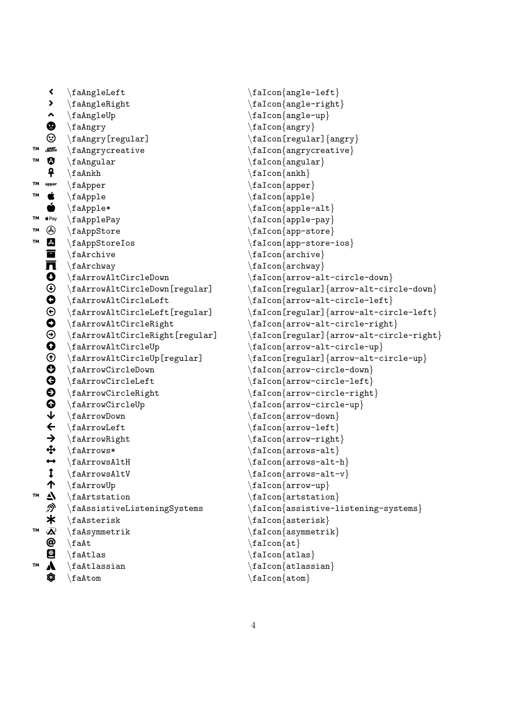```
 \faAngleLeft \faIcon{angle-left}
    > \{aInglen, right\}\leftarrow \faAngleUp \faIcon{angle-up}
   \bullet \faAngry \faIcon{angry}
   \circled{S} \faAngry[regular] \faIcon[regular] {angry}
™  \faAngrycreative \faIcon{angrycreative}
   \bullet \faAngular \faIcon{angular}
    \begin{array}{c} \text{4} \\ \text{4} \end{array}T^M apper \{a\} \{a\}W \nsubseteq \{fadh\n\} \{aIcon\}\bullet \faApple* \faIcon{apple-alt}
TM \star Pay \ \{aApplePay \}W \rightarrow \{fadppStore\}™  \faAppStoreIos \faIcon{app-store-ios}
   \blacksquare \faArchive \faIcon{archive}
   \prod \faArchway \faIcon{archway}
   \bullet \faArrowAltCircleDown \bullet \faIcon{arrow-alt-circle-down}<br>
\bullet \faArrowAltCircleDown[regular] \faIcon[regular]{arrow-alt-cir
    \faArrowAltCircleDown[regular] \faIcon[regular]{arrow-alt-circle-down}
   \bigoplus \faArrowAltCircleLeft \faIcon{arrow-alt-circle-left}<br>
\bigoplus \faArrowAltCircleLeft[regular] \faIcon[regular]{arrow-alt-cir
   \bigoplus \faArrowAltCircleLeft[regular] \faIcon[regular]{arrow-alt-circle-left}<br>
\bigoplus \faArrowAltCircleRight \faIcon{arrow-alt-circle-right}
   \label{prop:main} $$ \faffarrowAltCircleRight $$ \faffarrowAltCircleRight \ref{arrow-alt-circle-right} $$ \faffarrowAltCircleRight [regular] \faffan[regular] \arrow-alt-circ. $$\Theta \faArrowAltCircleRight[regular] \faIcon[regular]{arrow-alt-circle-right}<br>
\bullet \faArrowAltCircleUp \faIcon{arrow-alt-circle-up}
   <table>\n<tbody>\n<tr>\n<td>①</td>\n<td>\n<math>\text{farrow} \cdot \text{farrow} \cdot \text{farrow} \cdot \text{farrow} \cdot \text{farrow} \cdot \text{farrow} \cdot \text{farrow} \cdot \text{farrow} \cdot \text{farrow} \cdot \text{farrow} \cdot \text{farrow} \cdot \text{farrow} \cdot \text{farrow} \cdot \text{farrow} \cdot \text{herrow} \cdot \text{herrow} \cdot \text{herrow} \cdot \text{herrow} \cdot \text{herrow} \cdot \text{herrow} \cdot \text{herrow} \cdot \text{herrow} \cdot \text{herrow} \cdot \text{herrow} \cdot \text{herrow}
         \faArrowAltCircleUp[regular] \faIcon[regular]{arrow-alt-circle-up}
        \faArrowCircleDown \faIcon{arrow-circle-down}
   <table>\n<tbody>\n<tr>\n<th>✓</th>\n<th>ifaArrowCircleLeft</th>\n<th>ifaFromCircle-left</th>\n</tr>\n<tr>\n<td>✓</td>\n<td>ifaArrowCircleRight</td>\n<td>ifaFrom{arrow-circle-right}</td>\n</tr>\n<tr>\n<td>✓</td>\n<td>ifaArrowCircleType</td>\n<td>ifaFrom{arrow-circle-up}</td>\n</tr>\n<tr>\n<td>✓</td>\n<td>ifaArrowDown</td>\n<td>ifaFrom{arrow-down}</td>\n</tr>\n<tr>\n<td>✓</td>\n<td>ifaArrowLeft</td>\n<td>ifa.com{arrow-down}</td>\n</tr>\n</tbody>\n</table>
        \faArrowCircleRight \faIcon{arrow-circle-right}
        \faArrowCircleUp \faIcon{arrow-circle-up}
        \frac{arrowDown}{\f{arrow-down}}\leftarrow \faArrowLeft \faIcon{arrow-left}<br>
\leftarrow \faArrowRight \faIcon{arrow-right
   \rightarrow \faArrowRight \faIcon{arrow-right}<br>
\downarrow \faArrows* \faIcon{arrows-alt}
        \{a\ \{a\\leftrightarrow \{faffrows\}<br>
\{aIf \{aIf \in \{aIf \in a\} \}\{a\TaArrowsAltV \{a\\uparrow \faArrowUp \faIcon{arrow-up}
   \triangle \faArtstation \faIcon{artstation}
   \mathcal{D} \faAssistiveListeningSystems \faIcon{assistive-listening-systems}
   \star \faAsterisk \setminus \faIcon{asterisk}
   \mathcal{R} \faAsymmetrik \faIcon{asymmetrik}
   \textcircled{a} \falt \falcon{at}
   \bullet \faAtlas \faIcon{atlas}
™  \faAtlassian \faIcon{atlassian}
```
 $\bullet$  \faAtom \faIcon{atom}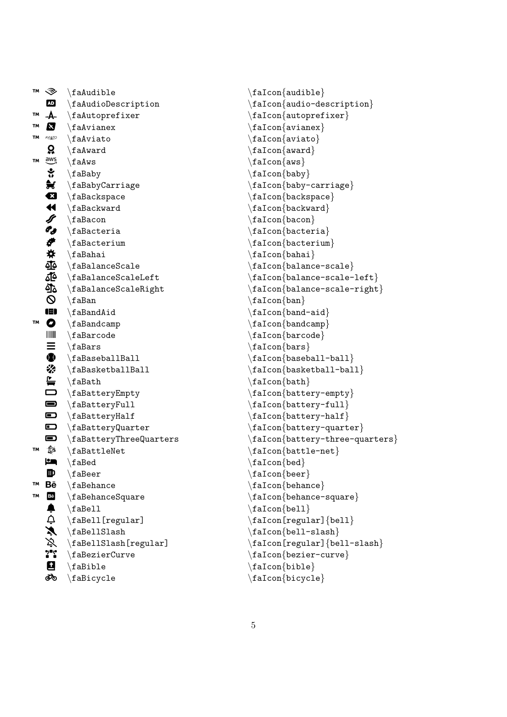| TM                                        |                                     |
|-------------------------------------------|-------------------------------------|
| ◈                                         | $\hat{\theta}$                      |
| <b>AD</b>                                 | $\Lambda$ udioDescription           |
| -A-<br>TΜ                                 | $\Lambda$ utoprefixer               |
| Ŋ<br>TМ                                   | $\langle$ faAvianex                 |
| TМ<br><b>AVIATO</b>                       | $\hat{}$ faAviato                   |
| Q.                                        | $\lambda$                           |
| $\overset{\text{aws}}{\rightarrow}$<br>TМ | $\setminus$ faAws                   |
|                                           | \faBaby                             |
|                                           | $\langle f$ aBabyCarriage           |
| 25.25公斤的产品:                               | $\langle f$ aBackspace              |
|                                           | $\langle$ faBackward                |
|                                           | $\langle$ faBacon                   |
|                                           | $\langle$ faBacteria                |
|                                           | $\langle$ faBacterium               |
|                                           | $\langle$ faBahai                   |
| ₫₫                                        | $\langle$ faBalanceScale            |
| <u>ئ</u> ة                                | $\{faBalanceScaleLeft$              |
| ত্ৰীত                                     | $\backslash$ faBalanceScaleRight    |
| $\pmb{\heartsuit}$                        | $\setminus$ faBan                   |
| œ                                         | $\lambda$ ia<br>BandAid             |
| $\bullet$<br>TΜ                           | $\setminus$ faBandcamp              |
|                                           | $\langle$ faBarcode                 |
| $\equiv$                                  | $\langle f$ aBars                   |
| $\bf \Phi$                                | $\langle$ faBaseballBall            |
| ₩                                         | $\langle$ faBasketballBall          |
| $\Gamma$                                  | $\langle$ faBath                    |
| $\Box$                                    | \faBatteryEmpty                     |
| $\blacksquare$                            | $\texttt{aBatteryFull}$             |
| $\blacksquare$                            | $\label{thm:main}$ abattery<br>Half |
| $\blacksquare$                            | $\backslash$ faBatteryQuarter       |
| $\blacksquare$                            | $\backslash$ faBatteryThreeQuarters |
| ♦<br>TM                                   | $\Lambda$                           |
| ھۓ                                        | $\backslash$ faBed                  |
| Ф                                         | $\backslash$ faBeer                 |
| TΜ<br>Вē                                  | $\setminus$ faBehance               |
| TΜ                                        | \faBehanceSquare                    |
|                                           | $\langle$ faBell                    |
|                                           | $\setminus$ faBell[regular]         |
|                                           | $\setminus$ faBellSlash             |
|                                           | $\backslash$ faBellSlash[regular]   |
|                                           | $\backslash$ faBezierCurve          |
|                                           | $\langle fabible$                   |
| 国土公众公司的                                   | $\backslash$ faBicycle              |

```
\faIcon{audible}
\faIcon
{audio-description
}
\faIcon
{autoprefixer
}
\faIcon{avianex}
\faIcon
{aviato
}
\setminusfaIcon\{award\}\setminusfaIcon\{aws\}\faIcon{baby}
\faIcon
{baby-carriage
}
\faIcon
{backspace
}
\faIcon
{backward
}
\faIcon
{bacon
}
\faIcon{bacteria}
\faIcon{bacterium}
\faIcon
{bahai
}
\setminusfaIcon\{balance-scale\}\setminusfaIcon\{balance-scale-left\}\faIcon
{balance-scale-right
}
\faIcon{ban}
\faIcon{band-aid}
\faIcon
{bandcamp
}
\faIcon
{barcode
}
\faIcon{bars}
\faIcon{baseball-ball}
\faIcon{basketball-ball}
\faIcon
{bath
}
\faIcon
{battery-empty
}
\faIcon
{battery-full
}
\faIcon{battery-half}
\faIcon
{battery-quarter
}
\faIcon{battery-three-quarters}
\setminusfaIcon\{battle-net\}\setminusfaIcon\{bed\}\setminusfaIcon\{ \text{beer} \}\faIcon
{behance
}
\setminusfaIcon\{behance-square\}\setminusfaIcon\{bell\}\faIcon[regular]
{bell
}
\faIcon
{bell-slash
}
\setminusfaIcon[regular]\{bell-slash\}\faIcon
{bezier-curve
}
\faIcon
{bible
}
\faIcon
{bicycle
}
```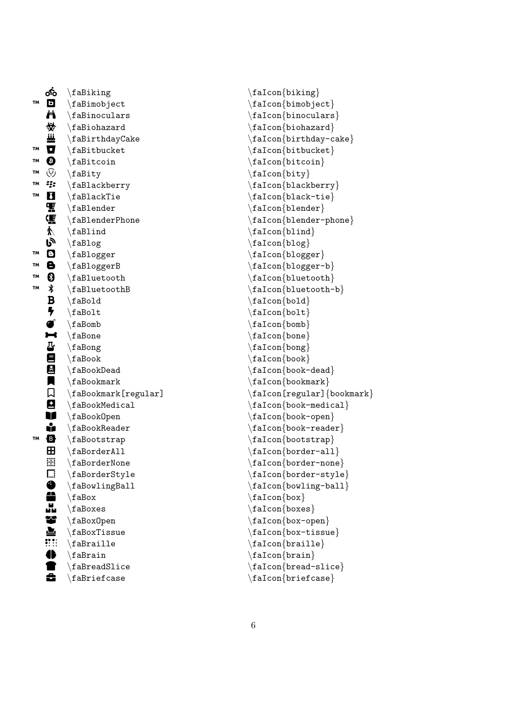|           | యే                       | $\Lambda$                       |
|-----------|--------------------------|---------------------------------|
| <b>TM</b> | $\blacksquare$           | $\langle$ faBimobject           |
|           | Ë                        | $\Lambda$ raBinoculars          |
|           | 赞                        | $\Lambda$                       |
|           |                          | \faBirthdayCake                 |
| TM        | W<br>U                   | $\hat{\mathcal{A}}$             |
| TM        | $\boldsymbol{\Theta}$    | $\Lambda$                       |
| TM        | ල                        | \faBity                         |
| TΜ        | ij:                      | \faBlackberry                   |
| TΜ        | M                        | $\backslash$ faBlackTie         |
|           | 馬鳴かい                     | $\verb \falsender $             |
|           |                          | $\Lambda$                       |
|           |                          | $\Lambda$                       |
|           |                          | $\langle faBlog$                |
| TΜ        | Θ                        | $\setminus$ faBlogger           |
| TΜ        | 8                        | $\langle faBloggerB$            |
| TΜ        | ❸                        | $\Lambda$                       |
| TМ        | <b>≸</b>                 | $\Lambda$                       |
|           |                          | $\langle$ faBold                |
|           |                          | $\hat{\tau}$                    |
|           |                          | $\setminus$ faBomb              |
|           | B ケ ず 【 心目】              | $\setminus$ faBone              |
|           |                          | $\setminus$ faBong              |
|           |                          | $\setminus$ faBook              |
|           | E                        | $\backslash$ faBookDead         |
|           |                          | $\setminus$ faBookmark          |
|           | $\Box$                   | $\setminus$ faBookmark[regular] |
|           | 9                        | $\Lambda$                       |
|           | Ú                        | $\setminus$ faBook $0$ pen      |
|           | ů                        | $\backslash$ faBook $\,$ Reader |
| TΜ        | Ø                        | $\Lambda$                       |
|           | $\mathbf H$              | $\Lambda$ laBorderAll           |
|           | ₩                        | $\setminus$ faBorderNone        |
|           | Г.:                      | \faBorderStyle                  |
|           |                          | \faBowlingBall                  |
|           |                          | $\backslash$ faBox              |
|           |                          | $\langle fab \rangle$           |
|           | 0<br>Liver               | \faBox0pen                      |
|           |                          | \faBoxTissue                    |
|           | $\mathbf{::}\mathbf{::}$ | $\langle$ faBraille             |
|           | <b>=</b>                 | $\Lambda$                       |
|           |                          | $\backslash$ faBread $Slice$    |
|           |                          | $\backslash$ faBriefcase        |

\faIcon {biking } \faIcon {bimobject }  $\setminus$ faIcon $\{$ binoculars $\}$ \faIcon{biohazard} \faIcon {birthday-cake } \faIcon {bitbucket } \faIcon {bitcoin } \faIcon{bity} \faIcon {blackberry } \faIcon {black-tie } \faIcon {blender } \faIcon {blender-phone } \faIcon {blind } \faIcon {blog } \faIcon {blogger } \faIcon {blogger-b } \faIcon {bluetooth } \faIcon {bluetooth-b } \faIcon{bold}  $\setminus$ faIcon $\{$ bolt $\}$ \faIcon {bomb } \faIcon {bone } \faIcon{bong} \faIcon {book }  $\setminus$ faIcon $\{$ book-dead $\}$ \faIcon {bookmark } \faIcon[regular] {bookmark } \faIcon{book-medical} \faIcon {book-open } \faIcon {book-reader } \faIcon {bootstrap } \faIcon{border-all} \faIcon {border-none } \faIcon {border-style } \faIcon{bowling-ball} \faIcon {box } \faIcon {boxes } \faIcon {box-open } \faIcon {box-tissue } \faIcon{braille} \faIcon {brain }  $\setminus$ faIcon $\{ \mathtt{bread}\text{-slice} \}$ \faIcon{briefcase}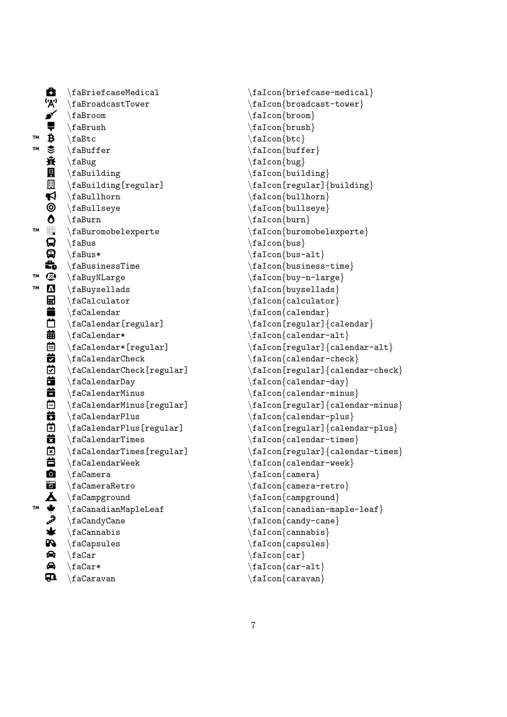$\mathbf{a}$ \faBriefcaseMedical ('<u>አ</u>י) \faBroadcastTower o \faBroom p \faBrush ™  $\ddot{\mathbf{B}}$ \faBtc ™  $\tilde{\mathbf{z}}$ \faBuffer մ \faBug **R** \faBuilding  $\mathbb{R}$ \faBuilding[regular]  $\blacktriangleleft$ \faBullhorn ◎ \faBullseye  $\bullet$ \faBurn ™ | 開 \faBuromobelexperte Q \faBus Q \faBus\* ..<br>ده \faBusinessTime ™  $\mathbf{C}$ \faBuyNLarge ™  $\boldsymbol{\Delta}$ \faBuysellads 剾 \faCalculator ä. \faCalendar  $\Box$ \faCalendar[regular] 曲 \faCalendar\*  $\blacksquare$ \faCalendar\*[regular] 茵 \faCalendarCheck  $\overline{5}$ \faCalendarCheck[regular]  $\ddot{\mathbf{a}}$ \faCalendarDay **节** \faCalendarMinus **茴** \faCalendarMinus[regular] ö \faCalendarPlus Ħ \faCalendarPlus[regular] 茵 \faCalendarTimes 笝 \faCalendarTimes[regular] 首 \faCalendarWeek  $\bullet$ \faCamera **6** \faCameraRetro Å \faCampground ™  $\bigstar$ \faCanadianMapleLeaf فخم \faCandyCane ₩ \faCannabis **PQ** \faCapsules  $\bullet$ \faCar  $\bullet$ \faCar\*  $\mathbf{m}$ \faCaravan

\faIcon{briefcase-medical} \faIcon {broadcast-tower } \faIcon {broom } \faIcon {brush } \faIcon{btc}  $\setminus$ faIcon $\{$ buffer $\}$ \faIcon {bug } \faIcon {building } \faIcon[regular] {building } \faIcon {bullhorn } \faIcon {bullseye } \faIcon {burn } \faIcon {buromobelexperte } \faIcon{bus} \faIcon {bus-alt } \faIcon {business-time } \faIcon {buy-n-large } \faIcon {buysellads }  $\setminus$ faIcon $\{$ calculator $\}$ \faIcon {calendar } \faIcon[regular] {calendar } \faIcon {calendar-alt }  $\setminus$ faIcon[regular] $\{$ calendar-alt $\}$  $\setminus$ faIcon $\{$ calendar-check $\}$ \faIcon[regular] {calendar-check } \faIcon {calendar-day }  $\setminus$ faIcon $\{$ calendar-minus $\}$ \faIcon[regular] {calendar-minus } \faIcon {calendar-plus } \faIcon[regular] {calendar-plus }  $\setminus$ faIcon $\{$ calendar-times $\}$ \faIcon[regular] {calendar-times } \faIcon {calendar-week } \faIcon{camera} \faIcon {camera-retro } \faIcon {campground } \faIcon {canadian-maple-leaf } \faIcon {candy-cane } \faIcon {cannabis } \faIcon {capsules }  $\setminus$ faIcon $\{car\}$ \faIcon {car-alt } \faIcon {caravan }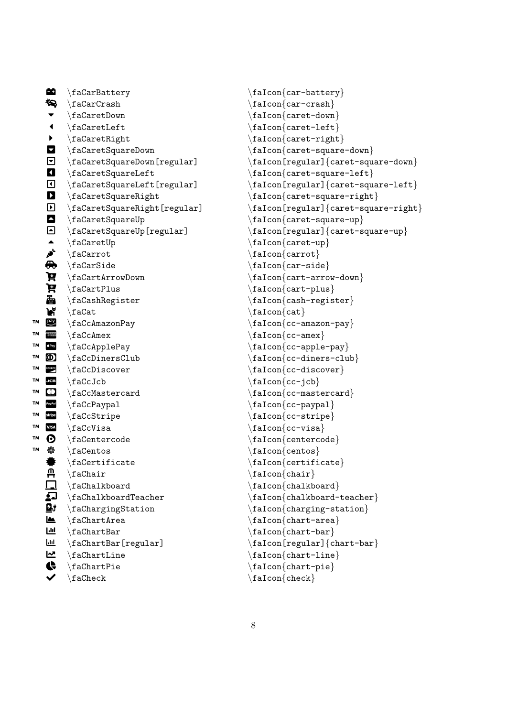|    | 的                                                                             | $\backslash$ faCarBattery              |
|----|-------------------------------------------------------------------------------|----------------------------------------|
|    | 勾                                                                             | $\frac{cardr}{d}$                      |
|    | $\blacktriangledown$                                                          | $\setminus$ faCaretDown                |
|    | $\blacktriangleleft$                                                          | $\setminus$ faCaretLeft                |
|    | $\blacktriangleright$                                                         | $\Lambda$                              |
|    |                                                                               | \faCaretSquareDown                     |
|    | $\overline{a}$                                                                | \faCaretSquareDown[regular]            |
|    |                                                                               | $\setminus$ faCaretSquareLeft          |
|    | $\frac{1}{\sqrt{2}}$                                                          | $\setminus$ faCaretSquareLeft[regular] |
|    |                                                                               | $\verb \factorstSquareRight $          |
|    | $\overline{D}$                                                                | \faCaretSquareRight[regula:            |
|    | $\begin{array}{c}\n\blacksquare \\ \blacksquare \\ \blacksquare\n\end{array}$ | \faCaretSquareUp                       |
|    |                                                                               | $\texttt{factorSquareUp}$ [regular]    |
|    |                                                                               | $\setminus$ faCaretUp                  |
|    |                                                                               | $\setminus$ faCarrot                   |
|    |                                                                               | $\frac{c}{16}$                         |
|    | की<br>पू                                                                      | $\frac{1}{16}$ CartArrowDown           |
|    | Ħ                                                                             | $\frac{c}{10}$                         |
|    | 喦                                                                             | $\frac{1}{16}$ CashRegister            |
|    | h                                                                             | $\hat{\tau}$                           |
| TΜ | $\begin{array}{c}\n\text{pay} \\ \hline\n\end{array}$                         | \faCcAmazonPay                         |
| TΜ |                                                                               | $\setminus$ faCcAmex                   |
| TМ | $\acute{\mathbf{g}}$ Pay                                                      | $\setminus$ faCcApplePay               |
| TΜ | $\circledcirc$                                                                | $\frac{CDD}{nersClub}$                 |
| TΜ | DISCOVER                                                                      | $\setminus$ faCcDiscover               |
| TΜ | JCB                                                                           | $\langle$ faCcJcb                      |
| TΜ | $\circledcirc$                                                                | $\Lambda$                              |
| TΜ | PayPal                                                                        | $\setminus$ faCcPaypal                 |
| TΜ | stripe                                                                        | $\setminus$ faCcStripe                 |
| TΜ | <b>VISA</b>                                                                   | $\setminus$ faCcVisa                   |
| TΜ | ❻                                                                             | $\setminus$ faCentercode               |
| TΜ | 参                                                                             | \faCentos                              |
|    | ₩                                                                             | $\verb+\factortificate+$               |
|    | д                                                                             | $\backslash$ faChair                   |
|    |                                                                               | \faChalkboard                          |
|    | <b>LG B JO</b>                                                                | \faChalkboardTeacher                   |
|    |                                                                               | \faChargingStation                     |
|    |                                                                               | $\Lambda$ raChartArea                  |
|    | $\overline{\mathbf{H}}$                                                       | $\hat{\text{L}}$                       |
|    | Щ                                                                             | \faChartBar[regular]                   |
|    | へわに                                                                           | $\Lambda$ raChartLine                  |
|    |                                                                               | $\hat{\text{L}}$                       |
|    |                                                                               | $\backslash$ fa ${\tt Check}$          |

```
\frac{car-battery}{\frac{car-crash}{\frac{\text{caret-down}}{}\frac{\text{caret-left}}{}\frac{\text{caret-right}}{}\frac{\c{caret-square-down}}]\quad\text{factor}[regular]\ caret-square-down
            \frac{care-square-left}\left.\right] \faIcon[regular] {caret-square-left}
            \frac{\c{caret-square-right}}r] \frac{\frac{\text{regular}}{\text{current-square-right}}\frac{\c{caret-square-up}}\frac{[regular]}{care-square-up}\frac{cancel-up}{\frac{\text{carrot}}{}\frac{car-side}\frac{\arctan}{\arctan}\frac{\card}{\sqrt{c}\frac{cash-register}\frac{\c{at}}{\c{at}}\frac{cc-amazon-pay}\frac{cc-amex}{\frac{cc-\n}{cc-\n}\frac{cc\text{-diners-club}}\frac{cc\text{-}\text{discover}}\frac{cc-icb}{\frac{cc-mastercard}\frac{cc-paypal}{\frac{cc\text{-}strip}{\frac{cc - visa}\left\{ \text{centercode} \right\}\frac{1}{\text{cents}}\frac{\text{centricate}}\frac{\text{chain}}{}\frac{\text{chalkboard}}{}\frac{\chalkboard-teacher}\frac{\text{charging-station}}{}\frac{\text{chart-area}}{}\frac{\text{chart-bar}}{}\left\{ \frac{\text{rel}}{\text{char}} \right\}\frac{\text{chart-line}}{}\frac{\text{chart-pie}}{}\frac{\cosh}{\cosh}
```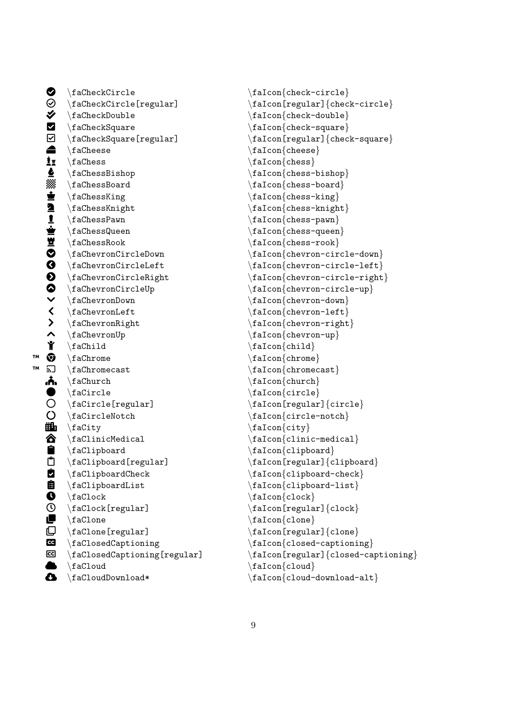$\bullet$  \faCheckCircle \faIcon{check-circle}<br>  $\odot$  \faCheckCircle[regular] \faIcon[regular]{chec  $\blacklozenge$  \faCheckDouble \faIcon{check-double} § \faCheckSquare \faIcon{check-square} § \faCheckSquare[regular] \faIcon[regular]{check-square}  $\qquad \qquad \text{if a\text{Checkes}}$  $\frac{1}{2}$  \faChess \faIcon{chess}  $\bullet$  \faChessBishop \faIcon{chess-bishop}<br> $\$  \faChessBoard \faIcon{chess-board}  $\text{\#} \ fachessBoard \qquad \text{false} - \text{false} - \text{false} - \text{false} \qquad \text{false} - \text{false} \qquad \text{false} - \text{false} \qquad \text{false} - \text{false} \qquad \text{false} - \text{false} \qquad \text{false} - \text{false} \qquad \text{false} - \text{false} \qquad \text{false} \qquad \text{false} \qquad \text{false} \qquad \text{false} \qquad \text{false} \qquad \text{false} \qquad \text{false} \qquad \text{false} \qquad \text{false} \qquad \text{false} \qquad \text{false} \qquad \text{false} \qquad$  $\begin{array}{ll}\texttt{aChessKing} \label{tab:1} \end{array} \begin{array}{ll}\texttt{aChessKing} \label{tab:1} \end{array} \begin{array}{ll}\texttt{aCon{chess-king}} \label{tab:1} \end{array} \begin{array}{ll}\texttt{aCon{chess-king}} \end{array} \begin{array}{ll}\texttt{aCon{chess-king}} \end{array} \begin{array}{ll}\texttt{aCon{chess-pany}} \end{array} \begin{array}{ll}\texttt{aCon{chess-quen}} \end{array}$ \faChessKnight \faIcon{chess-knight}  $\frac{\frac{c}{c}}{\frac{c}{c}}$  $\begin{array}{lllllllllllllllll} \begin{array}{lllllllllllllllllllll} \text{faChessQueue} & & \text{faCon{chess-queen} & \text{faCon{chess-queen} & \text{faCon{chess-rook} & \text{faCon{chess-rook} & \text{faCon{chevron-circ} & \text{faChevronCircleleft} & \text{faCon{chevron-circ} & \text{faChevronCircleright} & \text{faCon{chevron-circ} & \text{faChevronCircleUp} & \text{faCon{chevron-circ} & \text{faChevron-ccirc} & \text{faChevron-down} & \text{faCon{chevron-down} & \text$  $\{fachessRoot\}$  $\frac{\frac{c}{cleDown}}{\frac{chevronCircleDown}}$  $\{fachevronCircleLeft$   $\{fachevronCircleLeft\}$  $\frac{\frac{circleUp}{\fachevronCircleUp}}{}$  $\blacktriangleright\ \ \{fachevronDown\ \hspace{6.3cm} \fachevronLeft\ \}$  $\left\{\n \begin{array}{ccc}\n \left( \frac{chevronLeft}{aChevronRight}\n \end{array}\n \right.\n \right\}$  $\left.\begin{array}{c}\right\} \quad \text{factor} \quad \text{element} \quad \text{factor} \quad \text{element} \quad \text{element} \quad \text{factor} \quad \text{element} \quad \text{element} \quad \text{element} \quad \text{element} \quad \text{even} \quad \text{even} \quad \text{even} \quad \text{even} \quad \text{even} \quad \text{even} \quad \text{even} \quad \text{even} \quad \text{even} \quad \text{even} \quad \text{even} \quad \text{even} \quad \text{even} \quad \text{even} \quad \text{even} \quad \text{even} \quad \text{even} \quad \text{even} \quad \text{even} \quad \text{$ ◆ \faChevronUp \faIcon{chevron-up}<br>
★ \faChild \faIcon{child \faIcon{child \faIcon{child \faIcon{child \faIcon{child \faIcon{child \f  $\frac{\alpha}{\alpha}$  $\mathbb{R}$  \faChrome \faIcon{chrome}  $\overline{\mathbf{a}}$  \faChromecast \faIcon{chromecast}  $\bigwedge$   $\{factor\}$  $\left\{\text{factor}\left\{\text{circle}\}\right\}$ ○ \faCircle[regular] \faIcon[regular] {circle}<br>○ \faCircleNotch \faIcon{circle-notch}  $\{facircleNotch$   $\{aIcon{circle-notch}\}$  $\mathbf{H}_1$  \faCity  $\mathbf{H}_2$  \faIcon{city}  $\hat{\text{factor}}\$ ¿ \faClipboard \faIcon{clipboard}  $\begin{array}{ccc}\n \text{A} & \text{A} \\
 \text{A} & \text{B}\n \end{array}$ À \faClipboardCheck \faIcon{clipboard-check}  $\frac{clipboardList}{faclipboardList}$  $\begin{array}{ccc}\n\text{4} & \text{4} & \text{4} & \text{4} \\
\text{5} & \text{6} & \text{6} & \text{7} \\
\text{6} & \text{7} & \text{8} & \text{7} \\
\text{7} & \text{8} & \text{9} & \text{10} \\
\text{8} & \text{9} & \text{10} & \text{10} & \text{10} \\
\text{9} & \text{10} & \text{10} & \text{10} & \text{10} \\
\text{11} & \text{12} & \text{13} & \text{14} & \text{15} & \text{16} \\
\text{12}$ \faClock[regular] \faIcon[regular] \faClock}  $\Box$  \faClone \faIcon{clone}  $\Box$  \faClone[regular] \faIcon[regular] {clone} Ä \faClosedCaptioning \faIcon{closed-captioning}  $\{fac1oud\}$ 

¥ \faCheckCircle[regular] \faIcon[regular]{check-circle} \faChevronCircleRight \faIcon{chevron-circle-right}  $\mathbb{G} \setminus \text{faclosedCaptioning[regular]}$  \faIcon[regular]{closed-captioning} Æ \faCloudDownload\* \faIcon{cloud-download-alt}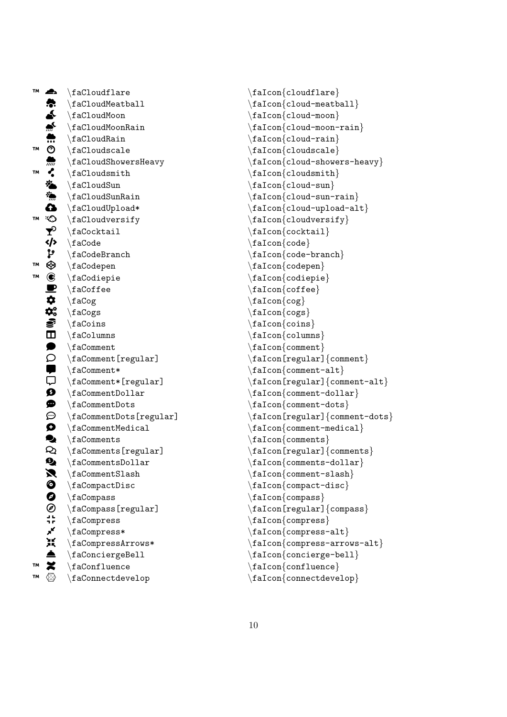™ A \faCloudflare Ş. \faCloudMeatball È \faCloudMoon É \faCloudMoonRain Ê \faCloudRain ™  $\circledcirc$ \faCloudscale Ë \faCloudShowersHeavy ™ C \faCloudsmith **İ** \faCloudSun Í \faCloudSunRain  $\mathbf \Omega$ \faCloudUpload\* ™  $\odot$ \faCloudversify  $\mathbf{r}$ \faCocktail Ð \faCode Ñ \faCodeBranch ™  $^{\circ}$ \faCodepen ™  $\circledR$ \faCodiepie  $\blacksquare$ \faCoffee Ó \faCog  $\mathbf{\Phi}_{\mathrm{o}}^{\mathrm{o}}$ \faCogs Õ \faCoins Ö \faColumns  $\bullet$ \faComment  $\circ$ \faComment[regular] Ø \faComment\*  $\Box$ \faComment\*[regular]  $\bullet$ \faCommentDollar  $\bullet$ \faCommentDots  $\odot$ \faCommentDots[regular] Û \faCommentMedical  $\bullet$ \faComments  $\infty$ \faComments[regular]  $\mathbf{Q}_\bullet$ \faCommentsDollar Þ \faCommentSlash  $\bullet$ \faCompactDisc  $\bullet$ \faCompass  $\circledR$ \faCompass[regular] ji<br>7 r \faCompress **ي**ر \faCompress\* ăĶ \faCompressArrows\* ä \faConciergeBell ™  $\boldsymbol{\varkappa}$ \faConfluence ™  $\otimes$ \faConnectdevelop

\faIcon {cloudflare }  $\setminus$ faIcon $\{\texttt{cloud-meatball}\}$  $\setminus$ faIcon $\{$ cloud-moon $\}$  $\setminus$ faIcon $\{$ cloud-moon-rain $\}$ \faIcon{cloud-rain} \faIcon {cloudscale } \faIcon {cloud-showers-heavy }  $\setminus$ faIcon $\{\texttt{clouds}$ mith $\}$ \faIcon{cloud-sun}  $\setminus$ faIcon $\{\texttt{cloud-sum-rain}\}$  $\setminus$ faIcon $\{\texttt{cloud-upload-alt}\}$ \faIcon{cloudversify} \faIcon{cocktail}  $\setminus$ faIcon $\{\text{code}\}$  $\setminus$ faIcon $\{$ code-branch $\}$ \faIcon {codepen } \faIcon {codiepie }  $\setminus$ faIcon $\{ \textup{cofree} \}$  $\setminus$ faIcon $\{c$ og} \faIcon{cogs} \faIcon {coins } \faIcon{columns} \faIcon{comment}  $\setminus$ faIcon[regular] $\{ \mathtt{comment} \}$  $\setminus$ faIcon $\{$ comment-alt $\}$ \faIcon[regular] {comment-alt } \faIcon{comment-dollar} \faIcon {comment-dots } \faIcon[regular] {comment-dots }  $\setminus$ faIcon $\{$ comment-medical $\}$ \faIcon{comments} \faIcon[regular] {comments } \faIcon{comments-dollar} \faIcon {comment-slash }  $\setminus$ faIcon $\{$ compact-disc $\}$ \faIcon {compass } \faIcon[regular] {compass } \faIcon{compress} \faIcon{compress-alt} \faIcon {compress-arrows-alt }  $\setminus$ faIcon $\{ \text{concierge-bell} \}$ \faIcon {confluence } \faIcon{connectdevelop}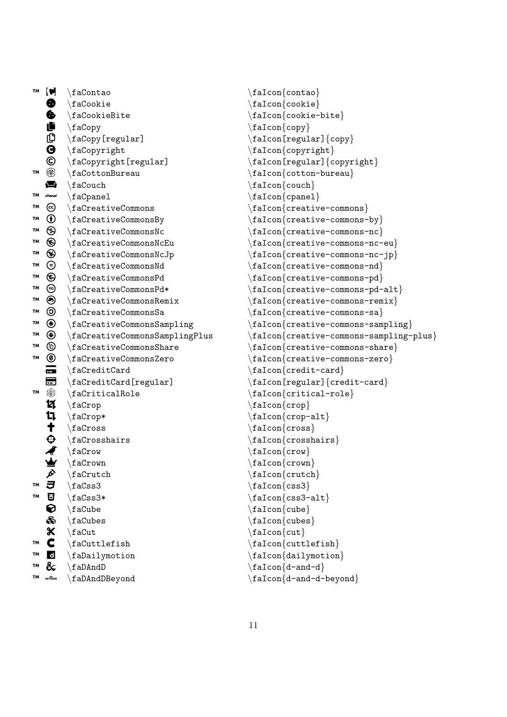| TM | $\blacksquare$        | \faContao                                 | $\setminus$ faIcon $\{$ contao}                               |
|----|-----------------------|-------------------------------------------|---------------------------------------------------------------|
|    | ❸                     | $\setminus$ faCookie                      | $\setminus$ faIcon $\{$ cookie $\}$                           |
|    | ♦                     | \faCookieBite                             | $\setminus$ faIcon $\{$ cookie-bite $\}$                      |
|    | Ë                     | \faCopy                                   | $\setminus$ faIcon $\{copy\}$                                 |
|    | ₵                     | \faCopy[regular]                          | $\frac{[regular]}{copy}$                                      |
|    | $\boldsymbol{\Theta}$ | \faCopyright                              | $\setminus$ faIcon $\{$ copyright $\}$                        |
|    | ©                     | $\setminus$ faCopyright[regular]          | $\setminus$ faIcon[regular]{copyri                            |
| TM | ⊛                     | $\setminus$ faCottonBureau                | $\setminus$ faIcon $\{$ cotton-bureau $\}$                    |
|    | 合                     | $\setminus$ faCouch                       | $\frac{1}{\text{cal}}$                                        |
| TМ | cPanel                | $\setminus$ faCpanel                      | $\setminus \mathtt{f}$ aIcon $\set{\mathtt{c}$ panel}         |
| TM | ල                     | \faCreativeCommons                        | $\frac{c}{\text{reative-common}}$                             |
| TM | $\bf \Phi$            | \faCreativeCommonsBy                      | $\texttt{factor}\{\texttt{createive-common}\}$                |
| TМ | ⊛                     | \faCreativeCommonsNc                      | $\frac{creative-common}$                                      |
| TM | ❸                     | \faCreativeCommonsNcEu                    | $\frac{creative-common}$                                      |
| TM | ⊛                     | \faCreativeCommonsNcJp                    | $\texttt{\texttt{factor}}$ (creative-common                   |
| TМ | ⊜                     | \faCreativeCommonsNd                      | $\texttt{factor}\{\texttt{createive-common}\}$                |
| TМ | ❸                     | \faCreativeCommonsPd                      | $\frac{creative-common}$                                      |
| TМ | ℗                     | \faCreativeCommonsPd*                     | $\setminus$ faIcon $\{ \texttt{createive-common}$             |
| TМ | ◉                     | $\frac{c}{2}$                             | $f$ aIcon ${c}$ reative-common                                |
| TМ | ⊚                     | \faCreativeCommonsSa                      | $\frac{creative-common}$                                      |
| TM | ⊕                     | \faCreativeCommonsSampling                | $\texttt{{\char'134}f}$ alcon $\texttt{{\char'134}ce-common}$ |
| TM | ◉                     | \faCreativeCommonsSamplingPlus            | faIcon{creative-common                                        |
| TM | ⊕                     | \faCreativeCommonsShare                   | $\texttt{{\char'134}f}$ alcon $\texttt{{\char'134}ce-common}$ |
| TM | ◉                     | \faCreativeCommonsZero                    | $\frac{creative-common}$                                      |
|    | $\blacksquare$        | $\Lambda$                                 | $\setminus$ faIcon $\{ \text{credit-card} \}$                 |
|    | 6                     | \faCreditCard[regular]                    | $\frac{[regular]}{credit}$                                    |
| TM | ❀                     | $\frac{c}{i}$                             | $\setminus$ faIcon $\{$ critical-role $\}$                    |
|    | ផ                     | \faCrop                                   | $\setminus$ faIcon $\{ \text{crop} \}$                        |
|    | t,                    | $\frac{1}{2}$                             | $\frac{1}{1}$                                                 |
|    | t                     | $\backslash$ fa $\mathop{\mathtt{Cross}}$ | $\setminus$ faIcon $\{cross\}$                                |
|    | Ф                     | $\frac{1}{16}$                            | $\setminus$ faIcon $\{c$ rosshairs $\}$                       |
|    |                       | $\frac{1}{2}$                             | $\setminus$ faIcon $\{ {\tt row} \}$                          |
|    | ₩                     | faCrown                                   | $\setminus$ faIcon $\{crown\}$                                |
|    | Þ                     | faCrutch                                  | $\setminus$ faIcon $\{ \text{crutch} \}$                      |
| TM | J                     | $\frac{1}{16}$                            | $\frac{1}{cs3}$                                               |
| TM | U                     | \faCss3*                                  | $\text{\sf t}$ aIcon $\{\text{\sf css3-alt}\}$                |
|    | €                     | $\backslash$ faCube                       | $\setminus$ faIcon $\{cube\}$                                 |
|    | ♧                     | $\setminus$ faCubes                       | $\verb \false $                                               |
|    | ℀                     | $\hat{}$ faCut                            | $\setminus$ faIcon $\{cut\}$                                  |
| TM | C                     | $\setminus$ faCuttlefish                  | $\setminus$ faIcon $\{$ cuttlefish $\}$                       |
| TM | $\mathbf d$           | $\Lambda$ ilymotion                       | $\setminus$ faIcon $\{$ dailymotion $\}$                      |
| TM | දි                    | $\Lambda$ DAndD                           | $\frac{d-and-d}{$                                             |
| TM | <b>BEYOND</b>         | \faDAndDBeyond                            | $\frac{d-and-d-beyond}{$                                      |

```
\left\{ \text{cookie} \right\}\setminusfaIcon\{cookie-bite\}\frac{conv}{copy}\frac{1}{\text{factor}[regular]}\\frac{1}{\text{factor}} copyright}
\frac{1}{\delta} (faIcon[regular] \{copyright\}\frac{1}{\delta} \frac{1}{\delta}\frac{\cosh}{\cosh}\frac{1}{\text{normal}}\setminusfaIcon\{ \text{creative-commons} \}\{falcon{crelive-commons-by}\}\{frac\{creation}{c}reative-commons-nc\}\frac{1}{\delta} (creative-commons-nc-eu )
\{ \texttt{r} = \texttt{c} \cdot \texttt{c} \}\frac{c}{\text{real}}\frac{1}{\delta} reative-commons-pd
\frac{creative-commons-pd-alt}\{frac\{creation}{c}reative-commons-remix\}\frac{1}{\delta} (creative-commons-sa)
\{failcon\}creative-commons-sampling}
\frac{1}{10} (creative-commons-sampling-plus)
\frac{c}{\text{r}}\frac{1}{\delta} (creative-commons-zero)
\frac{\text{falcon}}{\text{credit-card}}\frac{1}{\frac{\text{falcon[regular]}{\text{credit-card}}}\frac{1}{\frac{\text{critical-role}}{\text{model}}}\frac{1}{\text{crop}}\{fail \cong \{crop-alt\}\frac{1}{\csc}\frac{1}{\text{falcon}}\frac{1}{\text{crow}}\frac{1}{\text{rown}}\frac{1}{\text{factor}}\frac{1}{cs3}\frac{cos3-alt}{\frac{\cosh \theta}{\cosh \theta}\frac{\cosh \theta}{\frac{\cdot}{\text{cl}}\left\{ \text{cuttleftish} \right\}\frac{d}{d}\frac{d-and-d}{
```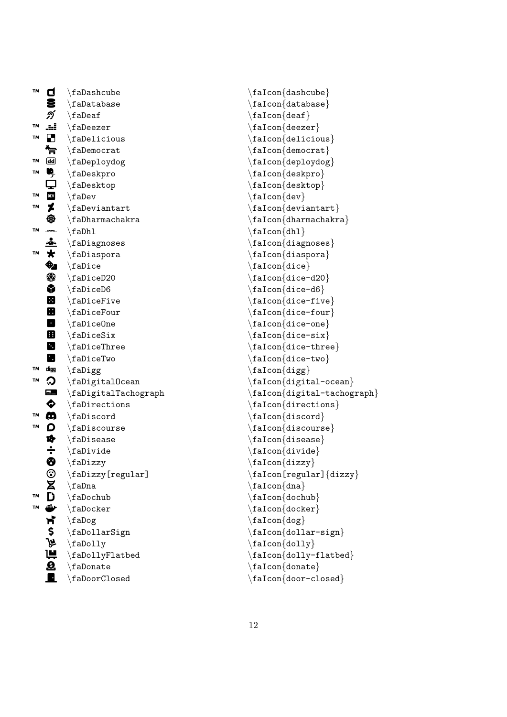| <b>TM</b> | Ο                       | $\langle$ faDashcube                        |
|-----------|-------------------------|---------------------------------------------|
|           |                         | $\langle$ faDatabase                        |
|           | ກ໌                      | $\setminus$ faDeaf                          |
| TM        | ä.                      | $\langle$ faDeezer                          |
| TΜ        | $\blacksquare$          | $\Lambda$                                   |
|           | 曾                       | $\Lambda$                                   |
| TΜ        | <u>ල ල</u>              | \faDeploydog                                |
| TМ        | Ŗ<br>Q                  | $\langle fabeskpro$                         |
|           |                         | $\setminus$ faDesktop                       |
| TМ        | $\mathbf{F}$            | $\langle$ faDev                             |
| TM        | ≭                       | $\Lambda$ raDeviantart                      |
|           | ⊕                       | $\Lambda$ raDharmachakra                    |
| TМ        |                         | $\Lambda$                                   |
|           | <u>÷</u>                | $\Lambda$                                   |
| TМ        | $\overline{\mathbf{r}}$ | \faDiaspora                                 |
|           |                         | $\backslash$ faDice                         |
|           | ◈                       | $\Lambda$ aDiceD20                          |
|           | Ŷ                       | $\Lambda$                                   |
|           | 田                       | $\backslash$ faDiceFive                     |
|           | $\blacksquare$          | $\Lambda$                                   |
|           | O                       | $\Lambda$                                   |
|           | 田                       | $\Lambda$                                   |
|           | Ø                       | $\setminus$ faDiceThree                     |
|           | Ø                       | $\setminus$ faDiceTwo                       |
| TМ        | digg                    | $\langle fab \rangle$                       |
| TM        | ာ                       | $\alpha$                                    |
|           | $\blacksquare$          | \faDigitalTachograph                        |
|           | ♦                       | $\Lambda$                                   |
| TΜ        | Ø                       | $\Lambda$                                   |
| TΜ        | D                       | $\Lambda$                                   |
|           | *                       | $\langle$ faDisease                         |
|           | $\frac{1}{6}$           | $\Lambda$                                   |
|           |                         | $\langle$ faDizzy                           |
|           | ❤                       | $\backslash$ fa <code>Dizzy[regular]</code> |
|           |                         | $\backslash$ faDna                          |
| TΜ        |                         | $\Lambda$                                   |
| TМ        |                         | $\setminus$ faDocker                        |
|           | ふさみずいる                  | \faDog                                      |
|           |                         | $\Lambda$ Sign                              |
|           |                         | \faDolly                                    |
|           | im<br>O                 | \faDollyFlatbed                             |
|           |                         | $\setminus$ faDonate                        |
|           |                         | $\backslash$ faDoorClosed                   |

\faIcon{dashcube} \faIcon {database }  $\setminus$ faIcon $\{$ deaf $\}$ \faIcon {deezer } \faIcon{delicious} \faIcon {democrat } \faIcon {deploydog } \faIcon {deskpro } \faIcon {desktop }  $\setminus$ faIcon $\{$ dev $\}$ \faIcon {deviantart } \faIcon {dharmachakra }  $\setminus$ faIcon $\{dh1\}$ \faIcon {diagnoses } \faIcon {diaspora } \faIcon {dice } \faIcon {dice-d20 } \faIcon {dice-d6 } \faIcon {dice-five } \faIcon {dice-four } \faIcon {dice-one } \faIcon {dice-six } \faIcon {dice-three } \faIcon {dice-two } \faIcon {digg } \faIcon {digital-ocean } \faIcon {digital-tachograph } \faIcon {directions } \faIcon {discord } \faIcon {discourse } \faIcon {disease } \faIcon {divide }  $\setminus$ faIcon $\{$ dizzy $\}$  $\setminus$ faIcon[regular] $\{ {\tt dizzy} \}$ \faIcon {dna } \faIcon {dochub } \faIcon {docker } \faIcon{dog} \faIcon {dollar-sign }  $\setminus$ faIcon $\{$ dolly $\}$  $\setminus$ faIcon $\{$ dolly-flatbed $\}$ \faIcon {donate } \faIcon{door-closed}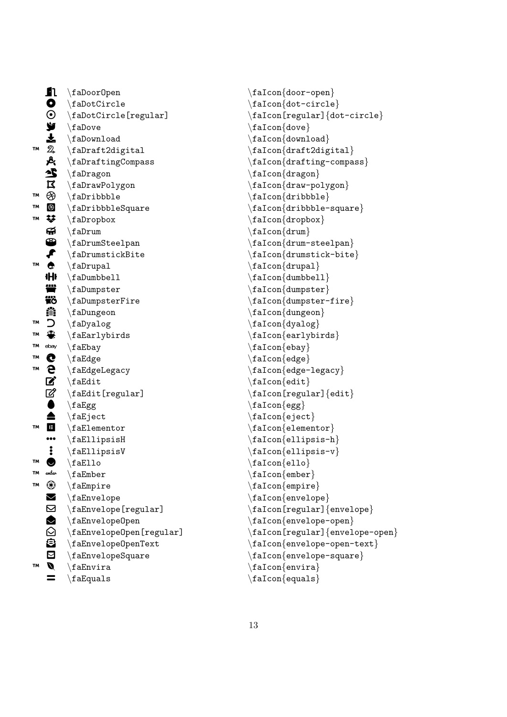|    | Ω                    | $\Lambda$                           |
|----|----------------------|-------------------------------------|
|    |                      | $\Lambda$                           |
|    |                      | \faDotCircle[regular]               |
|    |                      | $\langle$ faDove                    |
|    |                      | $\Lambda$                           |
| TМ | 12199999             | \faDraft2digital                    |
|    | Ŀ,                   | $\Lambda$ abrafting Compass         |
|    | 尘                    | \faDragon                           |
|    | $\Xi$                | \faDrawPolygon                      |
| TM | $\circledast$        | $\Lambda$                           |
| TM | $\circledast$        | $\Lambda$                           |
| TM | ¥.                   | $\langle$ faDropbox                 |
|    | ଳ                    | $\langle$ faDrum                    |
|    | $\bullet$            | $\verb \fabrumSteelpan $            |
|    | ₽                    | $\Lambda$                           |
| TM | $\bullet$            | \faDrupal                           |
|    | 卝                    | $\Lambda$ laDumbbell                |
|    | ťÏ                   | $\Lambda$                           |
|    | <b>Tö</b>            | $\verb \falDumpsterFire $           |
|    | ▓                    | $\Lambda$                           |
| TM | C                    | \faDyalog                           |
| TМ | ♣                    | $\langle$ faEarlybirds              |
| TM | ebay                 | \faEbay                             |
| TΜ |                      | $\setminus$ faEdge                  |
| TΜ | e<br>e               | $\setminus$ faEdgeLegacy            |
|    |                      | $\hat{\tau}$                        |
|    |                      | $\hat{\text{redit}}$ [regular]      |
|    |                      | $\setminus$ fa $Egg$                |
|    |                      | $\backslash$ faEject                |
| TM | <b>Boote</b>         | $\setminus$ faElementor             |
|    | .<br>.               | $\setminus$ faEllipsisH             |
|    | $\ddot{\phantom{a}}$ | $\texttt{fallipsisV}$               |
| TМ | $\bullet$            | $\backslash$ faEllo                 |
| TМ | ember                | $\setminus$ fa $Ember$              |
| TΜ | $^{\circledR}$       | $\setminus$ faEmpire                |
|    |                      | $\setminus$ faEnvelope              |
|    |                      | \faEnvelope[regular]                |
|    | NDOOD                | $\setminus$ faEnvelopeOpen          |
|    |                      | $\setminus$ faEnvelopeOpen[regular] |
|    |                      | $\setminus$ faEnvelope0penText      |
|    |                      | \faEnvelopeSquare                   |
| TМ |                      | $\hat{}$ fa $E$ nvira               |
|    |                      | $\backslash$ faEquals               |

\faIcon {door-open } \faIcon {dot-circle } \faIcon[regular] {dot-circle } \faIcon {dove } \faIcon{download} \faIcon {draft2digital } \faIcon {drafting-compass } \faIcon {dragon } \faIcon {draw-polygon } \faIcon {dribbble } \faIcon {dribbble-square } \faIcon{dropbox} \faIcon {drum } \faIcon {drum-steelpan } \faIcon {drumstick-bite } \faIcon{drupal} \faIcon{dumbbell} \faIcon{dumpster} \faIcon {dumpster-fire } \faIcon {dungeon } \faIcon {dyalog } \faIcon {earlybirds }  $\setminus$ faIcon $\{ebay\}$ \faIcon {edge } \faIcon {edge-legacy }  $\setminus$ faIcon $\{$ edit $\}$ \faIcon[regular] {edit } \faIcon{egg} \faIcon {eject } \faIcon {elementor } \faIcon {ellipsis-h } \faIcon {ellipsis-v } \faIcon {ello }  $\setminus$ faIcon $\{$ ember $\}$ \faIcon {empire } \faIcon{envelope} \faIcon[regular] {envelope } \faIcon {envelope-open } \faIcon[regular] {envelope-open } \faIcon {envelope-open-text } \faIcon{envelope-square} \faIcon {envira } \faIcon {equals }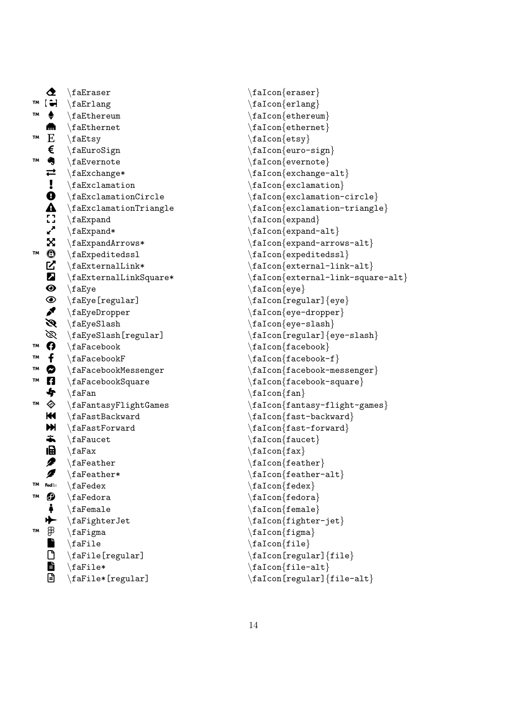|          | 坌                         | $\backslash$ fa $E$ raser                         |
|----------|---------------------------|---------------------------------------------------|
| TМ       | $\ddot{\phantom{a}}$      | $\setminus$ faErlang                              |
| TМ       |                           | $\setminus$ faEthereum                            |
|          | m                         | $\setminus$ faEthernet                            |
| TM       | E                         | $\texttt{f}$ a $E$ tsy                            |
|          | €                         | \faEuroSign                                       |
| TМ       | 4                         | $\setminus$ faEvernote                            |
|          | $\rightleftarrows$        | $\setminus$ faExchange*                           |
|          | $\mathbf{1}_{\mathbf{0}}$ | $\texttt{ack}$                                    |
|          |                           | \faExclamationCircle                              |
|          | $\mathbf{A}$              | $\texttt{faExclamationTriangle}$                  |
|          |                           | $\setminus$ faExpand                              |
|          | ▞                         | $\setminus$ faExpand*                             |
|          | X.                        | $\texttt{aExpandArrows*}$                         |
| TM       | ⊕                         | $\verb \faExpectedss1 $                           |
|          | E<br>E                    | $\frac{t}{t}$ a<br>External<br>Link*              |
|          |                           | $\texttt{fackernallinkSquare*}$                   |
|          | $\bullet$                 | $\setminus$ faEye                                 |
|          | $\bullet$                 | $\setminus$ faEye[regular]                        |
|          |                           | \faEyeDropper                                     |
|          | Ø                         | $\setminus$ faEyeSlash                            |
|          | B                         | \faEyeSlash[regular]                              |
| TΜ       | A                         | $\setminus$ faFacebook                            |
| TM<br>TМ | f                         | $\backslash$ faFacebook $F$                       |
| TМ       | Ø                         | \faFacebookMessenger                              |
|          | A<br>\$                   | \faFacebookSquare                                 |
| TΜ       |                           | $\setminus$ faFan                                 |
|          | ♦<br>KK I                 | $\frac{1}{1}$ aFantasyFlightGames                 |
|          | HN.                       | $\frac{1}{16}$ FastBackward                       |
|          | ÷.                        | $\setminus$ faFastForward<br>$\setminus$ faFaucet |
|          | 阍                         | $\setminus$ faFax                                 |
|          | 2                         | $\setminus$ faFeather                             |
|          |                           | $\texttt{\texttt{aFeather*}}$                     |
| TM       | <b>Fed</b> <sup>2</sup>   | $\setminus$ faFedex                               |
| TM       | 0                         | $\setminus$ faFedora                              |
|          | Å                         | $\setminus$ faFemale                              |
|          | ✦                         | $\setminus$ faFighterJet                          |
| TΜ       | சி                        | \faFigma                                          |
|          |                           | $\frac{1}{e}$                                     |
|          |                           | \faFile[regular]                                  |
|          | l de e                    | $\langle$ faFile*                                 |
|          |                           | $\backslash$ faFile*[regular]                     |

```
\faIcon
{eraser
}
\faIcon
{erlang
}
\faIcon
{ethereum
}
\faIcon{ethernet}
\faIcon{etsy}
\faIcon
{euro-sign
}
\faIcon
{evernote
}
\setminusfaIcon\{exchange-alt\}\faIcon{exclamation}
\faIcon
{exclamation-circle
}
\faIcon
{exclamation-triangle
}
\faIcon
{expand
}
\setminusfaIcon\{ \tt expand \text{-} alt \}\faIcon
{expand-arrows-alt
}
\faIcon
{expeditedssl
}
\faIcon
{external-link-alt
}
\faIcon
{external-link-square-alt
}
\faIcon
{eye
}
\faIcon[regular]
{eye
}
\faIcon
{eye-dropper
}
\faIcon
{eye-slash
}
\faIcon[regular]
{eye-slash
}
\faIcon{facebook}
\setminusfaIcon\{facebook-f\}\faIcon
{facebook-messenger
}
\faIcon
{facebook-square
}
\setminusfaIcon\{ fan \}\faIcon
{fantasy-flight-games
}
\faIcon{fast-backward}
\faIcon
{fast-forward
}
\faIcon{faucet}
\setminusfaIcon\{fax\}\faIcon{feather}
\faIcon
{feather-alt
}
\setminusfaIcon\{fedex\}\faIcon
{fedora
}
\faIcon{female}
\faIcon
{fighter-jet
}
\faIcon
{figma
}
\faIcon
{file
}
\faIcon[regular]
{file
}
\setminusfaIcon\{file-alt\}\faIcon[regular]
{file-alt
}
```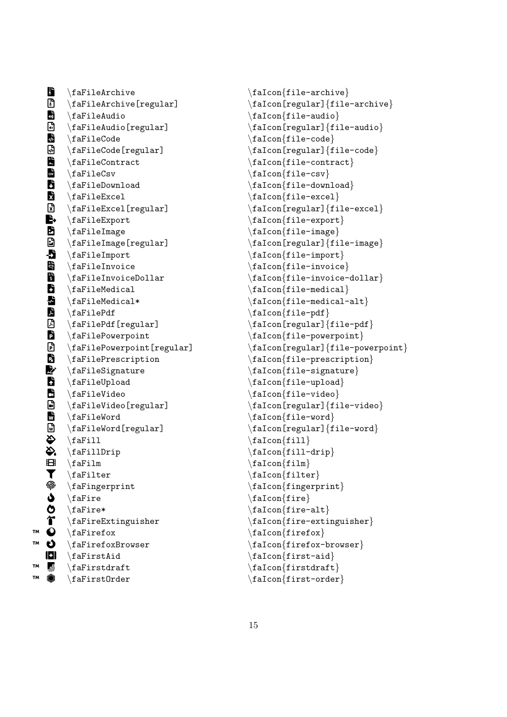B \faFileArchive B \faFileArchive[regular] **CD** \faFileAudio  $\blacksquare$ \faFileAudio[regular] **DE** \faFileCode  $\overline{\overline{\mathbb{Q}}}$ \faFileCode[regular] E \faFileContract F \faFileCsv G \faFileDownload **ki** \faFileExcel **R** \faFileExcel[regular] le, \faFileExport J \faFileImage **D** \faFileImage[regular]  $\bullet$ \faFileImport **Land** \faFileInvoice  $\overline{\mathbf{B}}$ \faFileInvoiceDollar **B** \faFileMedical **M** \faFileMedical\*  $\mathbf{A}$ \faFilePdf  $\mathbb{Z}$ \faFilePdf[regular] Q \faFilePowerpoint  $\mathbf{D}$ \faFilePowerpoint[regular] R \faFilePrescription  $\blacktriangleright$ \faFileSignature **R** \faFileUpload U \faFileVideo  $\blacksquare$ \faFileVideo[regular] V \faFileWord V \faFileWord[regular]  $\sum_{i=1}^{n}$ \faFill X \faFillDrip  $\mathbf{H}$ \faFilm **T** \faFilter  $\widehat{\mathbb{P}}$ \faFingerprint \ \faFire ပ \faFire\* **î** \faFireExtinguisher  $\ddot{\mathbf{O}}$ \faFirefox  $\ddot{\mathbf{o}}$ \faFirefoxBrowser  $\blacksquare$ \faFirstAid ™ <mark>⊮</mark> \faFirstdraft û \faFirstOrder

™

™

™

\faIcon {file-archive }  $\setminus$ faIcon[regular] $\{ \text{file-archive} \}$  $\setminus$ faIcon $\{$ file-audio $\}$ \faIcon[regular] {file-audio }  $\setminus$ faIcon $\{$ file-code $\}$  $\setminus$ faIcon[regular] $\{ \text{file-code} \}$ \faIcon {file-contract } \faIcon {file-csv }  $\setminus$ faIcon $\{\texttt{file-download}\}$ \faIcon {file-excel } \faIcon[regular] {file-excel } \faIcon {file-export } \faIcon {file-image } \faIcon[regular] {file-image } \faIcon {file-import } \faIcon {file-invoice } \faIcon {file-invoice-dollar }  $\setminus$ faIcon $\{$ file-medical $\}$  $\setminus$ faIcon $\{$ file-medical-alt $\}$ \faIcon{file-pdf} \faIcon[regular] {file-pdf } \faIcon {file-powerpoint } \faIcon[regular] {file-powerpoint } \faIcon {file-prescription } \faIcon {file-signature }  $\setminus$ faIcon $\{$ file-upload $\}$ \faIcon {file-video } \faIcon[regular] {file-video } \faIcon {file-word } \faIcon[regular] {file-word }  $\setminus$ faIcon $\{$ fill $\}$ \faIcon {fill-drip }  $\setminus$ faIcon $\{$ film $\}$ \faIcon {filter } \faIcon {fingerprint }  $\setminus$ faIcon $\{$ fire $\}$ \faIcon {fire-alt } \faIcon {fire-extinguisher } \faIcon {firefox } \faIcon {firefox-browser } \faIcon{first-aid} \faIcon {firstdraft }  $\setminus$ faIcon $\{first-order\}$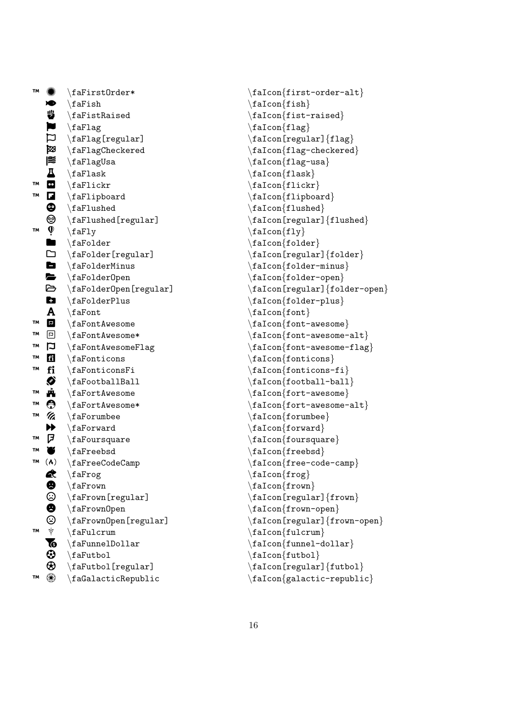| TМ        |                                                              | $\texttt{aFirstOrder*}$               |
|-----------|--------------------------------------------------------------|---------------------------------------|
|           | xD                                                           | $\setminus$ faFish                    |
|           | ₩                                                            | $\Lambda$                             |
|           | $\mathbf{L}$                                                 | \faFlag                               |
|           |                                                              | $\setminus$ faFlag[regular]           |
|           | Ø                                                            | $\{faFlagCheckered$                   |
|           | 爬                                                            | $\setminus$ faFlagUsa                 |
|           | Д                                                            | $\langle$ faFlask                     |
| TМ        | $\bullet$                                                    | $\langle$ faFlickr                    |
| TΜ        | Z                                                            | $\left\{ \Delta F1ipboard\right\}$    |
|           | ⊕                                                            | $\Lambda$                             |
|           | $\overset{\circlede}{\bullet}$                               | $\texttt{aflushed}[\texttt{regular}]$ |
| TM        |                                                              | $\langle$ faFly                       |
|           |                                                              | $\setminus$ faFolder                  |
|           | $\begin{array}{c} \bullet \\ \bullet \\ \bullet \end{array}$ | $\verb \faFolder[regular] $           |
|           |                                                              | $\Lambda$ FolderMinus                 |
|           |                                                              | $\setminus$ faFolderOpen              |
|           | ð                                                            | $\verb \farolderOpen[regular] $       |
|           | Ċ٦                                                           | $\setminus$ faFolderPlus              |
|           | $\mathbf{A}$                                                 | $\setminus$ faFont                    |
| TΜ        | $\mathbf{E}$                                                 | $\setminus$ faFontAwesome             |
| TΜ        | $\Xi$                                                        | $\setminus$ faFontAwesome*            |
| TΜ        | $\mathbf{\Xi}$                                               | \faFontAwesomeFlag                    |
| TM        | fi                                                           | $\Lambda$                             |
| TМ        | fi                                                           | $\setminus$ faFonticonsFi             |
|           | ◈                                                            | $\frac{1}{2}$                         |
| TΜ        | ń,                                                           | $\setminus$ faFortAwesome             |
| TM        | $\bf \odot$                                                  | $\setminus$ faFortAwesome*            |
| TM        | Va                                                           | $\setminus$ faForumbee                |
|           | $\blacktriangleright$                                        | $\setminus$ faForward                 |
| TΜ        | 尸                                                            | $\setminus$ faFoursquare              |
| TΜ        | $\bullet$                                                    | $\setminus$ faFreebsd                 |
| <b>TM</b> | $(\lambda)$                                                  | $\backslash$ faFreeCodeCamp           |
|           |                                                              | $\backslash$ faFrog                   |
|           |                                                              | $\setminus$ faFrown                   |
|           |                                                              | $\setminus$ faFrown[regular]          |
|           |                                                              | $\setminus$ faFrownOpen               |
|           |                                                              | \faFrownOpen[regular]                 |
| TМ        | <b>≪⊖⊙⊖</b> ♡* №⊕⊕                                           | $\frac{1}{2}$                         |
|           |                                                              | $\frac{1}{\text{aFunnelDollar}}$      |
|           |                                                              | \faFutbol                             |
|           |                                                              | $\setminus$ faFutbol[regular]         |
| TМ        | ۰                                                            | \faGalacticRepublic                   |

```
\faIcon
{first-order-alt
}
\setminusfaIcon\{ \text{fish} \}\setminusfaIcon\{fist-raised\}\faIcon{flag}
\setminusfaIcon[regular]\{flag\}\setminusfaIcon\{flag-checkered\}\faIcon{flag-usa}
\faIcon
{flask
}
\setminusfaIcon\{ickr\}\faIcon
{flipboard
}
\faIcon{flushed}
\faIcon[regular]
{flushed
}
\setminusfaIcon\{fly\}\setminusfaIcon\{folder\}\setminusfaIcon[regular]\{ \text{folder} \}\faIcon{folder-minus}
\faIcon
{folder-open
}
\faIcon[regular]
{folder-open
}
\faIcon
{folder-plus
}
\setminusfaIcon\{font\}\setminusfaIcon\{font-awesome\}\faIcon{font-awesome-alt}
\faIcon
{font-awesome-flag
}
\faIcon
{fonticons
}
\faIcon
{fonticons-fi
}
\faIcon{football-ball}
\setminusfaIcon\{fort-awesome\}\setminusfaIcon\{fort-awesome-alt\}\faIcon{forumbee}
\faIcon{forward}
\setminusfaIcon\{foursquare\}\faIcon{freebsd}
\faIcon
{free-code-camp
}
\faIcon
{frog
}
\faIcon
{frown
}
\setminusfaIcon[regular]\{frown\}\faIcon
{frown-open
}
\faIcon[regular]
{frown-open
}
\faIcon{fulcrum}
\setminusfaIcon\{ \text{funnel-dollar} \}\faIcon
{futbol
}
\setminusfaIcon[regular]\{ \text{futbol} \}\faIcon
{galactic-republic
}
```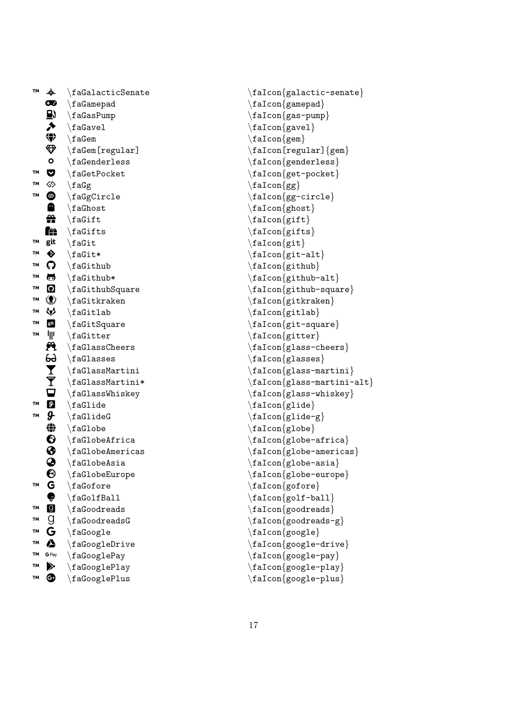| <b>TM</b> | ♣                        | $\Lambda$ calacticSenate    |
|-----------|--------------------------|-----------------------------|
|           | œ                        | $\setminus$ faGamepad       |
|           |                          | $\setminus$ faGasPump       |
|           | 国夕                       | $\backslash$ faGavel        |
|           | ◈                        | $\setminus$ faGem           |
|           | $\bigcirc$               | $\setminus$ faGem[regular]  |
|           | O                        | $\backslash$ faGenderless   |
| TΜ        | V                        | $\Lambda$                   |
| TM        | ♦                        | $\setminus f \text{aGg}$    |
| <b>TM</b> | o a t                    | $\setminus$ faGgCircle      |
|           |                          | $\setminus$ faGhost         |
|           |                          | $\setminus$ faGift          |
|           | ře                       | $\verb \faGifts $           |
| TΜ        | git                      | $\setminus$ faGit           |
| TM        | $\ddot{\bullet}$         | $\forall$ faGit*            |
| TM        | Q                        | $\setminus$ faGithub        |
| TМ        | 6                        | $\forall$ faGithub*         |
| TM        | $\boldsymbol{\Theta}$    | $\frac{1}{1}$ aGithubSquare |
| TM        | $\circledast$            | $\forall$ faGitkraken       |
| TM        | ₩                        | \faGitlab                   |
| TМ        | git                      | $\setminus f$ aGitSquare    |
| TM        | ┉                        | $\setminus$ faGitter        |
|           | Ą                        | $\backslash$ faGlassCheers  |
|           | $\widetilde{\mathbf{F}}$ | $\backslash$ faGlasses      |
|           |                          | $\Lambda$ s SMartini        |
|           |                          | $\Lambda^*$                 |
|           | Ò<br>Ø                   | $\backslash$ faGlassWhiskey |
| TΜ        |                          | $\backslash$ faGlide        |
| TM        | д.                       | $\backslash$ faGlideG       |
|           | ⊕                        | $\backslash$ faGlobe        |
|           | $\boldsymbol{\Theta}$    | $\backslash$ faGlobeAfrica  |
|           | ❸<br>$\mathbf 3$         | $\setminus$ faGlobeAmericas |
|           |                          | $\backslash$ faGlobeAsia    |
| TМ        | 0                        | $\backslash$ faGlobeEurope  |
|           |                          | \faGofore                   |
| TМ        |                          | $\setminus$ faGolfBall      |
| TΜ        | Geggg                    | $\setminus$ faGoodreads     |
| <b>TM</b> |                          | $\setminus$ faGoodreadsG    |
| TΜ        | Δ                        | $\setminus$ faGoogle        |
| TΜ        | G Pay                    | $\setminus$ faGoogleDrive   |
| TΜ        | ⋟                        | \faGooglePay                |
| TМ        | ❹                        | \faGooglePlay               |
|           |                          | $\backslash$ faGooglePlus   |

\faIcon {galactic-senate } \faIcon{gamepad} \faIcon {gas-pump } \faIcon{gavel} \faIcon{gem}  $\setminus$ faIcon[regular] $\{ {\rm gem} \}$  $\setminus$ faIcon $\{$ genderless $\}$ \faIcon {get-pocket } \faIcon {gg } \faIcon {gg-circle } \faIcon {ghost } \faIcon{gift} \faIcon {gifts }  $\setminus$ faIcon $\{$ git $\}$ \faIcon {git-alt } \faIcon {github }  $\setminus$ faIcon $\{$ github-alt $\}$ \faIcon {github-square } \faIcon {gitkraken } \faIcon {gitlab }  $\setminus$ faIcon $\{$ git-square $\}$ \faIcon {gitter }  $\setminus$ faIcon $\{ {\rm glass\text{-}cheers} \}$ \faIcon {glasses } \faIcon{glass-martini} \faIcon {glass-martini-alt } \faIcon {glass-whiskey }  $\setminus$ faIcon $\{$ glide $\}$ \faIcon {glide-g } \faIcon {globe } \faIcon {globe-africa } \faIcon {globe-americas }  $\setminus$ faIcon $\{$ globe-asia $\}$  $\setminus$ faIcon $\{$ globe-europe $\}$ \faIcon {gofore } \faIcon{golf-ball} \faIcon {goodreads } \faIcon {goodreads-g } \faIcon {google } \faIcon {google-drive } \faIcon {google-pay } \faIcon {google-play } \faIcon {google-plus }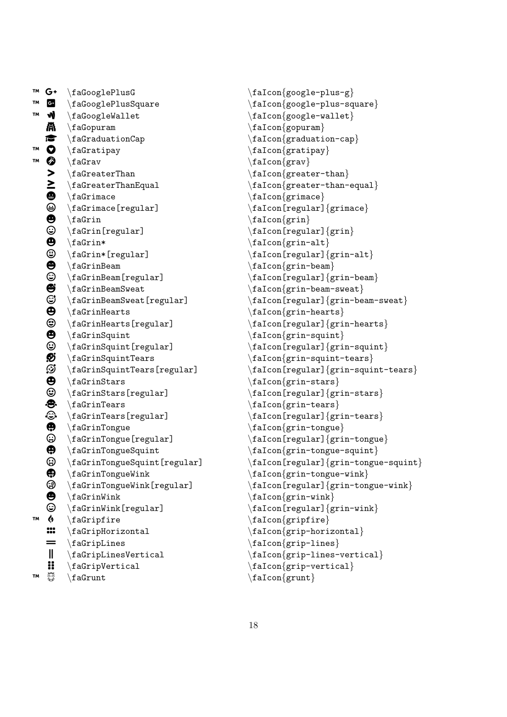```
G: \faGooglePlusSquare \faIcon{google-plus-square}
W \in \mathcal{A} \faGoogleWallet \faIcon{google-wallet}
   \mathbb{A} \faGopuram \text{fac}\bullet \faGraduationCap \faIcon{graduation-cap}
™ » \faGratipay \faIcon{gratipay}
   \bullet \faGrav \faIcon{grav}
    \left.\right\} \faGreaterThan \faIcon{greater-than}
    \sum \faGreaterThanEqual \faIcon{greater-than-equal}
    ● \faGrimace \faGrimace \faIcon{grimace}<br>→ \faGrimace[regular] \faIcon[regular]
          \faGrimace[regular] \faIcon[regular]{grimace}
    \begin{array}{ll}\n\text{4} & \text{4} & \text{4} \\
\text{5} & \text{6} & \text{6} \\
\text{6} & \text{7} & \text{7} \\
\text{7} & \text{8} & \text{7} \\
\text{8} & \text{9} & \text{1} \\
\text{9} & \text{1} & \text{1} & \text{1} \\
\text{1} & \text{1} & \text{1} & \text{1} \\
\text{1} & \text{1} & \text{1} & \text{1} \\
\text{1} & \text{1} & \text{1} & \text{1} \\
\text{2} & \text{2} & \text{3} & \text{2} \\
\text\faGrin[regular] \faIcon[regular] \faIcon[regular] \faIcon[regular] \faIcon [regular] \faIcon [regular] \faIcon [regular] \faIcon [regular] \faIcon [regular] \faIcon [regular] \faIcon [regular] \faIcon [regular] \faIcon [r
    \begin{array}{ccc}\n\bullet & \text{faffian*} & \text{faffon}\{\text{grin-alt}\} \tag{faffon} & \text{faffon} \end{array} \faGrin*[regular] \faIcon[regular]{grin-alt}
    \begin{array}{c} \text{#} \\ \text{faGrinBeam} \\ \text{fafrinBeam} \\ \text{ifaGrinBeam} \\ \end{array}\faGrinBeam[regular] \faIcon[regular]{grin-beam}
    \bullet \faGrinBeamSweat \faIcon{grin-beam-sweat}<br>
\bullet \faGrinBeamSweat[regular] \faIcon[regular]{grin-be
    \begin{array}{ll}\n\bullet \\
\text{faffinHearts} \\
\bullet \\
\text{faffinHearts} \end{array}\bullet \faGrinHearts[regular] \faIcon[regular] {grin-hearts}<br>
\bullet \faGrinSquint \faIcon{grin-squint}
         \frac{grin-Squint}{\bigcirc \faGrinSquint[regular] \faIcon[regular]{grin-squint}
   \overline{\mathcal{D}} \faGrinSquintTears \faIcon{grin-squint-tears}<br>\overline{\mathcal{D}} \faGrinSquintTears[regular] \faIcon[regular]{grin-squi
   \bigoplus \faGrinStars \faIcon{grin-stars}
    \bigoplus \faGrinStars[regular] \faIcon[regular]{grin-stars}
   \bullet \faGrinTears<br>
\circ \faGrinTears[regular] \faIcon[grin-tears}
    \begin{array}{ll}\text{\textcolor{red}{\textbf{``}}\textbf{``}}\quad \text{for (regular)} \quad \text{for (regular)} \quad \text{for (regular)}\quad \text{for (regular)}\quad \text{for (regular)}\quad \text{for (regular)}\quad \text{for (linear)}\quad \text{for (linear)}\quad \text{for (linear)}\quad \text{for (linear)}\quad \text{for (linear)}\quad \text{for (linear)}\quad \text{for (linear)}\quad \text{for (linear)}\quad \text{for (linear)}\quad \text{for (linear)}\quad \text{for (linear)}\quad \text{for (linear)}\quad \text{for (linear)}\quad \text{for (linear)}\quad \text{for (linear)}\quad \text{\bigoplus \faGrinTongue \faIcon{grin-tongue}<br>
\bigoplus \faGrinTongue[regular] \faIcon[regular]{gri
    \bullet \faGrinTongueSquint \faIcon{grin-tongue-squint}
   \bigoplus \faGrinTongueWink \faIcon{grin-tongue-wink}
   \bigoplus \faGrinWink \faIcon{grin-wink}
   \bigcirc \faGrinWink[regular] \faIcon[regular]{grin-wink}
W \phi \faCripfire \{faff\} \faGripHorizontal \faIcon{grip-horizontal}
    = \{faffirplines \{falfcm\}\parallel \faGripLinesVertical \faIcon{grip-lines-vertical}
    \text{a} \text{GripVertical}T^M \{a\} \faCrunt \{a\}
```

```
T^M G^+ \{facOoglePlusG \{facOogle-plus-g\}\begin{array}{ll}\n\begin{array}{ll}\n\end{array}\n\begin{array}{ll}\n\end{array}\n\text{for}[regular]\{grin-beam-sweat}\n\end{array} \faGrinSquintTears[regular] \faIcon[regular]{grin-squint-tears}
       \faGrinTongue[regular] \faIcon[regular] {grin-tongue}
  \bigcirc \faGrinTongueSquint[regular] \faIcon[regular]{grin-tongue-squint}
  \circled{ } \faGrinTongueWink[regular] \faIcon[regular]{grin-tongue-wink}
```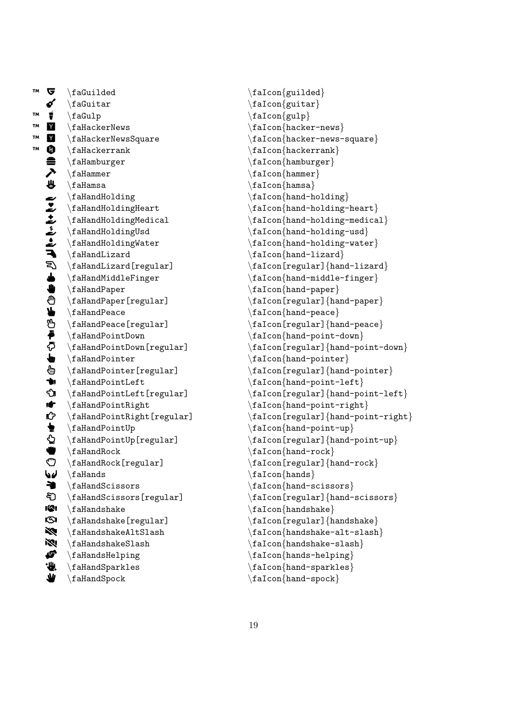™  $\mathbf{r}$ \faGuilded ó \faGuitar ™ À \faGulp ™ Á \faHackerNews ™  $\mathbf{Y}$ \faHackerNewsSquare ™  $\bf \bm 0$ \faHackerrank ≘ \faHamburger ↗ \faHammer ₩ \faHamsa Ł \faHandHolding ∠ \faHandHoldingHeart ¢ \faHandHoldingMedical £ \faHandHoldingUsd ¤ \faHandHoldingWater ¥ \faHandLizard হ\ \faHandLizard[regular] طہ \faHandMiddleFinger § \faHandPaper § \faHandPaper[regular] ¨ \faHandPeace ¨ \faHandPeace[regular] © \faHandPointDown © \faHandPointDown[regular] ª \faHandPointer ª \faHandPointer[regular] « \faHandPointLeft « \faHandPointLeft[regular] ¬ \faHandPointRight  $\mathbf{r}$ \faHandPointRight[regular] ₩ \faHandPointUp  $\ddot{Q}$ \faHandPointUp[regular] ® \faHandRock ® \faHandRock[regular] ¯ \faHands **→** \faHandScissors දි) \faHandScissors[regular] ± \faHandshake  $\mathbf{G}$ \faHandshake[regular]  $\aleph$ \faHandshakeAltSlash ³ \faHandshakeSlash ´ \faHandsHelping "业 \faHandSparkles ₩ \faHandSpock

\faIcon{guilded} \faIcon {guitar }  $\setminus$ faIcon $\{gulp\}$ \faIcon {hacker-news } \faIcon {hacker-news-square }  $\setminus$ faIcon $\{$ hackerrank $\}$ \faIcon {hamburger } \faIcon {hammer } \faIcon {hamsa } \faIcon {hand-holding } \faIcon{hand-holding-heart} \faIcon{hand-holding-medical} \faIcon {hand-holding-usd } \faIcon {hand-holding-water } \faIcon {hand-lizard } \faIcon[regular] {hand-lizard } \faIcon {hand-middle-finger }  $\setminus$ faIcon $\{$ hand-paper $\}$ \faIcon[regular] {hand-paper }  $\setminus$ faIcon $\{$ hand-peace $\}$  $\setminus$ faIcon[regular] $\{$ hand-peace $\}$ \faIcon {hand-point-down } \faIcon[regular] {hand-point-down } \faIcon {hand-pointer } \faIcon[regular] {hand-pointer } \faIcon{hand-point-left} \faIcon[regular] {hand-point-left } \faIcon {hand-point-right } \faIcon[regular] {hand-point-right } \faIcon {hand-point-up } \faIcon[regular] {hand-point-up } \faIcon{hand-rock}  $\setminus$ faIcon[regular] $\{hand-rock\}$ \faIcon {hands }  $\setminus$ faIcon $\{$ hand-scissors $\}$ \faIcon[regular] {hand-scissors } \faIcon {handshake } \faIcon[regular] {handshake } \faIcon {handshake-alt-slash } \faIcon {handshake-slash } \faIcon{hands-helping} \faIcon {hand-sparkles }  $\setminus$ faIcon $\{$ hand-spock $\}$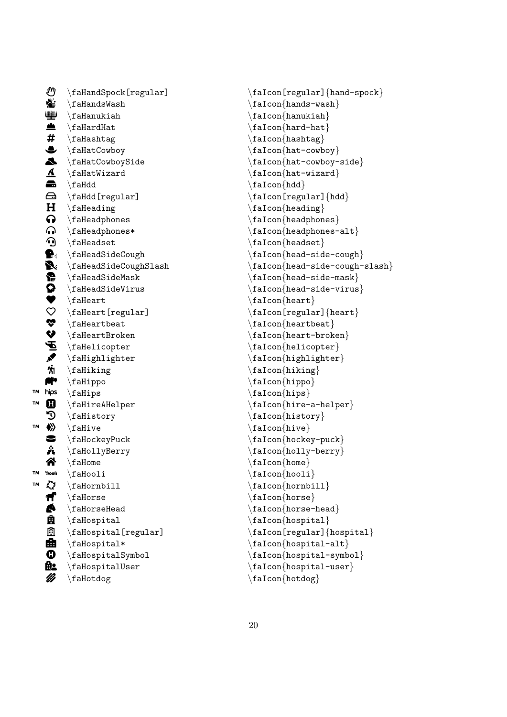¶ \faHandSpock[regular] ł. \faHandsWash رتنت \faHanukiah en de la partie de la partie de la partie de la partie de la partie de la partie de la partie de la partie de la partie de la partie de la partie de la partie de la partie de la partie de la partie de la partie de la parti \faHardHat  $#$ \faHashtag  $\bullet$ \faHatCowboy ¼ \faHatCowboySide  $\Delta$ \faHatWizard  $\bullet$ \faHdd  $\bigoplus$ \faHdd[regular]  $H$ \faHeading  $\Omega$ \faHeadphones Á \faHeadphones\*  $\boldsymbol{\Omega}$ \faHeadset **R** \faHeadSideCough Ä \faHeadSideCoughSlash Å \faHeadSideMask  $\boldsymbol{\Omega}$ \faHeadSideVirus ♥ \faHeart  $\ddot{\circ}$ \faHeart[regular] È \faHeartbeat É \faHeartBroken Ê \faHelicopter Ë \faHighlighter Ì \faHiking **fi** \faHippo ™ hips \faHips ™  $\mathbf{m}$ \faHireAHelper n. \faHistory ™  $\langle \rangle$ \faHive Ï \faHockeyPuck Ð \faHollyBerry Ñ \faHome ™ <sup>G</sup>iooli \faHooli ™ È \faHornbill Ò \faHorse **A** \faHorseHead Ĥ. \faHospital Ô \faHospital[regular]  $\blacksquare$  \faHospital\* Ö \faHospitalSymbol **n**e \faHospitalUser Ø \faHotdog

\faIcon[regular] {hand-spock }  $\setminus$ faIcon $\{$ hands-wash $\}$ \faIcon {hanukiah } \faIcon{hard-hat} \faIcon {hashtag } \faIcon {hat-cowboy } \faIcon {hat-cowboy-side } \faIcon {hat-wizard } \faIcon {hdd } \faIcon[regular] {hdd } \faIcon{heading} \faIcon {headphones }  $\setminus$ faIcon $\{$ headphones-alt $\}$ \faIcon {headset } \faIcon{head-side-cough} \faIcon {head-side-cough-slash }  $\setminus$ faIcon $\{$ head-side-mask $\}$ \faIcon {head-side-virus } \faIcon {heart }  $\setminus$ faIcon[regular] $\{heart\}$ \faIcon {heartbeat } \faIcon {heart-broken }  $\setminus$ faIcon $\{$ helicopter $\}$ \faIcon {highlighter } \faIcon {hiking } \faIcon {hippo } \faIcon {hips } \faIcon {hire-a-helper } \faIcon {history } \faIcon {hive } \faIcon {hockey-puck } \faIcon {holly-berry } \faIcon{home}  $\setminus$ faIcon $\{ \text{hooli} \}$ \faIcon{hornbill} \faIcon {horse }  $\setminus$ faIcon $\{h$ orse-head $\}$ \faIcon{hospital} \faIcon[regular] {hospital } \faIcon {hospital-alt } \faIcon {hospital-symbol } \faIcon {hospital-user } \faIcon {hotdog }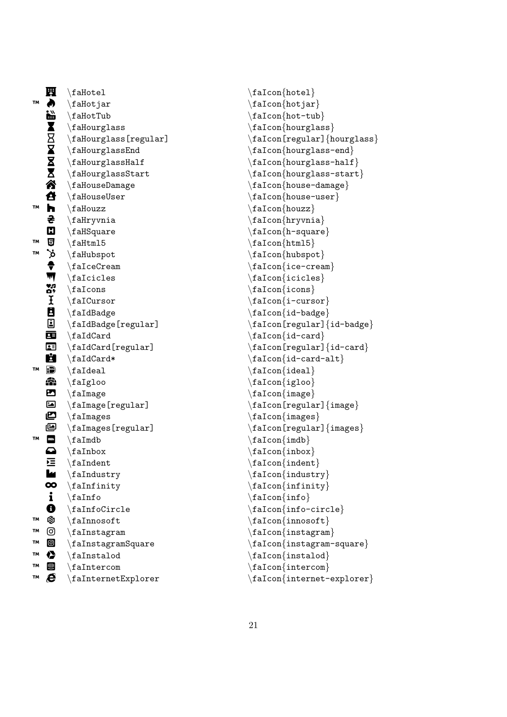|    | 鬦                  | $\Lambda$                                                                                                                                                                                                                                             |
|----|--------------------|-------------------------------------------------------------------------------------------------------------------------------------------------------------------------------------------------------------------------------------------------------|
| TМ | À                  | $\verb \faldotjar $                                                                                                                                                                                                                                   |
|    |                    |                                                                                                                                                                                                                                                       |
|    |                    |                                                                                                                                                                                                                                                       |
|    |                    | \faHourglass[regular]                                                                                                                                                                                                                                 |
|    |                    | $\Lambda$                                                                                                                                                                                                                                             |
|    |                    | $\Lambda$                                                                                                                                                                                                                                             |
|    |                    | $\{\text{fallowglassStart}\}$                                                                                                                                                                                                                         |
|    |                    | $\setminus$ faHouseDamage                                                                                                                                                                                                                             |
|    |                    |                                                                                                                                                                                                                                                       |
| TM |                    | \faHotjar<br>\faHotJar<br>\faHourglass<br>$\boxtimes$ \faHourglass<br>\faHourglass<br>\faHourglass<br>\faHourglass<br>\faHourglass<br>\faHouseDama<br>\faHouseDama<br>\faHouseDama<br>\faHouzz<br>\faHryvnia<br>\faHSquare<br>\faHfunl5<br>\faHubspot |
|    |                    |                                                                                                                                                                                                                                                       |
|    |                    |                                                                                                                                                                                                                                                       |
| TМ |                    |                                                                                                                                                                                                                                                       |
| TМ |                    |                                                                                                                                                                                                                                                       |
|    |                    | $\setminus$ faIceCream                                                                                                                                                                                                                                |
|    |                    |                                                                                                                                                                                                                                                       |
|    |                    | b<br>A dialubspot<br>falceCrea<br>falcicles<br>M<br>falcursor<br>faldBadge<br>F dialubspot<br>faldBadge                                                                                                                                               |
|    |                    |                                                                                                                                                                                                                                                       |
|    |                    |                                                                                                                                                                                                                                                       |
|    | $\bar{\mathbf{E}}$ | $\verb \false  (regular)$                                                                                                                                                                                                                             |
|    | 国                  | $\Lambda$                                                                                                                                                                                                                                             |
|    |                    | $\texttt{faldCard}$ [regular]                                                                                                                                                                                                                         |
| TM |                    | $\hat{\tau}$                                                                                                                                                                                                                                          |
|    | Ð<br>4             | $\setminus$ faIdeal<br>$\langle faffaloo$                                                                                                                                                                                                             |
|    | ◚                  | $\setminus$ faImage                                                                                                                                                                                                                                   |
|    | $\blacksquare$     | $\verb \falmage[regular] $                                                                                                                                                                                                                            |
|    | உ                  | $\setminus$ faImages                                                                                                                                                                                                                                  |
|    | 国                  | $\setminus$ faImages[regular]                                                                                                                                                                                                                         |
| TΜ |                    | $\setminus$ faImdb                                                                                                                                                                                                                                    |
|    |                    | $\Lambda$                                                                                                                                                                                                                                             |
|    | 弖                  | $\Lambda$                                                                                                                                                                                                                                             |
|    | ш                  | $\setminus$ faIndustry                                                                                                                                                                                                                                |
|    | $\infty$           | $\Lambda$                                                                                                                                                                                                                                             |
|    | $\mathbf{i}$       | $\Lambda$                                                                                                                                                                                                                                             |
|    | $\mathbf 0$        | \faInfoCircle                                                                                                                                                                                                                                         |
| TΜ | Ø                  | $\Lambda$                                                                                                                                                                                                                                             |
| TΜ | ම                  | \faInstagram                                                                                                                                                                                                                                          |
| TM | $\circledcirc$     | \faInstagramSquare                                                                                                                                                                                                                                    |
| TΜ | ▶                  | $\Lambda$                                                                                                                                                                                                                                             |
| TΜ | 四                  | $\Lambda$                                                                                                                                                                                                                                             |
| TΜ | e                  | \faInternetExplorer                                                                                                                                                                                                                                   |

\faIcon {hotel }  $\setminus$ faIcon $\{$ hotjar $\}$ \faIcon {hot-tub } \faIcon{hourglass} \faIcon[regular] {hourglass }  $\setminus$ faIcon $\{hourglass-end\}$ \faIcon {hourglass-half } \faIcon {hourglass-start }  $\setminus$ faIcon $\{$ house-damage $\}$ \faIcon {house-user } \faIcon {houzz } \faIcon {hryvnia } \faIcon {h-square } \faIcon {html5 } \faIcon{hubspot} \faIcon {ice-cream } \faIcon {icicles } \faIcon {icons } \faIcon {i-cursor } \faIcon {id-badge } \faIcon[regular] {id-badge } \faIcon{id-card}  $\setminus$ faIcon[regular] $\set{id\text{-}card}$  $\setminus$ faIcon $\{id\text{-card-alt}\}$ \faIcon {ideal } \faIcon {igloo } \faIcon {image }  $\setminus$ faIcon[regular] $\{image\}$ \faIcon {images }  $\setminus$ faIcon[regular] $\{images\}$ \faIcon{imdb} \faIcon {inbox } \faIcon{indent} \faIcon {industry } \faIcon {infinity } \faIcon {info } \faIcon {info-circle } \faIcon{innosoft} \faIcon {instagram } \faIcon {instagram-square } \faIcon{instalod} \faIcon {intercom } \faIcon {internet-explorer }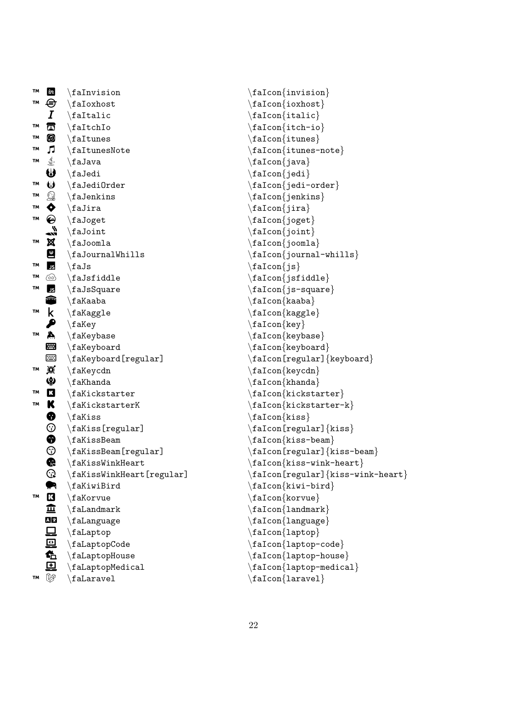| TM        | $\boldsymbol{\dot{m}}$                                                                                                                                                                                                                                                                                                                                                                                | $\Lambda$                                  |
|-----------|-------------------------------------------------------------------------------------------------------------------------------------------------------------------------------------------------------------------------------------------------------------------------------------------------------------------------------------------------------------------------------------------------------|--------------------------------------------|
| TМ        | ⊜                                                                                                                                                                                                                                                                                                                                                                                                     | $\lambda$                                  |
|           | $\boldsymbol{I}$                                                                                                                                                                                                                                                                                                                                                                                      | $\hat{\tau}$                               |
| TМ        | $\mathbb{Z}$                                                                                                                                                                                                                                                                                                                                                                                          | $\Lambda$                                  |
| TM        | $\bigcirc$                                                                                                                                                                                                                                                                                                                                                                                            | $\Lambda$                                  |
| <b>TM</b> |                                                                                                                                                                                                                                                                                                                                                                                                       | $\sqrt{ }$ \faItunesNote                   |
| TМ        | €                                                                                                                                                                                                                                                                                                                                                                                                     | $\langle$ faJava                           |
|           | ₩                                                                                                                                                                                                                                                                                                                                                                                                     | $\setminus$ faJedi                         |
| TM        |                                                                                                                                                                                                                                                                                                                                                                                                       | $\bigcup$ \faJedi0rder                     |
| TΜ        |                                                                                                                                                                                                                                                                                                                                                                                                       | $\mathbb{Q}$ \faJenkins                    |
| TM        |                                                                                                                                                                                                                                                                                                                                                                                                       | $\sum_{i=1}^{n}$                           |
| TМ        |                                                                                                                                                                                                                                                                                                                                                                                                       | $\Theta$ \faJoget                          |
|           |                                                                                                                                                                                                                                                                                                                                                                                                       | $\sqrt{\phantom{a}}$ $\times$ $\times$     |
| TΜ        | X                                                                                                                                                                                                                                                                                                                                                                                                     | $\setminus$ faJoomla                       |
|           | $\frac{4}{5}$                                                                                                                                                                                                                                                                                                                                                                                         | $\Lambda$                                  |
| TM        |                                                                                                                                                                                                                                                                                                                                                                                                       | $\langle$ faJs                             |
| TΜ        | $\circledcirc$                                                                                                                                                                                                                                                                                                                                                                                        | $\Lambda$                                  |
| TМ        | JS                                                                                                                                                                                                                                                                                                                                                                                                    | $\langle$ faJsSquare                       |
|           | <mark>●</mark>                                                                                                                                                                                                                                                                                                                                                                                        | $\setminus$ faKaaba                        |
| <b>TM</b> |                                                                                                                                                                                                                                                                                                                                                                                                       | $k$ \faKaggle                              |
|           |                                                                                                                                                                                                                                                                                                                                                                                                       | $\blacktriangleright$ \fakey               |
| TΜ        | A,                                                                                                                                                                                                                                                                                                                                                                                                    | $\setminus$ faKeybase                      |
|           | œ                                                                                                                                                                                                                                                                                                                                                                                                     | $\setminus$ faKeyboard                     |
|           | æ                                                                                                                                                                                                                                                                                                                                                                                                     | $\setminus$ faKeyboard[regular]            |
| TM        | Ø                                                                                                                                                                                                                                                                                                                                                                                                     | $\setminus$ faKeycdn                       |
|           | ♥                                                                                                                                                                                                                                                                                                                                                                                                     | $\Lambda$                                  |
| TΜ        | $\mathbf{K}$                                                                                                                                                                                                                                                                                                                                                                                          | $\hat{\mathbf{X}}$ ickstarter              |
| TМ        | K                                                                                                                                                                                                                                                                                                                                                                                                     | $\verb \fakickstarterK $                   |
|           | ❸                                                                                                                                                                                                                                                                                                                                                                                                     | $\hat{\text{fakiss}}$                      |
|           | $\odot$                                                                                                                                                                                                                                                                                                                                                                                               | $\texttt{fakiss}$ [regular]                |
|           | $\ddot{\textcirc}$                                                                                                                                                                                                                                                                                                                                                                                    | $\Lambda$                                  |
|           | G                                                                                                                                                                                                                                                                                                                                                                                                     | $\setminus$ faKissBeam[regular]            |
|           |                                                                                                                                                                                                                                                                                                                                                                                                       | $\backslash$ faKissWinkHeart               |
|           | ℚ                                                                                                                                                                                                                                                                                                                                                                                                     | $\setminus$ faKissWinkHeart[regular]       |
| TМ        | $\mathbf{K}% _{0}=\mathbf{K}_{0}=\mathbf{K}_{0}=\mathbf{K}_{0}=\mathbf{K}_{0}=\mathbf{K}_{0}=\mathbf{K}_{0}=\mathbf{K}_{0}=\mathbf{K}% _{0}=\mathbf{K}_{0}=\mathbf{K}_{0}=\mathbf{K}% _{0}=\mathbf{K}_{0}=\mathbf{K}% _{0}=\mathbf{K}% _{0}=\mathbf{K}% _{0}=\mathbf{K}% _{0}=\mathbf{K}% _{0}=\mathbf{K}% _{0}=\mathbf{K}% _{0}=\mathbf{K}% _{0}=\mathbf{K}% _{0}=\mathbf{K}% _{0}=\mathbf{K}% _{0}$ | $\hat{\mathcal{F}}$ aKiwiBird<br>\faKorvue |
|           | 血                                                                                                                                                                                                                                                                                                                                                                                                     | $\hat{}$ faLandmark                        |
|           | A <sub>x</sub>                                                                                                                                                                                                                                                                                                                                                                                        | $\setminus$ faLanguage                     |
|           |                                                                                                                                                                                                                                                                                                                                                                                                       |                                            |
|           | 口回龟                                                                                                                                                                                                                                                                                                                                                                                                   | \faLaptop<br>\faLaptopCode                 |
|           |                                                                                                                                                                                                                                                                                                                                                                                                       | $\Lambda$                                  |
|           | $\mathbf \Xi$                                                                                                                                                                                                                                                                                                                                                                                         | $\verb \falaptopMedia $                    |
| TМ        | V                                                                                                                                                                                                                                                                                                                                                                                                     | $\hat{}$ faLaravel                         |
|           |                                                                                                                                                                                                                                                                                                                                                                                                       |                                            |

```
\faIcon
{invision
}
\faIcon
{ioxhost
}
\setminusfaIcon\{italic\}\faIcon
{itch-io
}
\faIcon
{itunes
}
\setminusfaIcon\{itunes-note\}\faIcon
{java
}
\faIcon
{jedi
}
\setminusfaIcon\{jedi-order\}\faIcon
{jenkins
}
\faIcon
{jira
}
\faIcon
{joget
}
\setminusfaIcon\{joint\}\faIcon
{joomla
}
\faIcon
{journal-whills
}
\setminusfaIcon\{js\}\faIcon{jsfiddle}
\faIcon
{js-square
}
\faIcon
{kaaba
}
\faIcon
{kaggle
}
\faIcon{key}
\faIcon
{keybase
}
\faIcon
{keyboard
}
\setminusfaIcon[regular]\{keyboard\}\faIcon
{keycdn
}
\faIcon
{khanda
}
\faIcon
{kickstarter
}
\faIcon
{kickstarter-k
}
\faIcon
{kiss
}
\faIcon[regular]
{kiss
}
\faIcon
{kiss-beam
}
\faIcon[regular]
{kiss-beam
}
\setminusfaIcon\{kiss-wink-heart\}\faIcon[regular]
{kiss-wink-heart
}
\faIcon
{kiwi-bird
}
\faIcon
{korvue
}
\faIcon
{landmark
}
\faIcon
{language
}
\faIcon
{laptop
}
\faIcon
{laptop-code
}
\faIcon
{laptop-house
}
\faIcon{laptop-medical}
\faIcon{laravel}
```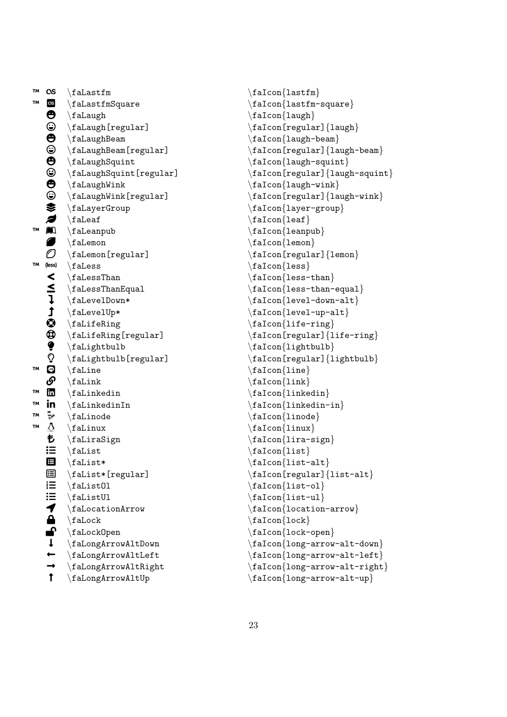™  $\alpha$ s \faLastfm ™ **e** \faLastfmSquare Ѳ \faLaugh ☺ \faLaugh[regular]  $\boldsymbol{\Theta}$ \faLaughBeam ☺ \faLaughBeam[regular]  $\boldsymbol{\Theta}$ \faLaughSquint ☺ \faLaughSquint[regular]  $\boldsymbol{\Theta}$ \faLaughWink 0 \faLaughWink[regular] S. \faLayerGroup Ø \faLeaf ™  $\blacksquare$ \faLeanpub Ø \faLemon  $\mathcal O$ \faLemon[regular] ™ {less} \faLess  $\prec$ \faLessThan ≤ \faLessThanEqual ļ \faLevelDown\* ↥ \faLevelUp\* 0 \faLifeRing  $^\circledR$ \faLifeRing[regular] ç \faLightbulb Ō \faLightbulb[regular] ™  $\mathbf{u}$ \faLine ß, \faLink ™ ï \faLinkedin ™ in  $\hat{I}$ aLinkedinIn ™  $\mathfrak{b}$ \faLinode ™ ò \faLinux も \faLiraSign 挂 \faList 目 \faList\* 日 \faList\*[regular]  $\stackrel{1}{\cdot}$ \faListOl  $\mathbf{:=}$ \faListUl 1 \faLocationArrow  $\triangle$ \faLock ✔ \faLockOpen ↓ \faLongArrowAltDown  $\leftarrow$ \faLongArrowAltLeft  $\rightarrow$ \faLongArrowAltRight  $\uparrow$ \faLongArrowAltUp

\faIcon {lastfm } \faIcon {lastfm-square } \faIcon {laugh }  $\setminus$ faIcon[regular] $\{1 \text{augh}\}$ \faIcon{laugh-beam} \faIcon[regular] {laugh-beam } \faIcon{laugh-squint} \faIcon[regular] {laugh-squint } \faIcon {laugh-wink } \faIcon[regular] {laugh-wink } \faIcon {layer-group } \faIcon {leaf } \faIcon {leanpub } \faIcon {lemon } \faIcon[regular] {lemon } \faIcon {less } \faIcon {less-than }  $\setminus$ faIcon $\{$ less-than-equal $\}$  $\setminus$ faIcon $\{$ level-down-alt $\}$  $\setminus$ faIcon $\{$ level-up-alt $\}$ \faIcon {life-ring } \faIcon[regular] {life-ring } \faIcon{lightbulb} \faIcon[regular] {lightbulb } \faIcon {line } \faIcon{link} \faIcon{linkedin}  $\setminus$ faIcon $\{$ linkedin-in $\}$ \faIcon {linode } \faIcon {linux } \faIcon {lira-sign }  $\setminus$ faIcon $\{list\}$ \faIcon {list-alt }  $\setminus$ faIcon[regular] $\{list-alt\}$ \faIcon {list-ol } \faIcon {list-ul } \faIcon {location-arrow }  $\setminus$ faIcon $\{$ lock $\}$ \faIcon {lock-open } \faIcon {long-arrow-alt-down } \faIcon {long-arrow-alt-left } \faIcon {long-arrow-alt-right } \faIcon {long-arrow-alt-up }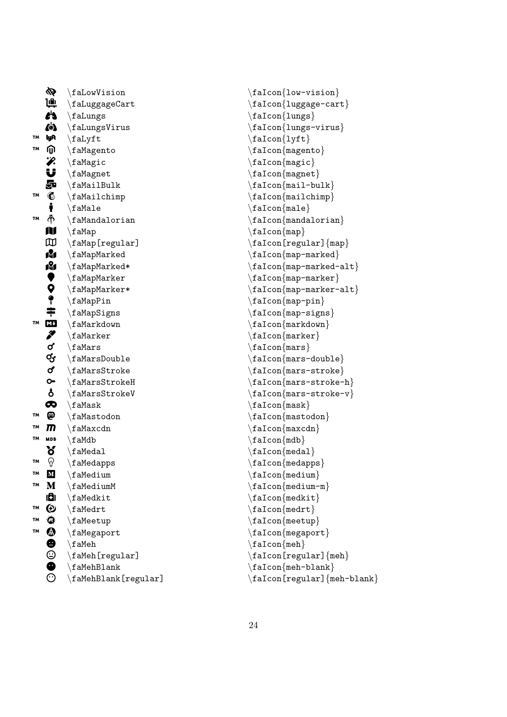|           | 必                     | $\setminus$ faLowVision         |
|-----------|-----------------------|---------------------------------|
|           | بالإ                  | $\backslash$ faLuggageCart      |
|           | r's                   | $\Lambda$                       |
|           | 6                     | \faLungsVirus                   |
| TM        | lyA                   | $\hat{}$ faLyft                 |
| TΜ        | ⋒                     | $\Lambda$                       |
|           |                       | $\langle$ faMagic               |
|           |                       | $\Lambda$                       |
|           | 次じ品                   | $\hat{\tau}$ a Mail Bulk        |
| <b>TM</b> |                       | $\Lambda$ ia Mailchimp          |
|           |                       | $\langle$ faMale                |
| TM        | 化十个                   | $\Lambda$                       |
|           | M                     | $\setminus$ faMap               |
|           | $\mathbb{D}$          | $\setminus$ faMap[regular]      |
|           | Ń                     | $\Lambda$                       |
|           |                       | $\setminus$ faMapMarked*        |
|           |                       | $\Lambda$ raMapMarker           |
|           |                       | $\Lambda^*$                     |
|           |                       | $\langle faMapPin$              |
|           |                       | $\Lambda$                       |
| TМ        | ふくろ 中国 きっこ            | $\Lambda$                       |
|           |                       | $\langle$ faMarker              |
|           |                       | $\frac{1}{2}$                   |
|           | යු<br>අ               | $\Lambda$ raMarsDouble          |
|           |                       | $\Lambda$ raMarsStroke          |
|           | $\bullet$             | $\Lambda$ raMarsStrokeH         |
|           | å                     | $\{\texttt{falmsstrokeV}\}$     |
|           | $\bullet$             | $\langle$ faMask                |
| TM        | ៙                     | $\Lambda$                       |
| TΜ        | $\overline{m}$        | $\langle$ faMaxcdn              |
| TM        | <b>MDB</b>            | $\setminus$ faMdb               |
|           | ő                     | $\Lambda$                       |
| TM        | ନ                     | $\setminus$ faMedapps           |
| TΜ        | ${\bf M}$             | $\Lambda$                       |
| TM        | M                     | $\Lambda$                       |
|           | الأا                  | $\backslash$ faMedkit           |
| TМ        | $\boldsymbol{\Theta}$ | \faMedrt                        |
| TM        | $\pmb{\varpi}$        | \faMeetup                       |
| TΜ        |                       | \faMegaport                     |
|           | 00000                 | $\setminus$ faMeh               |
|           |                       | $\setminus$ faMeh[regular]      |
|           |                       | $\Lambda$                       |
|           |                       | $\setminus$ faMehBlank[regular] |

\faIcon {lungs-virus }  $\setminus$ faIcon $\{lyft\}$ \faIcon {magento } \faIcon {magic } \faIcon {magnet } \faIcon {mail-bulk } \faIcon {mailchimp } \faIcon{male}  $\setminus$ faIcon $\{$ mandalorian $\}$  $\setminus$ faIcon $\{map\}$  $\setminus$ faIcon[regular] $\{map\}$ \faIcon{map-marked}  $\setminus$ faIcon{map-marked-alt} \faIcon {map-marker } \faIcon {map-marker-alt } \faIcon {map-pin } \faIcon {map-signs } \faIcon{markdown} \faIcon {marker }  $\setminus$ faIcon{mars}  $\setminus$ faIcon $\{$ mars-double $\}$ \faIcon {mars-stroke } \faIcon {mars-stroke-h } \faIcon {mars-stroke-v } \faIcon {mask } \faIcon {mastodon } \faIcon {maxcdn } \faIcon {mdb }  $\setminus$ faIcon $\{$ medal $\}$ \faIcon{medapps} \faIcon{medium} \faIcon {medium-m }  $\setminus$ faIcon $\{$ medkit $\}$ \faIcon{medrt} \faIcon {meetup }

\faIcon {megaport }

\faIcon{meh-blank}

\faIcon[regular] {meh }

\faIcon[regular] {meh-blank }

 $\setminus$ faIcon ${meh}$ 

\faIcon {low-vision }

\faIcon {lungs }

\faIcon {luggage-cart }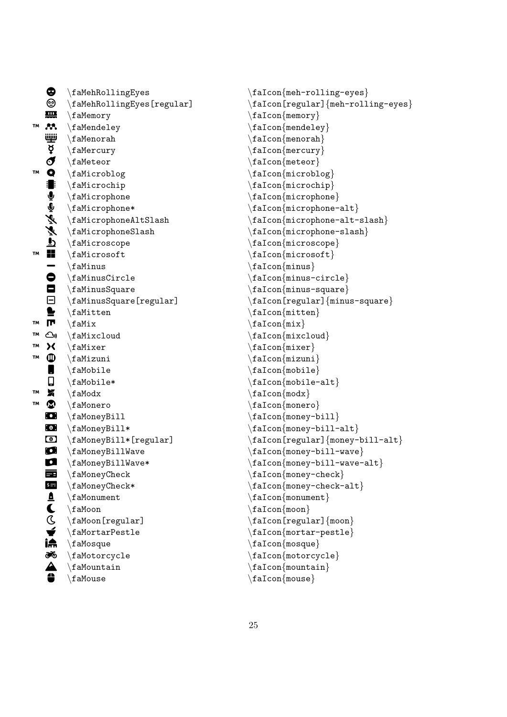|    | ٌ              | $\Lambda$ Rolling Eyes                |
|----|----------------|---------------------------------------|
|    | ☺              | $\setminus$ faMehRollingEyes[regular] |
|    | ₩              | \faMemory                             |
| TM | M,             | $\Lambda$                             |
|    | ننينا          | $\Lambda$                             |
|    | Þ              | $\setminus$ faMercury                 |
|    | $\sigma$       | $\Lambda$                             |
| TМ | Q              | $\Lambda$                             |
|    | 8              | $\Lambda$                             |
|    | 一つがぞき          | $\Lambda$                             |
|    |                | $\Lambda^*$                           |
|    |                | $\Lambda$ taMicrophoneAltSlash        |
|    |                | \faMicrophoneSlash                    |
|    |                | $\Lambda$                             |
| TM |                | $\Lambda$                             |
|    |                | $\Lambda$                             |
|    |                | $\{\text{f}$ aMinusCircle             |
|    |                | $\Lambda$                             |
|    | $\blacksquare$ | $\setminus$ faMinusSquare[regular]    |
|    |                | $\hat{}$ faMitten                     |
| TΜ | $\blacksquare$ | $\hat{}$ faMix                        |
| TΜ | ره             | $\Lambda$                             |
| TΜ | X              | $\hat{}$ faMixer                      |
| TM | ❶              | $\hat{\tau}$                          |
|    | I              | $\Lambda$                             |
|    | О              | $\Lambda^*$                           |
| TΜ | X              | $\lambda$                             |
| TΜ | $\bullet$      | $\Lambda$                             |
|    | $\bullet$      | $\setminus$ faMoneyBill               |
|    | $\bullet$      | $\{\texttt{aMoneyBill*}\$             |
|    | $\bullet$      | $\texttt{faMoneyBill*[regular]}$      |
|    | O<br>O         | \faMoneyBillWave                      |
|    |                | $\setminus$ faMoneyBillWave*          |
|    |                | $\Lambda$<br>\faMoneyCheck*           |
|    |                | $\Lambda$                             |
|    |                | $\setminus$ faMoon                    |
|    |                | $\setminus$ faMoon[regular]           |
|    | 国直しCマ流惑A=      | $\Lambda$                             |
|    |                | $\setminus$ faMosque                  |
|    |                | $\Lambda$                             |
|    |                | $\setminus$ faMountain                |
|    |                | $\backslash$ faMouse                  |

```
\faIcon{meh-rolling-eyes}
\faIcon[regular]
{meh-rolling-eyes
}
\faIcon
{memory
}
\faIcon
{mendeley
}
\faIcon{menorah}
\faIcon
{mercury
}
\faIcon
{meteor
}
\faIcon{microblog}
\faIcon
{microchip
}
\faIcon
{microphone
}
\faIcon
{microphone-alt
}
\faIcon
{microphone-alt-slash
}
\faIcon
{microphone-slash
}
\faIcon
{microscope
}
\faIcon{microsoft}
\faIcon
{minus
}
\setminusfaIcon\{minus-circle\}\faIcon
{minus-square
}
\faIcon[regular]
{minus-square
}
\faIcon
{mitten
}
\setminusfaIcon\{mix\}\faIcon
{mixcloud
}
\faIcon
{mixer
}
\faIcon
{mizuni
}
\setminusfaIcon\{\text{mobile}\}\faIcon
{mobile-alt
}
\faIcon
{modx
}
\faIcon
{monero
}
\setminusfaIcon\{money-bill\}\faIcon
{money-bill-alt
}
\faIcon[regular]
{money-bill-alt
}
\faIcon{money-bill-wave}
\faIcon
{money-bill-wave-alt
}
\setminusfaIcon\{money-check\}\setminusfaIcon\{money-check-alt\}\faIcon{monument}
\faIcon
{moon
}
\setminusfaIcon[regular]\{\text{moon}\}\faIcon
{mortar-pestle
}
\faIcon{mosque}
\faIcon
{motorcycle
}
\faIcon
{mountain
}
\faIcon
{mouse
}
```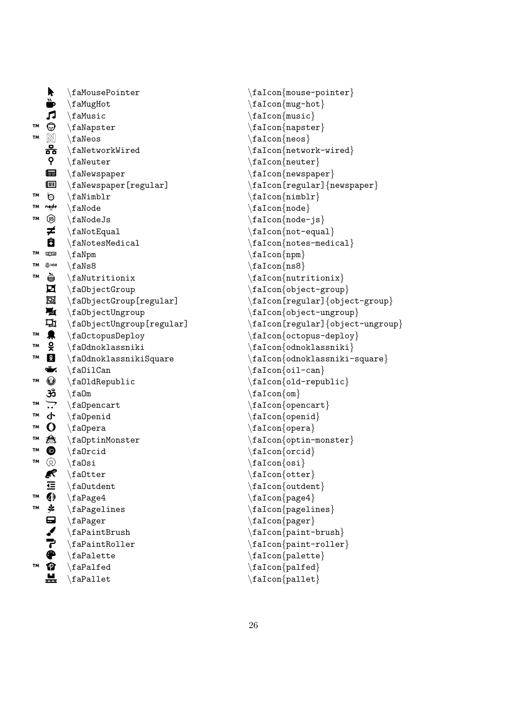| r                        | $\Lambda$                               |
|--------------------------|-----------------------------------------|
| è                        | \faMugHot                               |
| Л                        | $\hat{}$ faMusic                        |
| ⊙<br>TM                  | $\langle$ faNapster                     |
| $\mathbb N$<br>TM        | $\langle$ faNeos                        |
| 器                        | $\Lambda$                               |
| 9.                       | $\Lambda$                               |
| 国                        | $\setminus$ faNewspaper                 |
| 匣                        | \faNewspaper[regular]                   |
| ৩<br><b>TM</b>           | $\Lambda$                               |
| node<br>TΜ               | $\setminus$ faNode                      |
| ⑲<br>TM                  | $\verb \falseJs $                       |
| ≠                        | \faNotEqual                             |
| Ô                        | $\Lambda$                               |
| TΜ<br>吨一                 | $\setminus$ faNpm                       |
| TΜ<br>@ NS8              | $\langle f \text{aNs8}$                 |
| è<br>TМ                  | $\Lambda$                               |
| 口                        | $\setminus f$ a0bjectGroup              |
| 回                        | $\verb \fabjectGroup[regular] $         |
| 覱                        | $\langle f\text{a0}b\text{jectUngroup}$ |
| Д                        | $\setminus$ fa0bjectUngroup[regular]    |
| 臬<br>TΜ                  | $\setminus f$ a0ctopusDeploy            |
| š<br>TМ                  | $\Lambda$ lanoklassniki                 |
| å<br>TМ                  | $\Lambda$ ta<br>Odnoklassniki<br>Square |
| Ť.                       | $\Lambda$                               |
| $\mathbb{O}$<br>TM       | $\Lambda$ PaldRepublic                  |
| ૐ                        | $\setminus$ faOm                        |
| $\overline{\cdot}$<br>TΜ | $\langle$ fa0pencart                    |
| ቀ<br>TΜ                  | $\Lambda$                               |
| $\mathbf O$<br>TΜ        | $\langle f \text{a0pera}$               |
| Ô.<br>TМ                 | $\verb \falpha0ptinMonster $            |
| ❶<br>TМ                  | $\Lambda$                               |
| ඹ<br>TМ                  | $\backslash$ fa $0$ si                  |
| Ŗ                        | $\Lambda$                               |
| 疍                        | $\Lambda$                               |
| $\spadesuit$<br>TM       | \faPage4                                |
| キュンリト<br>TМ              | \faPagelines                            |
|                          | \faPager                                |
|                          | \faPaintBrush                           |
|                          | \faPaintRoller                          |
|                          | $\langle$ faPalette                     |
| Ø<br>TМ                  | \faPalfed                               |
|                          | $\backslash$ fa <code>Pallet</code>     |

```
\faIcon
{mouse-pointer
}
\faIcon
{mug-hot
}
\faIcon
{music
}
\faIcon
{napster
}
\faIcon
{neos
}
\setminusfaIcon\{network-wired\}\faIcon
{neuter
}
\faIcon{newspaper}
\faIcon[regular]
{newspaper
}
\setminusfaIcon\{nimblr\}\faIcon
{node
}
\faIcon
{node-js
}
\setminusfaIcon\{not-equal\}\setminusfaIcon\{notes-medical\}\faIcon{npm}
\faIcon
{ns8
}
\faIcon
{nutritionix
}
\faIcon
{object-group
}
\faIcon[regular]
{object-group
}
\faIcon{object-ungroup}
\faIcon[regular]
{object-ungroup
}
\faIcon
{octopus-deploy
}
\faIcon
{odnoklassniki
}
\faIcon
{odnoklassniki-square
}
\faIcon
{oil-can
}
\setminusfaIcon\{old-republic\}\faIcon
{om
}
\faIcon{opencart}
\faIcon
{openid
}
\faIcon
{opera
}
\faIcon
{optin-monster
}
\faIcon
{orcid
}
\setminusfaIcon\{osi\}\faIcon
{otter
}
\faIcon{outdent}
\setminusfaIcon\{page 4\}\faIcon{pagelines}
\faIcon
{pager
}
\faIcon
{paint-brush
}
\faIcon
{paint-roller
}
\faIcon{palette}
\faIcon{palfed}
\setminusfaIcon\{pallet\}
```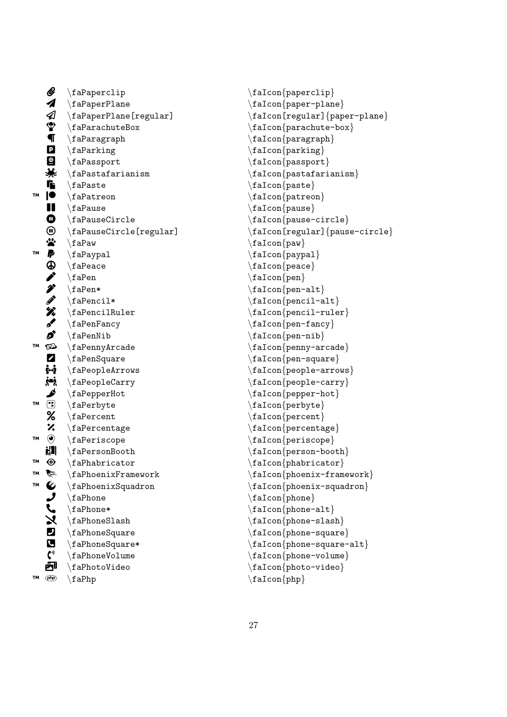|    | Ø                       | $\langle$ faPaperclip             |
|----|-------------------------|-----------------------------------|
|    | 4                       | $\backslash$ faPaperPlane         |
|    |                         | $\setminus$ faPaperPlane[regular] |
|    | $\triangle$             | $\frac{1}{2}$                     |
|    |                         | $\langle$ faParagraph             |
|    | $\overline{\mathbf{P}}$ | \faParking                        |
|    |                         | $\langle$ faPassport              |
|    |                         | $\Lambda$ raPastafarianism        |
|    |                         | $\langle$ faPaste                 |
| TM | ■米店●                    | $\langle$ faPatreon               |
|    | $\blacksquare$          | $\langle$ faPause                 |
|    | ❶①な ♪ ④ ブグ グズメ          | $\langle$ faPauseCircle           |
|    |                         | \faPauseCircle[regular]           |
|    |                         | $\langle$ faPaw                   |
| TΜ |                         | $\langle$ faPaypal                |
|    |                         | $\langle$ faPeace                 |
|    |                         | $\setminus$ faPen                 |
|    |                         | $\setminus$ faPen*                |
|    |                         | $\langle$ faPencil*               |
|    |                         | $\langle$ faPencilRuler           |
|    |                         | $\langle$ faPenFancy              |
|    | Ø                       | $\Lambda$                         |
| TΜ | Ø                       | $\verb \faPennyArcade $           |
|    | 7<br>M                  | $\langle$ faPenSquare             |
|    |                         | $\langle$ faPeopleArrows          |
|    | ぶん                      | $\langle$ faPeopleCarry           |
|    |                         | $\setminus$ faPepperHot           |
| TМ |                         | $\langle$ faPerbyte               |
|    | $\frac{1}{2}$           | $\langle$ faPercent               |
|    | %                       | $\langle$ faPercentage            |
| TM | $\odot$                 | $\langle$ faPeriscope             |
|    | lk¦a                    | $\setminus$ faPersonBooth         |
| TМ | ⊕                       | $\langle$ faPhabricator           |
| TM | Ź                       | $\backslash$ faPhoenixFramework   |
| TM |                         | $\setminus$ faPhoenixSquadron     |
|    |                         | \faPhone                          |
|    | のしてメロロッ                 | $\Lambda^*$                       |
|    |                         | \faPhoneSlash                     |
|    |                         | \faPhoneSquare                    |
|    |                         | $\setminus$ faPhoneSquare*        |
|    |                         | $\Lambda$                         |
|    | 也                       | $\Lambda$                         |
| TΜ | (php)                   | $\backslash$ faPhp                |

```
\faIcon{paperclip}
\faIcon
{paper-plane
}
\faIcon[regular]
{paper-plane
}
\faIcon
{parachute-box
}
\faIcon
{paragraph
}
\faIcon
{parking
}
\faIcon
{passport
}
\faIcon
{pastafarianism
}
\faIcon
{paste
}
\faIcon
{patreon
}
\faIcon
{pause
}
\faIcon
{pause-circle
}
\faIcon[regular]
{pause-circle
}
\faIcon
{paw
}
\faIcon
{paypal
}
\faIcon
{peace
}
\faIcon
{pen
}
\faIcon
{pen-alt
}
\setminusfaIcon\{pencil-alt\}\faIcon
{pencil-ruler
}
\faIcon{pen-fancy}
\faIcon
{pen-nib
}
\faIcon
{penny-arcade
}
\faIcon
{pen-square
}
\faIcon
{people-arrows
}
\faIcon
{people-carry
}
\faIcon
{pepper-hot
}
\faIcon
{perbyte
}
\faIcon
{percent
}
\faIcon
{percentage
}
\faIcon
{periscope
}
\faIcon
{person-booth
}
\faIcon
{phabricator
}
\faIcon
{phoenix-framework
}
\faIcon
{phoenix-squadron
}
\faIcon
{phone
}
\faIcon{phone-alt}
\faIcon
{phone-slash
}
\faIcon
{phone-square
}
\faIcon
{phone-square-alt
}
\faIcon{phone-volume}
\faIcon
{photo-video
}
\setminusfaIcon\{php\}
```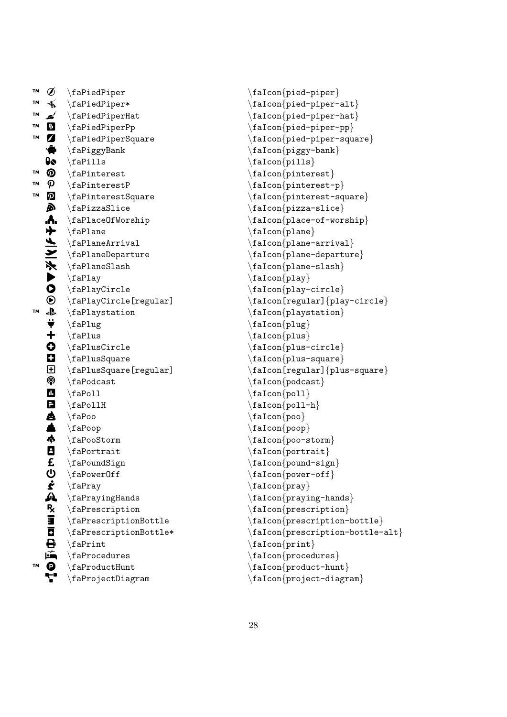| <b>TM</b> | Ø                         | $\langle$ faPiedPiper                           |
|-----------|---------------------------|-------------------------------------------------|
| TΜ        | $\frac{1}{\sqrt{2}}$      | $\langle$ faPiedPiper*                          |
| TΜ        | d                         | $\Lambda$                                       |
| TM        |                           | $\langle$ faPiedPiperPp                         |
| TМ        |                           | $\langle$ faPiedPiperSquare                     |
|           |                           | $\langle faPiggyBank$                           |
|           |                           | $\langle$ faPills                               |
| TМ        | 国内会のよう                    | $\Lambda$                                       |
| TМ        | $\boldsymbol{\mathsf{p}}$ | $\Lambda$ PinterestP                            |
| TΜ        | ဨ                         | $\Lambda$ raPinterestSquare                     |
|           | À                         | $\langle$ faPizzaSlice                          |
|           |                           | $\langle$ faPlaceOfWorship                      |
|           |                           | $\Lambda$                                       |
|           |                           | $\Lambda$ rival                                 |
|           |                           | $\langle$ faPlaneDeparture                      |
|           |                           | $\Lambda$                                       |
|           |                           | \faPlay                                         |
|           | ←⇔⑤O▶ぞ ∧ 不十3→             | \faPlayCircle                                   |
|           |                           | \faPlayCircle[regular]                          |
| TM        |                           | $\langle$ faPlaystation                         |
|           |                           | \faPlug                                         |
|           | $\ddagger$                | $\langle$ faPlus                                |
|           | o d e o                   | $\Lambda$                                       |
|           |                           | $\langle$ faPlusSquare                          |
|           |                           | $\setminus$ faPlusSquare[regular]               |
|           |                           | $\langle$ faPodcast                             |
|           | $\blacksquare$            | $\langle$ faPoll                                |
|           | 8                         | $\Lambda$                                       |
|           |                           | $\backslash$ faPoo                              |
|           | 色画中日日                     | $\langle$ faPoop                                |
|           |                           | $\langle$ faPooStorm                            |
|           |                           | $\langle$ faPortrait                            |
|           |                           | $\setminus$ faPoundSign                         |
|           |                           | $\setminus$ faPowerOff                          |
|           |                           | $\langle$ faPray                                |
|           |                           | \faPrayingHands                                 |
|           | 心を処えます母                   | \faPrescription                                 |
|           |                           | \faPrescriptionBottle<br>\faPrescriptionBottle* |
|           |                           | $\langle$ faPrint                               |
|           |                           | $\setminus$ faProcedures                        |
| TМ        |                           | \faProductHunt                                  |
|           |                           | \faProjectDiagram                               |
|           |                           |                                                 |

\faIcon {pied-piper }  $\setminus$ faIcon $\{$ pied-piper-alt $\}$ \faIcon {pied-piper-hat } \faIcon {pied-piper-pp } \faIcon {pied-piper-square } \faIcon {piggy-bank } \faIcon {pills } \faIcon{pinterest} \faIcon {pinterest-p } \faIcon {pinterest-square } \faIcon {pizza-slice } \faIcon {place-of-worship } \faIcon {plane } \faIcon{plane-arrival} \faIcon {plane-departure } \faIcon {plane-slash }  $\setminus$ faIcon $\{$ play $\}$ \faIcon {play-circle } \faIcon[regular] {play-circle } \faIcon {playstation } \faIcon {plug } \faIcon{plus} \faIcon {plus-circle } \faIcon {plus-square } \faIcon[regular] {plus-square } \faIcon {podcast }  $\setminus$ faIcon $\{$ poll $\}$ \faIcon {poll-h } \faIcon {poo } \faIcon {poop } \faIcon {poo-storm } \faIcon{portrait} \faIcon {pound-sign } \faIcon {power-off } \faIcon{pray} \faIcon {praying-hands } \faIcon {prescription } \faIcon {prescription-bottle } \faIcon {prescription-bottle-alt } \faIcon {print }  $\setminus$ faIcon $\{$ procedures $\}$ \faIcon{product-hunt} \faIcon {project-diagram }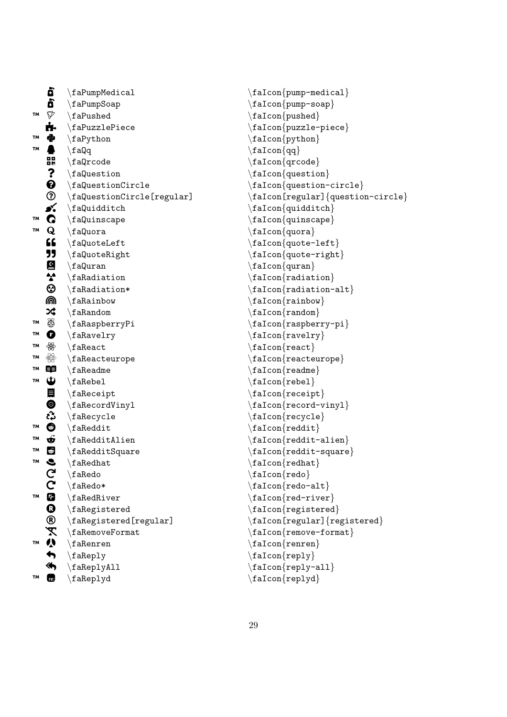|    | Ō                          | $\verb \faPumpMedia cal $                         |
|----|----------------------------|---------------------------------------------------|
|    | ò                          | $\setminus$ faPumpSoap                            |
| TМ | $\triangledown$            | $\setminus$ faPushed                              |
|    | ń.                         | $\langle$ faPuzzlePiece                           |
| TM | e<br>G                     | $\langle$ faPython                                |
| TM |                            | $\langle f \rangle$ a                             |
|    | 强                          | $\langle$ faQrcode                                |
|    |                            | $\setminus$ faQuestion                            |
|    |                            | $\setminus$ faQuestionCircle                      |
|    |                            | $\setminus$ faQuestionCircle[regular]             |
|    |                            | $\setminus f$ aQuidditch                          |
| TM | <b>60%0000</b>             | $\setminus$ faQuinscape                           |
| TΜ |                            | $\langle$ faQuora                                 |
|    | 66                         | $\setminus$ faQuoteLeft                           |
|    | JJ                         | \faQuoteRight                                     |
|    | <b>is</b>                  | $\langle$ faQuran                                 |
|    |                            | $\lambda$                                         |
|    | $\bm{\odot}$               | $\forall$ faRadiation*                            |
|    | ⋒                          | $\langle$ faRainbow                               |
|    | ╳                          | $\setminus$ faRandom                              |
| TΜ | $\bigoplus$                | $\langle$ faRaspberryPi                           |
| TM | $\bullet$                  | $\langle$ faRavelry                               |
| TM | ₩                          | $\langle$ faReact                                 |
| TM | $\bigoplus_{i=1}^{\infty}$ | $\verb \fakeactiveurope $                         |
| TM | 申                          | $\setminus$ faReadme                              |
| TM | $\mathbf{\hat{D}}$         | $\setminus$ faRebel                               |
|    | $\blacksquare$             | $\langle$ faReceipt                               |
|    | <b>ම</b><br>දිර            | $\langle$ faRecordVinyl                           |
|    |                            | $\langle$ faRecycle                               |
| TΜ | $\bullet$                  | $\setminus$ faReddit                              |
| TΜ | $\ddot{\bm{\Phi}}$         | $\Lambda$ ia<br>Reddit<br>Alien                   |
| TM | $\mathbb{G}$               | $\Lambda$ taRedditSquare                          |
| TM | S                          | $\backslash$ faRedhat                             |
|    |                            | $\setminus$ fa $\mathop{\mathsf{Red}}\nolimits$ o |
|    |                            | $\setminus$ faRedo*                               |
| TM |                            | $\setminus$ faRedRiver                            |
|    | $\circledcirc$             | \faRegistered                                     |
|    |                            | $\verb \falsegistered[regular] $                  |
|    |                            | X \faRemoveFormat                                 |
| TM |                            |                                                   |
|    |                            | $\langle faReply$                                 |
|    | «                          | $\langle$ faReplyAll                              |
| TΜ | c                          | $\langle$ faReplyd                                |

```
\faIcon{pump-medical}
\faIcon
{pump-soap
}
\faIcon
{pushed
}
\faIcon
{puzzle-piece
}
\faIcon
{python
}
\setminusfaIcon\{qq\}\faIcon
{qrcode
}
\faIcon{question}
\faIcon
{question-circle
}
\faIcon[regular]
{question-circle
}
\faIcon
{quidditch
}
\faIcon{quinscape}
\faIcon
{quora
}
\setminusfaIcon\{quote-left\}\faIcon
{quote-right
}
\faIcon
{quran
}
\faIcon
{radiation
}
\faIcon
{radiation-alt
}
\faIcon
{rainbow
}
\faIcon
{random
}
\faIcon
{raspberry-pi
}
\faIcon{ravelry}
\setminusfaIcon\{react\}\faIcon
{reacteurope
}
\faIcon{readme}
\setminusfaIcon\{rebel\}\faIcon
{receipt
}
\faIcon
{record-vinyl
}
\faIcon
{recycle
}
\setminusfaIcon\{ \text{reddit} \}\faIcon
{reddit-alien
}
\faIcon
{reddit-square
}
\setminusfaIcon\{redhat\}\faIcon
{redo
}
\faIcon
{redo-alt
}
\faIcon
{red-river
}
\faIcon
{registered
}
\faIcon[regular]
{registered
}
\faIcon{remove-format}
\faIcon
{renren
}
\faIcon
{reply
}
\faIcon
{reply-all
}
\setminusfaIcon\{replyd\}
```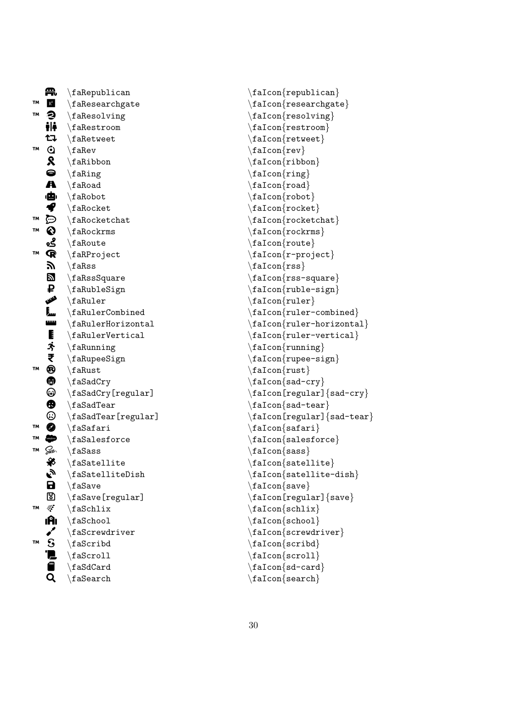|           | ₩,                      | $\Lambda$                       |
|-----------|-------------------------|---------------------------------|
| TМ        | $\mathbf{R}^{\text{G}}$ | \faResearchgate                 |
| TМ        | €                       | $\langle$ faResolving           |
|           | ili                     | $\Lambda$                       |
|           | たつ                      | $\Lambda$                       |
| <b>TM</b> | ⊙                       | $\langle$ faRev                 |
|           | R                       | $\Lambda$                       |
|           | 0                       | \faRing                         |
|           | A                       | $\backslash$ faRoad             |
|           | 曲                       | \faRobot                        |
|           | ◀                       | $\Lambda$                       |
| TM        | ධ                       | $\Lambda$                       |
| TM        | ♦                       | $\Lambda$                       |
|           | ڲۄ                      | $\Lambda$                       |
| <b>TM</b> | $\mathbf Q$             | $\langle$ faRProject            |
|           | <b>K.</b>               | $\backslash$ fa $R$ ss          |
|           | e<br>2                  | $\frac{1}{10}$                  |
|           | ₽                       | $\Lambda$ bleSign               |
|           | المللمه                 | $\hat{}$ faRuler                |
|           | j<br>                   | $\Lambda$ ulerCombined          |
|           | نستا                    | $\Lambda$                       |
|           |                         | $\verb \fakulerVertical $       |
|           | 星冷き                     | $\Lambda$                       |
|           |                         | $\Lambda$ upeeSign              |
| TM        | ❸                       | $\hat{}$ faRust                 |
|           | <b>奇</b>                | $\backslash$ faSad $C$ ry       |
|           |                         | $\backslash$ faSadCry[regular]  |
|           | $\bigoplus$             | $\backslash$ faSadTear          |
|           | ☺                       | $\backslash$ faSadTear[regular] |
| TΜ        | ◙                       | $\langle$ faSafari              |
| TM        | salesforce              | $\backslash$ faSalesforce       |
| TM        | Gass-,                  | $\backslash$ fa $S$ ass         |
|           | ₩                       | $\Lambda$ satellite             |
|           | Ry                      | $\setminus$ faSatelliteDish     |
|           | <b>a</b><br>២           | \faSave                         |
|           |                         | $\backslash$ faSave[regular]    |
| TМ        | Ķ                       | $\forall$ faSchlix              |
|           | ıĤı                     | \faSchool                       |
|           |                         | \faScrewdriver                  |
| <b>TM</b> | ဒ္                      | \faScribd                       |
|           |                         | \faScroll                       |
|           | 9                       | \faSdCard                       |
|           |                         | $\backslash$ faSearch           |

\faIcon{republican}  $\setminus$ faIcon $\{$ researchgate $\}$ \faIcon {resolving } \faIcon {restroom } \faIcon{retweet}  $\setminus$ faIcon $\{rev\}$ \faIcon {ribbon } \faIcon{ring} \faIcon{road}  $\setminus$ faIcon $\{$ robot $\}$  $\setminus$ faIcon $\{rocket\}$ \faIcon{rocketchat} \faIcon {rockrms } \faIcon {route } \faIcon {r-project } \faIcon {rss } \faIcon {rss-square }  $\setminus$ faIcon $\{ \text{ruble-sign} \}$  $\setminus$ faIcon $\{rule\}$ \faIcon{ruler-combined} \faIcon {ruler-horizontal } \faIcon {ruler-vertical } \faIcon {running } \faIcon{rupee-sign} \faIcon {rust } \faIcon {sad-cry }  $\setminus$ faIcon[regular] $\{$ sad-cry $\}$ \faIcon {sad-tear }  $\setminus$ faIcon[regular] $\{$ sad-tear $\}$ \faIcon {safari } \faIcon {salesforce }  $\setminus$ faIcon $\{sass\}$ \faIcon{satellite} \faIcon {satellite-dish } \faIcon {save }  $\setminus$ faIcon[regular] $\{ \text{save} \}$ \faIcon {schlix } \faIcon{school} \faIcon {screwdriver } \faIcon{scribd} \faIcon{scroll} \faIcon {sd-card } \faIcon {search }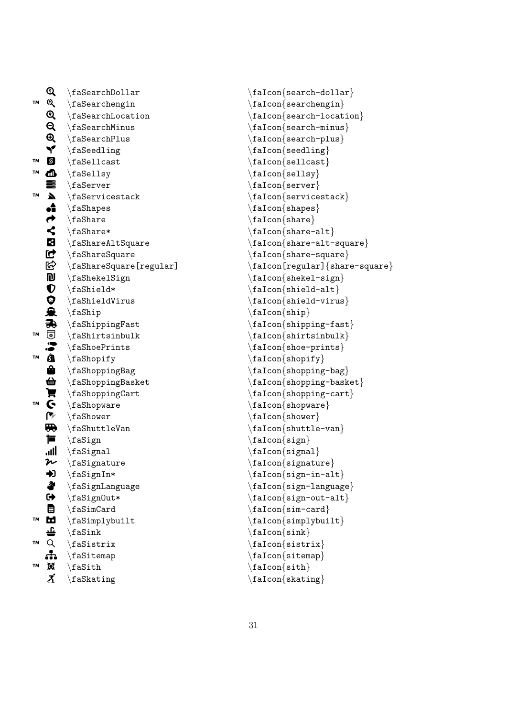|           | Q                         | $\backslash$ faSearchDollar         |
|-----------|---------------------------|-------------------------------------|
| TM        |                           | $\verb \fascachengin $              |
|           | A Q Q Q Y                 | $\setminus$ faSearchLocation        |
|           |                           | $\setminus$ faSearchMinus           |
|           |                           | $\setminus$ faSearchPlus            |
|           |                           | $\setminus$ faSeedling              |
| TМ        | g                         | $\backslash$ faSellcast             |
| TΜ        |                           | $\backslash$ faSellsy               |
|           |                           | $\setminus$ faServer                |
| TМ        |                           | $\backslash$ faServicestack         |
|           | 心言《ようくないぶりのふ余す。する         | $\setminus$ faShapes                |
|           |                           | $\setminus$ faShare                 |
|           |                           | $\setminus$ faShare*                |
|           |                           | $\Lambda t$ shareAltSquare          |
|           |                           | $\backslash$ faShareSquare          |
|           |                           | $\backslash$ faShareSquare[regular] |
|           |                           | $\backslash$ faShekelSign           |
|           |                           | $\Lambda^*$                         |
|           |                           | $\Lambda$ Virus                     |
|           |                           | $\langle f$ aShip                   |
|           |                           | $\langle f$ aShippingFast           |
| TΜ        |                           | $\frac{5}{16}$                      |
|           |                           | \faShoePrints                       |
| TМ        |                           | $\setminus$ faShopify               |
|           |                           | \faShoppingBag                      |
|           |                           | $\langle$ faShoppingBasket          |
|           |                           | $\Lambda$                           |
| TМ        | 色声でき                      | $\setminus$ faShopware              |
|           |                           | $\setminus$ faShower                |
|           | <b>the </b>               | $\verb \fashuttleVan $              |
|           | 蔰                         | $\setminus$ faSign                  |
|           | llı.                      | $\frac{1}{16}$                      |
|           | $\boldsymbol{\varkappa}$  | $\setminus$ faSignature             |
|           | D                         | $\forall$ faSignIn*                 |
|           |                           | $\setminus$ faSignLanguage          |
|           |                           | $\forall$ faSignOut*                |
|           |                           | $\frac{1}{16}$                      |
| TM        | 全中国的生活                    | \faSimplybuilt                      |
| <b>TM</b> |                           | $\frac{\text{fash}}{\text{fash}}$   |
|           |                           | $\setminus$ faSistrix               |
| TΜ        |                           | $\frac{1}{10}$ \faSitemap           |
|           | 眞<br>$\vec{\bm{\lambda}}$ | $\forall$ faSith                    |
|           |                           | \faSkating                          |

```
\faIcon
{search-dollar
}
\setminusfaIcon\{searchengin\}\faIcon
{search-location
}
\faIcon{search-minus}
\faIcon
{search-plus
}
\faIcon
{seedling
}
\faIcon
{sellcast
}
\faIcon
{sellsy
}
\faIcon
{server
}
\setminusfaIcon\{servicestack\}\faIcon
{shapes
}
\faIcon
{share
}
\faIcon
{share-alt
}
\faIcon
{share-alt-square
}
\faIcon
{share-square
}
\faIcon[regular]
{share-square
}
\faIcon
{shekel-sign
}
\setminusfaIcon\{ {\tt shield-all} \}\faIcon
{shield-virus
}
\faIcon
{ship
}
\faIcon
{shipping-fast
}
\faIcon{shirtsinbulk}
\faIcon
{shoe-prints
}
\faIcon
{shopify
}
\faIcon{shopping-bag}
\faIcon{shopping-basket}
\faIcon
{shopping-cart
}
\faIcon
{shopware
}
\setminusfaIcon\{shower\}\faIcon
{shuttle-van
}
\faIcon{sign}
\faIcon
{signal
}
\faIcon
{signature
}
\faIcon
{sign-in-alt
}
\faIcon
{sign-language
}
\faIcon
{sign-out-alt
}
\faIcon
{sim-card
}
\faIcon{simplybuilt}
\faIcon{sink}
\faIcon
{sistrix
}
\faIcon{sitemap}
\faIcon{sith}
\faIcon
{skating
}
```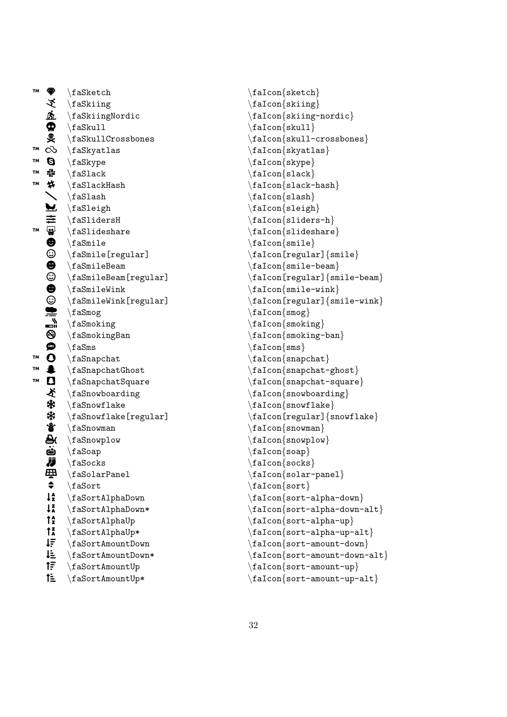™  $\bigoplus$ \faSketch ü \faSkiing <u>ßì.</u> \faSkiingNordic  $\boldsymbol{\Phi}$ \faSkull ÿ \faSkullCrossbones ™  $\infty$ \faSkyatlas ™  $\boldsymbol{\Theta}$ \faSkype ™ 류 \faSlack ™  $\bigstar$ \faSlackHash  $\diagdown$ \faSlash Д \faSleigh  $\equiv$ \faSlidersH ™ **.** \faSlideshare  $\boldsymbol{\Theta}$ \faSmile  $\odot$ \faSmile[regular]  $\bullet$ \faSmileBeam  $\overline{\odot}$ \faSmileBeam[regular]  $\pmb{\Theta}$ \faSmileWink ☺ \faSmileWink[regular] ≝ \faSmog ی<br>الک \faSmoking  $\vec{e}$ \faSmokingBan **SINB** \faSms ™  $\mathbf{o}$ \faSnapchat ™  $\blacktriangle$ \faSnapchatGhost ™ b \faSnapchatSquare ぞ \faSnowboarding \* \faSnowflake ☀ \faSnowflake[regular]  $\ddot{\bm{v}}$ \faSnowman  $\bar{a}$ \faSnowplow ö \faSoap Ü \faSocks த \faSolarPanel  $\bullet$ \faSort  $l_2^A$ \faSortAlphaDown  $1\overline{1}$ \faSortAlphaDown\*  $\mathbf{f}_z^{\mathbf{A}}$ \faSortAlphaUp  $\int_{A}^{z}$ \faSortAlphaUp\* ĮΞ \faSortAmountDown  $I^{\pm}$ \faSortAmountDown\*  $f_{\overline{z}}$ \faSortAmountUp ਿੰ≐ \faSortAmountUp\*

\faIcon {sketch } \faIcon {skiing }  $\setminus$ faIcon $\{$ skiing-nordic $\}$ \faIcon {skull } \faIcon {skull-crossbones } \faIcon {skyatlas } \faIcon {skype } \faIcon {slack }  $\setminus$ faIcon $\{$ slack-hash $\}$ \faIcon {slash } \faIcon {sleigh } \faIcon {sliders-h }  $\setminus$ faIcon $\{$ slideshare $\}$  $\setminus$ faIcon $\{smile\}$ \faIcon[regular] {smile } \faIcon{smile-beam} \faIcon[regular] {smile-beam } \faIcon {smile-wink } \faIcon[regular] {smile-wink } \faIcon {smog } \faIcon{smoking} \faIcon {smoking-ban }  $\setminus$ faIcon $\{sms\}$ \faIcon{snapchat} \faIcon {snapchat-ghost } \faIcon {snapchat-square }  $\setminus$ faIcon $\{$ snowboarding $\}$ \faIcon{snowflake} \faIcon[regular] {snowflake } \faIcon {snowman } \faIcon{snowplow} \faIcon {soap }  $\setminus$ faIcon $\{$ socks $\}$ \faIcon {solar-panel } \faIcon{sort} \faIcon {sort-alpha-down } \faIcon {sort-alpha-down-alt }  $\setminus$ faIcon $\{$ sort-alpha-up $\}$  $\texttt{\char'1}\$ \faIcon {sort-amount-down } \faIcon {sort-amount-down-alt } \faIcon {sort-amount-up } \faIcon {sort-amount-up-alt }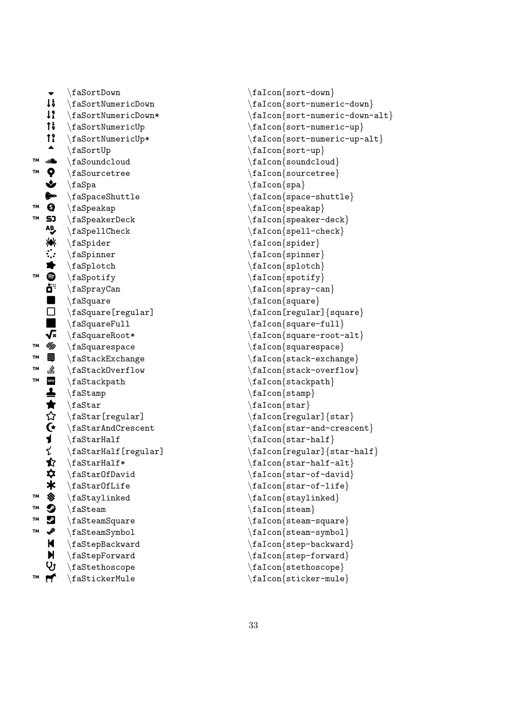|    |                       | $\setminus$ faSortDown                       |
|----|-----------------------|----------------------------------------------|
|    | $\ddagger$            | \faSortNumericDown                           |
|    | $1$ ?                 | $\texttt{\textbackslash}$ faSortNumericDown* |
|    | t                     | $\verb \fasortNumbericUp $                   |
|    | $\mathbf{f}$          | $\setminus$ faSortNumericUp*                 |
|    |                       | $\setminus$ faSortUp                         |
| TМ | all <sup>a</sup>      | \faSoundcloud                                |
| TМ |                       | $\setminus$ faSourcetree                     |
|    |                       | $\backslash$ faSpa                           |
|    | やぐや                   | $\setminus$ faSpaceShuttle                   |
| TМ | $\boldsymbol{\Theta}$ | $\setminus$ faSpeakap                        |
| TΜ | <b>SJ</b><br>AB       | $\backslash$ faSpeakerDeck                   |
|    |                       | $\backslash$ faSpellCheck                    |
|    | 滲                     | $\setminus$ faSpider                         |
|    | $\ddot{\ddot{\cdot}}$ | $\langle f$ aSpinner                         |
|    |                       | $\setminus$ faSplotch                        |
| TМ |                       | $\setminus$ faSpotify                        |
|    |                       | \faSprayCan                                  |
|    |                       | $\setminus$ faSquare                         |
|    | WORD DES              | $\backslash$ faSquare [regular]              |
|    |                       | $\verb \fasquareFull $                       |
|    |                       | $\setminus$ faSquareRoot*                    |
| TM | Up                    | $\backslash$ faSquarespace                   |
| TΜ | Ş                     | \faStackExchange                             |
| TМ | 힣                     | \faStackOverflow                             |
| TМ | SP//                  | \faStackpath                                 |
|    | ▲★☆Gイ                 | \faStamp                                     |
|    |                       | $\text{fastar}$                              |
|    |                       | $\setminus$ faStar[regular]                  |
|    |                       | $\verb \fast+ and Crescent $                 |
|    |                       | $\text{fastrHall}$                           |
|    | そ                     | $\backslash$ faStarHalf[regular]             |
|    | ✿                     | $\text{fastrHall}$                           |
|    | ✿                     | $\verb \fast0fDavid $                        |
|    | $\ast$                | $\backslash$ faStarOfLife                    |
| TM | SIGNS                 | $\forall$ faStaylinked                       |
| TM |                       | $\setminus$ faSteam                          |
| TΜ |                       | $\setminus$ faSteamSquare                    |
| TM | ✔                     | \faSteamSymbol                               |
|    | K                     | $\backslash$ faStepBackward                  |
|    | $\dot{M}$             | $\backslash$ faStepForward                   |
|    | Ųĵ                    | \faStethoscope                               |
| TM | ۴                     | $\backslash$ faStickerMule                   |

\faIcon {sort-down } \faIcon {sort-numeric-down } \faIcon {sort-numeric-down-alt } \faIcon {sort-numeric-up } \faIcon {sort-numeric-up-alt } \faIcon {sort-up } \faIcon{soundcloud} \faIcon {sourcetree }  $\setminus$ faIcon $\{spa\}$  $\setminus$ faIcon $\{$ space-shuttle $\}$ \faIcon {speakap } \faIcon {speaker-deck }  $\setminus$ faIcon $\{$ spell-check $\}$ \faIcon {spider } \faIcon {spinner } \faIcon {splotch } \faIcon {spotify } \faIcon {spray-can } \faIcon {square } \faIcon[regular] {square }  $\setminus$ faIcon $\{$ square-full $\}$ \faIcon {square-root-alt } \faIcon {squarespace } \faIcon {stack-exchange } \faIcon{stack-overflow} \faIcon{stackpath} \faIcon {stamp } \faIcon {star } \faIcon[regular] {star }  $\setminus$ faIcon $\{ \text{star-and-creation} \}$ \faIcon {star-half } \faIcon[regular] {star-half }  $\setminus$ faIcon $\{ \text{star-half-alt} \}$  $\setminus$ faIcon $\{star\text{-}$ of-david $\}$ \faIcon {star-of-life } \faIcon{staylinked} \faIcon {steam } \faIcon{steam-square} \faIcon{steam-symbol} \faIcon {step-backward } \faIcon {step-forward } \faIcon {stethoscope } \faIcon {sticker-mule }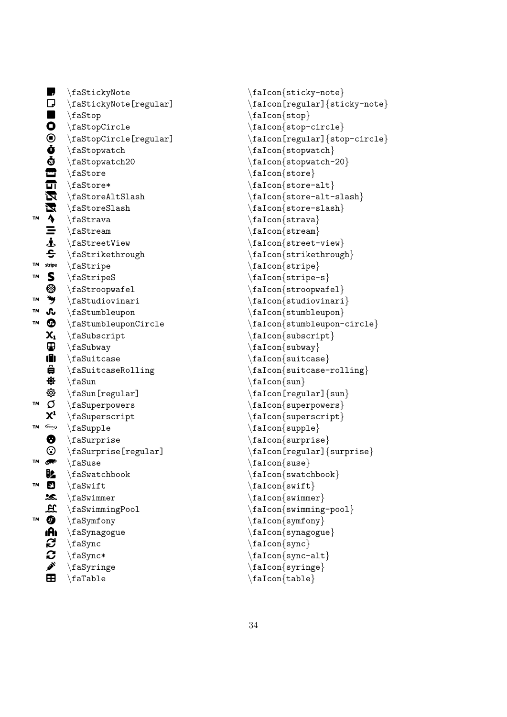|           |                         | $\backslash$ faStickyNote                                       |
|-----------|-------------------------|-----------------------------------------------------------------|
|           |                         | $\setminus$ faStickyNote[regular]                               |
|           |                         | \faStop                                                         |
|           |                         | $\setminus f$ aStopCircle                                       |
|           |                         | $\setminus$ faStopCircle[regular]                               |
|           |                         | $\setminus$ faStopwatch                                         |
|           |                         | \faStopwatch20                                                  |
|           |                         | $\setminus$ faStore                                             |
|           |                         | \faStore*                                                       |
|           |                         | $\frac{1}{5}$                                                   |
|           |                         | $\setminus$ faStoreSlash                                        |
| TM        | ■D■O⊙もあ合行交叉 ↑ II-もら     | \faStrava                                                       |
|           |                         | $\text{fasterean}$                                              |
|           |                         | $\setminus$ faStreetView                                        |
|           |                         | $\setminus$ faStrikethrough                                     |
| TΜ        | stripe                  | $\langle$ faStripe                                              |
| TΜ        |                         | $\verb \fastripeS $                                             |
|           |                         | $\verb \fastroopwafel $                                         |
| TM        | SSTS                    | $\setminus$ faStudiovinari                                      |
| <b>TM</b> |                         | $\Lambda$                                                       |
| TМ        |                         | \faStumbleuponCircle                                            |
|           | $\mathsf{X}_\mathbf{1}$ | $\setminus$ faSubscript                                         |
|           | 电自身                     | \faSubway                                                       |
|           |                         | $\Lambda$                                                       |
|           |                         | \faSuitcaseRolling                                              |
|           |                         | $\setminus$ faSun                                               |
|           | <b>@</b><br>〇           | $\setminus$ faSun[regular]                                      |
| TM        |                         | $\setminus$ faSuperpowers                                       |
|           | $X^1$                   | $\langle$ faSuperscript                                         |
| TM        |                         | $\verb \fasupple $                                              |
|           | ❸                       | $\setminus$ faSurprise                                          |
|           | ⊙                       | $\setminus$ faSurprise[regular]                                 |
| TM        | ☞                       | $\setminus$ faSuse                                              |
|           | UA.                     | $\verb \faswatchbook $                                          |
| TΜ        | $\overline{\mathbf{c}}$ | $\setminus$ faSwift                                             |
|           |                         | <b>La Suimmer<br/> H</b> \faSwimmingPool<br><b>O</b> \faSymfony |
|           |                         |                                                                 |
| TM        |                         |                                                                 |
|           | (中心に)                   | $\setminus$ faSynagogue                                         |
|           |                         | $\setminus$ faSync                                              |
|           |                         | $\setminus$ faSync*                                             |
|           |                         | $\langle f$ aSyringe                                            |
|           | œ                       | $\setminus$ faTable                                             |

```
\faIcon
{sticky-note
}
\faIcon[regular]
{sticky-note
}
\faIcon
{stop
}
\faIcon
{stop-circle
}
\faIcon[regular]
{stop-circle
}
\faIcon{stopwatch}
\faIcon
{stopwatch-20
}
\faIcon
{store
}
\faIcon
{store-alt
}
\faIcon
{store-alt-slash
}
\faIcon
{store-slash
}
\faIcon
{strava
}
\faIcon{stream}
\faIcon
{street-view
}
\faIcon
{strikethrough
}
\faIcon
{stripe
}
\faIcon
{stripe-s
}
\faIcon
{stroopwafel
}
\faIcon
{studiovinari
}
\faIcon
{stumbleupon
}
\faIcon
{stumbleupon-circle
}
\faIcon
{subscript
}
\faIcon
{subway
}
\faIcon{suitcase}
\faIcon{suitcase-rolling}
\setminusfaIcon\{ \text{sun} \}\faIcon[regular]
{sun
}
\faIcon{superpowers}
\faIcon
{superscript
}
\setminusfaIcon\{ \text{supple} \}\faIcon{surprise}
\faIcon[regular]
{surprise
}
\faIcon
{suse
}
\faIcon
{swatchbook
}
\faIcon{swift}
\faIcon{swimmer}
\faIcon{swimming-pool}
\faIcon
{symfony
}
\faIcon
{synagogue
}
\faIcon
{sync
}
\faIcon{sync-alt}
\faIcon
{syringe
}
\faIcon
{table
}
```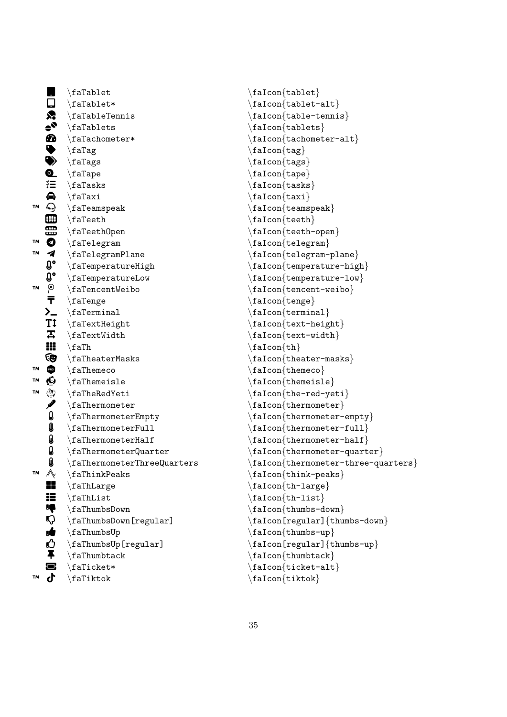$\frac{\tau}{table}$  $\Box$  \faTablet\* \faIcon{tablet-alt}  $\leftarrow$  \faTableTennis \faIcon{table-tennis}  $\bullet$  \faTablets \faIcon{tablets}  $\text{T} \text{ a T} \text{ a T} \text{ a T} \text{ a T} \text{ a T} \text{ a T} \text{ a T} \text{ a T} \text{ a T} \text{ a T} \text{ a T} \text{ a T} \text{ a T} \text{ a T} \text{ a T} \text{ a T} \text{ a T} \text{ a T} \text{ a T} \text{ a T} \text{ a T} \text{ a T} \text{ a T} \text{ a T} \text{ a T} \text{ a T} \text{ a T} \text{ a T} \text{ a T} \text{ a T} \text{ a T} \text{ a T} \text{ a T} \text{ a T} \text{ a T} \text{ a T$ U \faTag \faIcon{tag}  $\begin{array}{ccc}\n\text{if } a \text{ is a positive} & \text{if } a \text{ is a positive} \text{ if } a \text{ is a positive} \text{ if } a \text{ is a positive} \text{ if } a \text{ is a positive} \text{ if } a \text{ is a positive} \text{ if } a \text{ is a positive} \text{ if } a \text{ is a positive} \text{ if } a \text{ is a positive} \text{ if } a \text{ is a positive} \text{ if } a \text{ is a positive} \text{ if } a \text{ is a positive} \text{ if } a \text{ is a positive} \text{ if } a \text{ is a positive} \text{ if } a \text{ is a positive} \text{ if } a \text{ is a positive} \text{$  $\begin{array}{ccc}\n\texttt{aTo} & \texttt{b} \\
\texttt{b} & \texttt{b}\n\end{array}$  $\overleftrightarrow{=} \frac{\text{faTasks}}{\text{faTanh}}$  $\bigoplus$  \faTaxi \faIcon{taxi}<br>  $\bigodot$  \faTeamspeak \faIcon{teams  $\bigoplus$  \faTeamspeak  $\{t$ aIcon $\{t$ eamspeak $\bigoplus$  \faIcon $\{t$ eath  $\{t$ aTeeth  $\}$  $\begin{array}{ll}\n\text{H} \text{aTeeth} \text{aTeeth}\n\end{array}\n\text{aTeeth}$  $\frac{t}{t}$  aTeethOpen  $\frac{t}{t}$  $\bullet$  \faTelegram  $\{t\in\mathbb{Z}^n\}$  $\blacktriangleleft$  \faTelegramPlane \faIcon{telegram-plane}<br>  $\blacktriangleleft$  \faTemperatureHigh \faIcon{temperature-high \ \faTemperatureHigh \faIcon{temperature-high}  $\begin{array}{ll} \textbf{0}^{\textcolor{red}{\bullet}} \text{ (a) } \text{ a) } \text{ a) } \text{ a) } \text{ a) } \text{ a) } \text{ a) } \text{ a) } \text{ a) } \text{ a) } \text{ a) } \text{ a) } \text{ a) } \text{ a) } \text{ a) } \text{ a) } \text{ a) } \text{ a) } \text{ a) } \text{ a) } \text{ a) } \text{ a) } \text{ a) } \text{ a) } \text{ a) } \text{ a) } \text{ a) } \text{ a) } \text{ a) } \text{ a) } \text{ a) } \text{ a) } \text{ a$  $T^M$   $\Omega$  \faTencentWeibo \faIcon{tencent-weibo}  $\overline{\mathbf{T}}$  \faTenge  $\setminus$  \faIcon{tenge}  $\sum$  \faTerminal \faIcon{terminal}  $\begin{array}{c} \text{if} \ \text{f} \ \text{f} \ \text{f} \end{array}$  $\overline{4}$  \faTextWidth  $\frac{text-width}{}$  $\text{H} \text{tan}\{\text{th}\}$  $\bigcirc$  \faTheaterMasks \faIcon{theater-masks}  $\mathbb{R}$  \faThemeco \faIcon{themeco}  $\mathbb{R}$  \faThemeisle  $\left\{ \text{themeisle} \right\}$ ™  $\leftarrow$  \faTheRedYeti \faIcon{the-red-yeti}<br>
 \faThermometer \faTcon{thermometer \faThermometer \faTcon{thermometer \faTcon{thermometer}  $\{faffhermometer\}$  $\label{thmmm} $$ \faffhermometerEmpty \falf.com{thermometer-empty} \falfermometer=11]$ f \faThermometerFull \faIcon{thermometer-full} g \faThermometerHalf \faIcon{thermometer-half}<br>g \faThermometerQuarter \faIcon{thermometer-quart  $\begin{array}{ll} \begin{array}{ll} \text{A} & \text{A} \\ \text{A} & \text{B} \end{array} \end{array} \begin{array}{ll} \begin{array}{ll} \text{A} & \text{B} \\ \text{B} & \text{C} \end{array} \end{array} \begin{array}{ll} \begin{array}{ll} \text{A} & \text{B} \\ \text{C} & \text{C} \end{array} \end{array} \begin{array}{ll} \begin{array}{ll} \text{A} & \text{C} \\ \text{C} & \text{D} \end{array} \end{array} \begin{array}{ll} \begin{array}{ll} \text{A} & \text{C} \\ \text{D} &$  $\mathcal{N}$  \faThinkPeaks \faIcon{think-peaks}  $\begin{array}{c} \text{if } \text{far} \text{ then } \text{far} \text{ is } \text{far} \text{ and } \text{far} \text{ is } \text{far} \text{ and } \text{far} \text{ is } \text{far} \text{ and } \text{far} \text{ is } \text{far} \text{ as } \text{far} \text{ is } \text{far} \text{ as } \text{far} \text{ is } \text{far} \text{ as } \text{far} \text{ is } \text{far} \text{ as } \text{far} \text{ is } \text{far} \text{ as } \text{far} \text{ is } \text{far} \text{ as } \text{far} \text{ is } \text{far} \text{$  $\begin{array}{c} \text{if } \text{faThList} \\ \text{if } \text{faTom} \text{th-list} \end{array}$  $\frac{\frac{t}{tall}}{\frac{t}{tall}}$  $\mathbb{Q}$  \faThumbsDown[regular] \faIcon[regular]{thumbs-down}  $\left\{\n \begin{array}{c}\n \quad \text{if all} \quad \text{if all} \quad \text{if all} \quad \text{if all} \quad \text{if all} \quad \text{if all} \quad \text{if all} \quad \text{if all} \quad \text{if all} \quad \text{if all} \quad \text{if all} \quad \text{if all} \quad \text{if all} \quad \text{if all} \quad \text{if all} \quad \text{if all} \quad \text{if all} \quad \text{if all} \quad \text{if all} \quad \text{if all} \quad \text{if all} \quad \text{if all} \quad \text{if all} \quad \text{if all} \quad \text{if all} \quad \text{if all$  $\bigoplus$  \faThumbsUp[regular] \faIcon[regular]{thumbs-up}<br>  $\blacktriangleright$  \faThumbtack \faIcon{thumbtack}  $\{f\}$  \faThumbtack  $\{f\}$  $\qquad \qquad \qquad \text{if aTicket*}$  $\text{M}$  \faTiktok \faIcon{tiktok}

```
\frac{intermediateF}}{factor{there}
```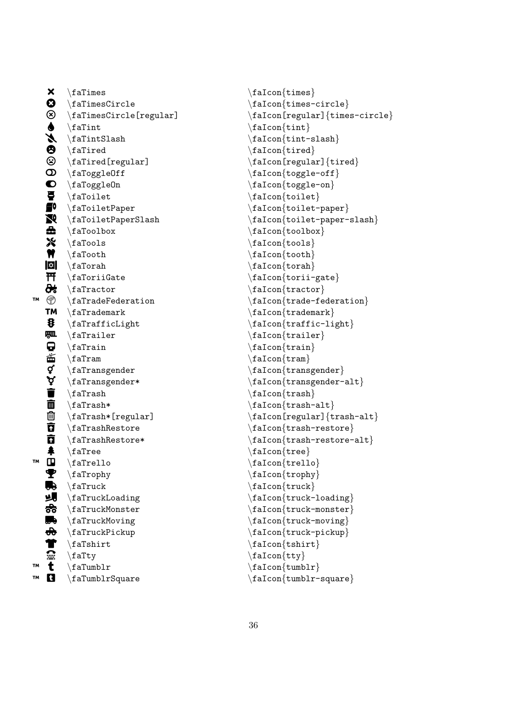$\mathbf{x}$ \faTimes  $\boldsymbol{\Omega}$ \faTimesCircle  $\circledast$ \faTimesCircle[regular]  $\blacklozenge$ \faTint y. \faTintSlash  $\boldsymbol{\Theta}$ \faTired  $\circledS$ \faTired[regular]  $\textcircled{D}$  \faToggleOff  $\bullet$  \faToggleOn  $\overline{\bullet}$ \faToilet  $\blacksquare$ \faToiletPaper  $\sum$  \faToiletPaperSlash  $\mathbf{a}$ \faToolbox  ${\bf x}$ \faTools  $\mathbf{N}$ \faTooth  $\lvert \mathbf{a} \rvert$  \faTorah ~ \faToriiGate æ. \faTractor ™ \faTradeFederation ™ \faTrademark 8 \faTrafficLight 四 \faTrailer Q \faTrain 菡 \faTram ₫ \faTransgender ゚゚゙゙゙゙゙゙゚゙゙゙ \faTransgender\* Ť \faTrash 面 \faTrash\*  $\bar{p}$ \faTrash\*[regular]  $\bar{\mathbf{g}}$ \faTrashRestore ក \faTrashRestore\*  $\clubsuit$ \faTree ™  $\blacksquare$ \faTrello ₹ \faTrophy 5 \faTruck ᆁ \faTruckLoading 88 \faTruckMonster  $\blacksquare$ \faTruckMoving  $\bigoplus$ \faTruckPickup T  $\left\{$  faTshirt  $\boldsymbol{\widehat{}}$ \faTty ™  $\mathbf t$ \faTumblr ™  $\mathbf{a}$ \faTumblrSquare

\faIcon{times} \faIcon {times-circle } \faIcon[regular] {times-circle } \faIcon {tint } \faIcon {tint-slash } \faIcon{tired}  $\setminus$ faIcon[regular] $\{ \text{tired} \}$  $\setminus$ faIcon $\{$ toggle-off $\}$ \faIcon {toggle-on } \faIcon {toilet } \faIcon {toilet-paper } \faIcon {toilet-paper-slash } \faIcon {toolbox } \faIcon {tools } \faIcon {tooth }  $\setminus$ faIcon $\{$ torah $\}$ \faIcon {torii-gate } \faIcon {tractor } \faIcon {trade-federation } \faIcon {trademark } \faIcon {traffic-light } \faIcon {trailer } \faIcon {train } \faIcon {tram } \faIcon {transgender }  $\setminus$ faIcon $\{$ transgender-alt $\}$ \faIcon {trash } \faIcon {trash-alt } \faIcon[regular] {trash-alt }  $\setminus$ faIcon $\{ \text{trash-restore} \}$ \faIcon {trash-restore-alt } \faIcon {tree } \faIcon {trello } \faIcon{trophy} \faIcon{truck} \faIcon {truck-loading } \faIcon{truck-monster} \faIcon{truck-moving} \faIcon{truck-pickup} \faIcon {tshirt } \faIcon {tty } \faIcon {tumblr } \faIcon {tumblr-square }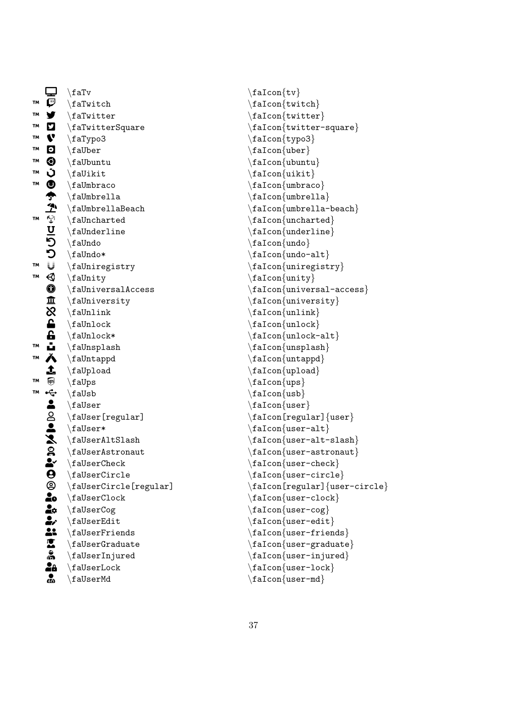|    | ❏                           | $\backslash$ faTv                     |
|----|-----------------------------|---------------------------------------|
| TM | $\bar{\bm{\varphi}}$        | $\forall$ faTwitch                    |
| TM | y                           | $\lambda$ faTwitter                   |
| TM | ם<br>1                      | $\setminus$ faTwitterSquare           |
| TM |                             | \faTypo3                              |
| TМ |                             | $\setminus$ faUber                    |
| TM |                             | $\setminus$ faUbuntu                  |
| TM |                             | $\hat{t}$                             |
| TM |                             | \faUmbraco                            |
|    |                             | $\Lambda$                             |
|    |                             | $\Lambda$                             |
| TM | ロのこの今で守りについての血穴に占い入土の今と2人のだ | $\Lambda$ raUncharted                 |
|    |                             | $\Lambda$                             |
|    |                             | $\setminus$ faUndo                    |
|    |                             | $\langle$ faUndo*                     |
| TM |                             | \faUniregistry                        |
| TM |                             | \faUnity                              |
|    |                             | $\langle$ faUniversalAccess           |
|    |                             | \faUniversity                         |
|    |                             | $\lambda$                             |
|    |                             | $\Lambda$                             |
|    |                             | $\Lambda^*$                           |
| TΜ |                             | $\{\text{falmsplash}\$                |
| TM |                             | $\lambda$                             |
|    |                             | $\setminus$ faUpload                  |
| TМ |                             | \faUps                                |
| TM |                             | $\langle f \text{aUsb}$               |
|    |                             | $\backslash$ faUser                   |
|    |                             | $\setminus$ faUser[regular]           |
|    |                             | $\text{\texttt{aluser}}$              |
|    |                             | $\texttt{dUserAltSlash}$              |
|    |                             | $\setminus$ faUserAstronaut           |
|    |                             | $\setminus$ faUser $C$ heck           |
|    |                             | $\backslash$ faUser $\texttt{Circle}$ |
|    |                             | $\verb \falserCircle[regular] $       |
|    |                             | $\backslash$ faUser $\texttt{Clock}$  |
|    |                             | \faUserCog                            |
|    |                             | \faUserEdit                           |
|    | <b>O © Jo Meistra</b>       | $\setminus$ faUserFriends             |
|    |                             | $\setminus$ faUserGraduate            |
|    |                             | $\backslash$ faUserInjured            |
|    | .<br>28                     | $\backslash$ faUserLock               |
|    | ஃ                           | $\setminus$ faUserMd                  |

\faIcon {tv } \faIcon {twitch } \faIcon {twitter } \faIcon {twitter-square } \faIcon {typo3 } \faIcon {uber } \faIcon {ubuntu } \faIcon {uikit } \faIcon {umbraco } \faIcon{umbrella} \faIcon {umbrella-beach } \faIcon {uncharted } \faIcon {underline } \faIcon{undo} \faIcon{undo-alt} \faIcon {uniregistry } \faIcon {unity } \faIcon {universal-access } \faIcon{university} \faIcon {unlink }  $\setminus$ faIcon $\{$ unlock $\}$ \faIcon {unlock-alt } \faIcon {unsplash } \faIcon {untappd } \faIcon{upload} \faIcon {ups }  $\setminus$ faIcon $\{$ usb $\}$ \faIcon {user }  $\setminus$ faIcon[regular] $\{ \text{user} \}$ \faIcon {user-alt } \faIcon {user-alt-slash } \faIcon {user-astronaut }  $\setminus$ faIcon $\{$ user-check $\}$ \faIcon {user-circle } \faIcon[regular] {user-circle } \faIcon {user-clock } \faIcon {user-cog } \faIcon {user-edit } \faIcon{user-friends} \faIcon {user-graduate } \faIcon {user-injured } \faIcon {user-lock } \faIcon{user-md}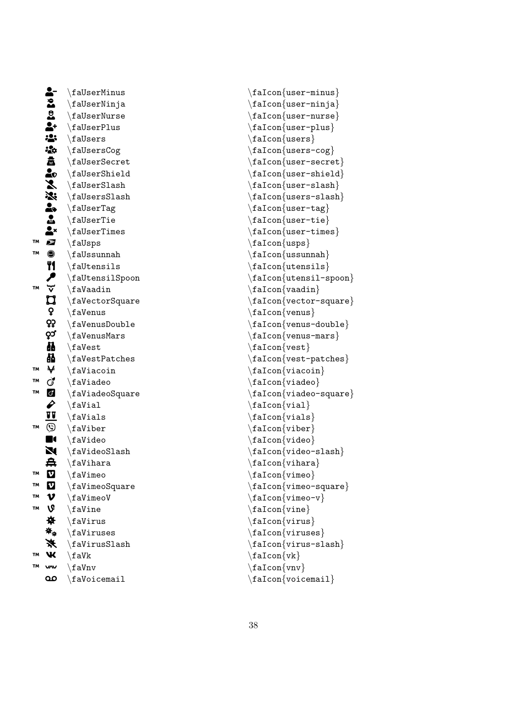|           |                                  | $\setminus$ faUserMinus       |
|-----------|----------------------------------|-------------------------------|
|           |                                  | $\setminus$ faUserNinja       |
|           |                                  | $\setminus$ faUserNurse       |
|           | $\ddot{u}$ is the set $\ddot{u}$ | $\setminus$ faUserPlus        |
|           |                                  | $\Lambda$                     |
|           | $\frac{1}{2}$                    | \faUsersCog                   |
|           |                                  | $\backslash$ faUserSecret     |
|           |                                  | $\Lambda$                     |
|           |                                  | $\backslash$ faUserSlash      |
|           |                                  | $\backslash$ faUsers $S$ lash |
|           | 意味を添います                          | $\setminus$ faUserTag         |
|           |                                  | \faUserTie                    |
|           |                                  | $\setminus$ faUserTimes       |
| TM        |                                  | \faUsps                       |
| <b>TM</b> | 0                                | $\setminus$ faUssunnah        |
|           |                                  | $\Lambda$                     |
|           | <b>ツノ</b> マ                      | $\setminus$ faUtensilSpoon    |
| <b>TM</b> |                                  | $\lambda$ ia<br>Vaadin        |
|           | <b>בן</b><br>ף                   | \faVectorSquare               |
|           |                                  | $\setminus$ faVenus           |
|           | ၺ                                | $\setminus$ faVenusDouble     |
|           | ဝံသူ                             | \faVenusMars                  |
|           | Ä                                | \faVest                       |
|           | 不好                               | $\backslash$ faVestPatches    |
| TM        |                                  | $\setminus$ faViacoin         |
| TM        | ď                                | \faViadeo                     |
| TM        | ŏ<br>∥                           | \faViadeoSquare               |
|           |                                  | $\tau$ ial                    |
|           | u                                | $\xi$ aVials                  |
| TM        | ٧                                | $\setminus$ faViber           |
|           | II<br>N                          | \faVideo                      |
|           |                                  | $\setminus$ faVideoSlash      |
|           | 幕                                | $\lambda$ ihara               |
| TM        | $\boldsymbol{\text{v}}$          | $\backslash$ faVimeo          |
| TМ        | $\boldsymbol{\mathsf{v}}$        | $\setminus$ faVimeoSquare     |
| TМ        | $\boldsymbol{\nu}$               | $\setminus$ faVimeoV          |
| TΜ        | V                                | $\setminus$ faVine            |
|           | ₩                                | $\forall$ faVirus             |
|           | ₩.                               | \faViruses                    |
|           | ☀                                | $\frac{1}{12}$                |
| TM        | Ж                                | $\forall$ faVk                |
| TΜ        | w                                | $\setminus$ faVnv             |
|           | مه                               | $\backslash$ faVoicemail      |

\faIcon{user-minus} \faIcon {user-ninja }  $\setminus$ faIcon $\{$ user-nurse $\}$ \faIcon{user-plus} \faIcon {users } \faIcon {users-cog }  $\setminus$ faIcon $\{$ user-secret $\}$ \faIcon {user-shield } \faIcon {user-slash } \faIcon {users-slash } \faIcon{user-tag} \faIcon {user-tie } \faIcon {user-times } \faIcon {usps } \faIcon {ussunnah } \faIcon {utensils } \faIcon {utensil-spoon } \faIcon {vaadin } \faIcon {vector-square } \faIcon {venus }  $\setminus$ faIcon $\{$ venus-double $\}$ \faIcon{venus-mars} \faIcon {vest }  $\setminus$ faIcon $\{ \text{vest-patches} \}$ \faIcon {viacoin } \faIcon {viadeo }  $\setminus$ faIcon $\{$ viadeo-square $\}$  $\setminus$ faIcon $\{$ vial $\}$ \faIcon {vials } \faIcon {viber } \faIcon {video }  $\setminus$ faIcon $\{$ video-slash $\}$ \faIcon {vihara } \faIcon {vimeo } \faIcon {vimeo-square } \faIcon {vimeo-v } \faIcon {vine } \faIcon {virus } \faIcon {viruses } \faIcon {virus-slash }  $\setminus$ faIcon $\{vk\}$ \faIcon {vnv } \faIcon{voicemail}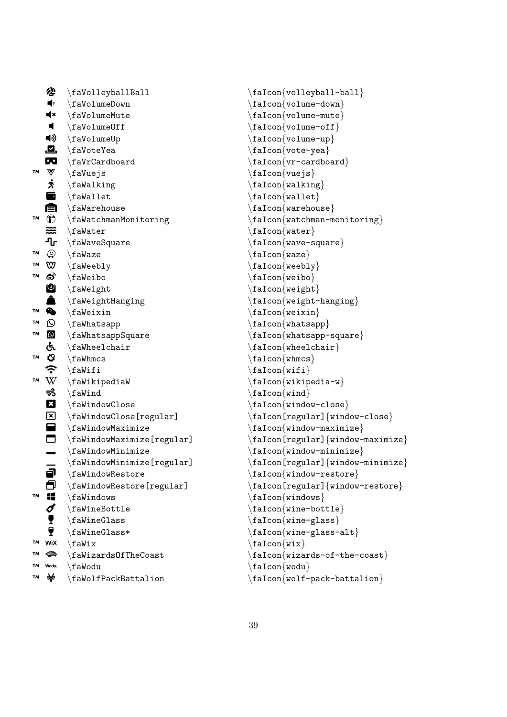|    | 合                                               | \faVolleyballBall                                              |  |  |  |
|----|-------------------------------------------------|----------------------------------------------------------------|--|--|--|
|    | $\blacklozenge$                                 | $\setminus$ faVolumeDown                                       |  |  |  |
|    | $\mathbf{R}$                                    | $\setminus$ faVolumeMute                                       |  |  |  |
|    | $\blacksquare$                                  | $\setminus$ faVolumeOff                                        |  |  |  |
|    | ◀»                                              | $\setminus$ faVolumeUp                                         |  |  |  |
|    | <u>.a</u>                                       | $\setminus$ faVoteYea                                          |  |  |  |
|    |                                                 | <b>DO</b> \faVrCardboard                                       |  |  |  |
| TM |                                                 | $\mathbb{V}$ \faVuejs                                          |  |  |  |
|    | $\boldsymbol{\dot{\pi}}$                        | \faWalking                                                     |  |  |  |
|    | $\blacksquare$                                  | $\hat{}$ faWallet                                              |  |  |  |
|    |                                                 | $\blacksquare$ \faWarehouse                                    |  |  |  |
| TΜ | $\mathbf{\hat{U}}$ \faWatchmanMonitoring        |                                                                |  |  |  |
|    |                                                 | $\mathbf{\cong}$ \faWater                                      |  |  |  |
|    |                                                 | $\P$ r \faWaveSquare                                           |  |  |  |
| TΜ |                                                 | $\circled{C}$ \faWaze                                          |  |  |  |
| TΜ |                                                 | $\mathbf{\omega}$ \faWeebly                                    |  |  |  |
| TΜ |                                                 | $\bullet$ \faWeibo                                             |  |  |  |
|    |                                                 | <b>②</b> \faWeight<br><b>A</b> \faWeightHanging<br>◆ \faWeixin |  |  |  |
|    |                                                 |                                                                |  |  |  |
| TΜ |                                                 |                                                                |  |  |  |
| TΜ | $\odot$                                         | \faWhatsapp                                                    |  |  |  |
| TM |                                                 | <b>9</b> \faWhatsappSquare                                     |  |  |  |
|    |                                                 | & \faWheelchair<br>$\bullet$ \faWhmcs<br>$\bullet$ \faWifi     |  |  |  |
| TΜ |                                                 |                                                                |  |  |  |
|    |                                                 |                                                                |  |  |  |
| TΜ | $W \setminus f$ aWikipediaW                     |                                                                |  |  |  |
|    | ಕೆ<br>$\lambda$ ia Wind                         |                                                                |  |  |  |
|    | $\mathbf{z}$<br>$\Lambda$ WindowClose           |                                                                |  |  |  |
|    | $\begin{array}{c}\n\hline\n\end{array}$         | $\setminus$ faWindowClose[regular]                             |  |  |  |
|    |                                                 | $\setminus$ faWindowMaximize                                   |  |  |  |
|    | $\Box$<br>$\setminus$ faWindowMaximize[regular] |                                                                |  |  |  |
|    |                                                 | $\setminus$ faWindowMinimize                                   |  |  |  |
|    |                                                 | $\setminus$ faWindowMinimize[regular]                          |  |  |  |
|    | ð                                               | $\Lambda$ WindowRestore                                        |  |  |  |
|    |                                                 | \faWindowRestore[regular]                                      |  |  |  |
| TM |                                                 | \faWindows                                                     |  |  |  |
|    | ■■グ!                                            | \faWineBottle                                                  |  |  |  |
|    |                                                 | $\Lambda$                                                      |  |  |  |
|    | ę                                               |                                                                |  |  |  |
| TΜ | WiX                                             | $\setminus$ faWix                                              |  |  |  |
| тм | չ                                               | \faWizards0fTheCoast                                           |  |  |  |
| тм | Wodu.                                           | $\setminus$ faWodu                                             |  |  |  |
| TМ | 參                                               | \faWolfPackBattalion                                           |  |  |  |

\faIcon{volleyball-ball} \faIcon {volume-down }  $\setminus$ faIcon $\{$ volume-mute $\}$  $\setminus$ faIcon $\{$ volume-off $\}$ \faIcon {volume-up } \faIcon {vote-yea } \faIcon {vr-cardboard } \faIcon {vuejs } \faIcon {walking }  $\setminus$ faIcon $\{$ wallet $\}$ \faIcon{warehouse} \faIcon{watchman-monitoring}  $\setminus$ faIcon $\{$ water $\}$ \faIcon {wave-square } \faIcon {waze } \faIcon{weebly}  $\setminus$ faIcon $\{$ weibo $\}$ \faIcon {weight } \faIcon{weight-hanging}  $\setminus$ faIcon $\{$ weixin $\}$ \faIcon {whatsapp } \faIcon{whatsapp-square}  $\setminus$ faIcon $\{$ wheelchair $\}$  $\setminus$ faIcon $\{$ whmcs $\}$ \faIcon{wifi} \faIcon {wikipedia-w }  $\setminus$ faIcon $\{$ wind $\}$  $\setminus$ faIcon $\{$ window-close $\}$ \faIcon[regular] {window-close }  $\setminus$ faIcon $\{$ window-maximize $\}$ \faIcon[regular] {window-maximize } \faIcon {window-minimize } \faIcon[regular] {window-minimize }  $\setminus$ faIcon $\{$ window-restore $\}$ \faIcon[regular] {window-restore } \faIcon{windows} \faIcon {wine-bottle }  $\setminus$ faIcon $\{$ wine-glass $\}$ \faIcon {wine-glass-alt }  $\setminus$ faIcon $\{$ wix $\}$ \faIcon {wizards-of-the-coast } \faIcon{wodu} \faIcon {wolf-pack-battalion }